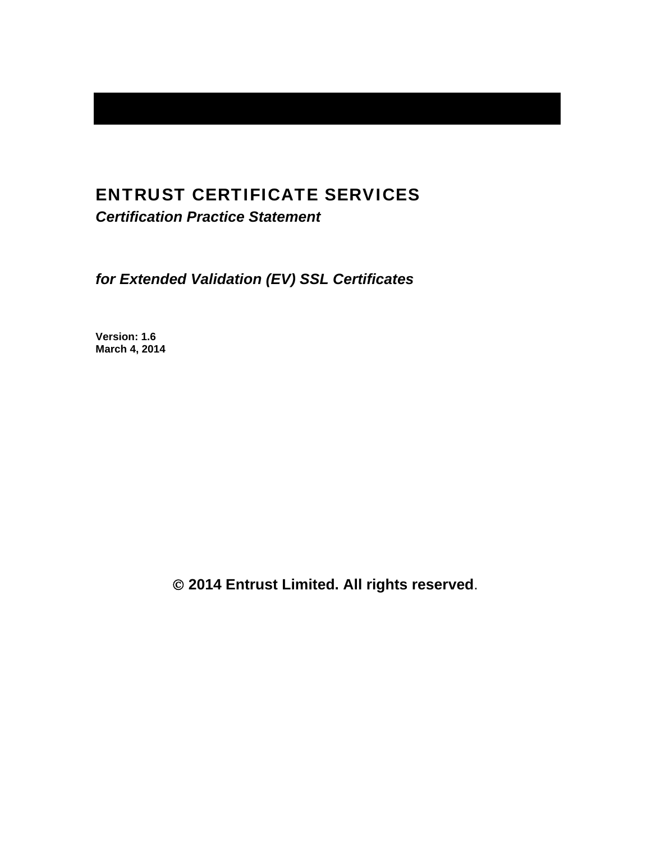# ENTRUST CERTIFICATE SERVICES

*Certification Practice Statement* 

*for Extended Validation (EV) SSL Certificates* 

**Version: 1.6 March 4, 2014** 

 **2014 Entrust Limited. All rights reserved**.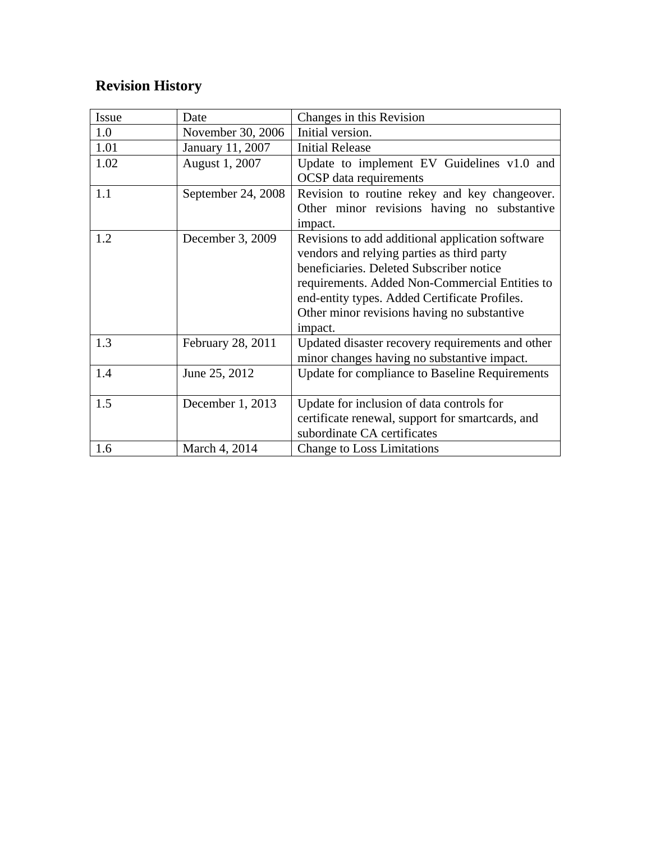# **Revision History**

| Issue | Date               | Changes in this Revision                                                                                                                                                                                                                                                                                |
|-------|--------------------|---------------------------------------------------------------------------------------------------------------------------------------------------------------------------------------------------------------------------------------------------------------------------------------------------------|
| 1.0   | November 30, 2006  | Initial version.                                                                                                                                                                                                                                                                                        |
| 1.01  | January 11, 2007   | <b>Initial Release</b>                                                                                                                                                                                                                                                                                  |
| 1.02  | August 1, 2007     | Update to implement EV Guidelines v1.0 and<br><b>OCSP</b> data requirements                                                                                                                                                                                                                             |
| 1.1   | September 24, 2008 | Revision to routine rekey and key changeover.<br>Other minor revisions having no substantive<br>impact.                                                                                                                                                                                                 |
| 1.2   | December 3, 2009   | Revisions to add additional application software<br>vendors and relying parties as third party<br>beneficiaries. Deleted Subscriber notice<br>requirements. Added Non-Commercial Entities to<br>end-entity types. Added Certificate Profiles.<br>Other minor revisions having no substantive<br>impact. |
| 1.3   | February 28, 2011  | Updated disaster recovery requirements and other<br>minor changes having no substantive impact.                                                                                                                                                                                                         |
| 1.4   | June 25, 2012      | Update for compliance to Baseline Requirements                                                                                                                                                                                                                                                          |
| 1.5   | December 1, 2013   | Update for inclusion of data controls for<br>certificate renewal, support for smartcards, and<br>subordinate CA certificates                                                                                                                                                                            |
| 1.6   | March 4, 2014      | Change to Loss Limitations                                                                                                                                                                                                                                                                              |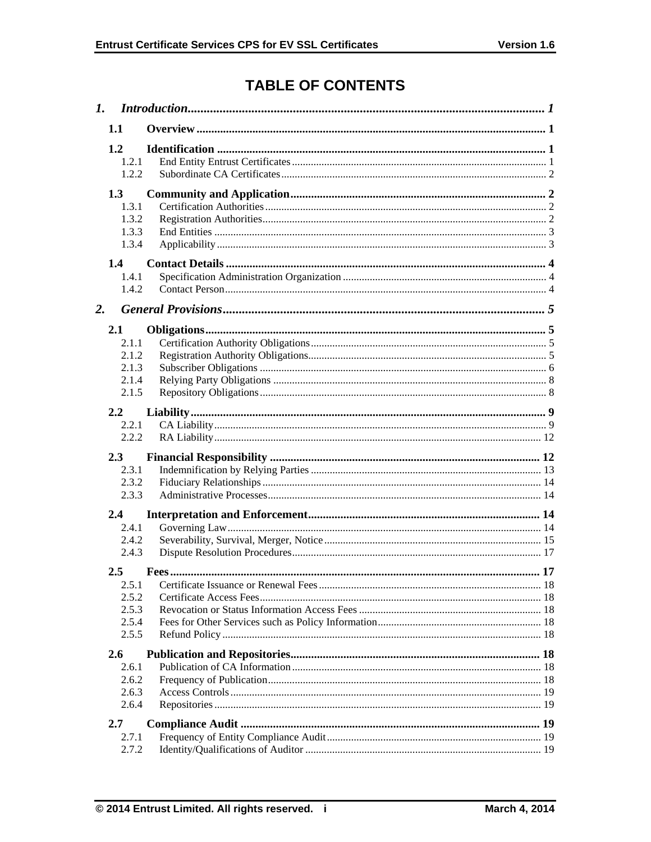# **TABLE OF CONTENTS**

| 1. |               |  |  |  |
|----|---------------|--|--|--|
|    | 1.1           |  |  |  |
|    | 1.2           |  |  |  |
|    | 1.2.1         |  |  |  |
|    | 1.2.2         |  |  |  |
|    | 1.3           |  |  |  |
|    | 1.3.1         |  |  |  |
|    | 1.3.2         |  |  |  |
|    | 1.3.3         |  |  |  |
|    | 1.3.4         |  |  |  |
|    | $1.4^{\circ}$ |  |  |  |
|    | 1.4.1         |  |  |  |
|    | 1.4.2         |  |  |  |
| 2. |               |  |  |  |
|    | 2.1           |  |  |  |
|    | 2.1.1         |  |  |  |
|    | 2.1.2         |  |  |  |
|    | 2.1.3         |  |  |  |
|    | 2.1.4         |  |  |  |
|    | 2.1.5         |  |  |  |
|    |               |  |  |  |
|    | 2.2<br>2.2.1  |  |  |  |
|    | 2.2.2         |  |  |  |
|    |               |  |  |  |
|    | 2.3           |  |  |  |
|    | 2.3.1         |  |  |  |
|    | 2.3.2         |  |  |  |
|    | 2.3.3         |  |  |  |
|    | 2.4           |  |  |  |
|    | 2.4.1         |  |  |  |
|    | 2.4.2         |  |  |  |
|    | 2.4.3         |  |  |  |
|    | 2.5           |  |  |  |
|    | 2.5.1         |  |  |  |
|    | 2.5.2         |  |  |  |
|    | 2.5.3         |  |  |  |
|    | 2.5.4         |  |  |  |
|    | 2.5.5         |  |  |  |
|    | <b>2.6</b>    |  |  |  |
|    | 2.6.1         |  |  |  |
|    | 2.6.2         |  |  |  |
|    | 2.6.3         |  |  |  |
|    | 2.6.4         |  |  |  |
|    | 2.7           |  |  |  |
|    | 2.7.1         |  |  |  |
|    | 2.7.2         |  |  |  |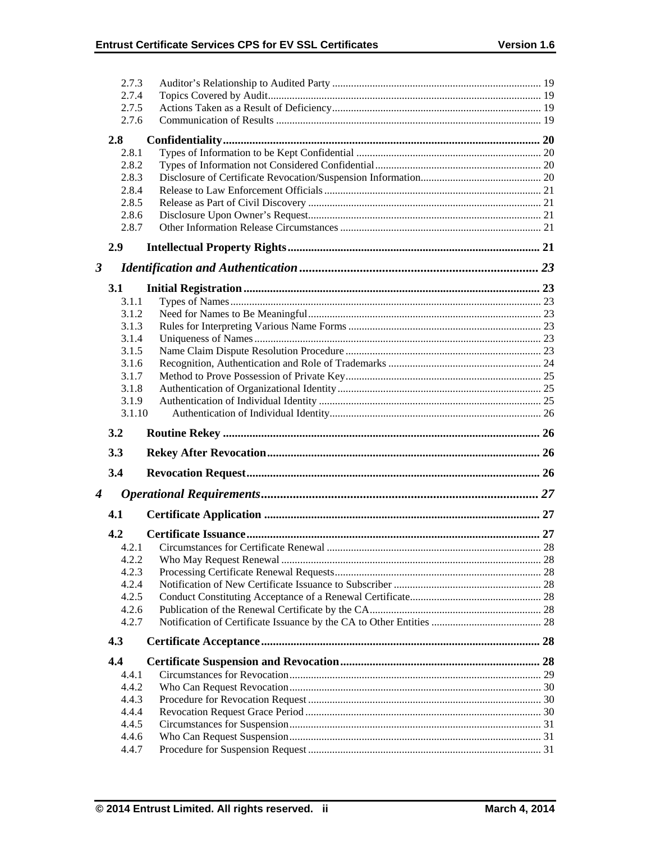|                      | 2.7.3          |  |
|----------------------|----------------|--|
|                      | 2.7.4          |  |
|                      | 2.7.5          |  |
|                      | 2.7.6          |  |
|                      | 2.8            |  |
|                      | 2.8.1          |  |
|                      | 2.8.2          |  |
|                      | 2.8.3          |  |
|                      | 2.8.4          |  |
|                      | 2.8.5          |  |
|                      | 2.8.6          |  |
|                      | 2.8.7          |  |
|                      | 2.9            |  |
| $\boldsymbol{\beta}$ |                |  |
|                      | <b>3.1</b>     |  |
|                      | 3.1.1          |  |
|                      | 3.1.2          |  |
|                      | 3.1.3          |  |
|                      | 3.1.4          |  |
|                      | 3.1.5          |  |
|                      | 3.1.6          |  |
|                      | 3.1.7          |  |
|                      | 3.1.8          |  |
|                      | 3.1.9          |  |
|                      |                |  |
|                      | 3.1.10         |  |
|                      | 3.2            |  |
|                      | 3.3            |  |
|                      | 3.4            |  |
| 4                    |                |  |
|                      | 4.1            |  |
|                      | 4.2            |  |
|                      | 4.2.1          |  |
|                      | 4.2.2          |  |
|                      | 4.2.3          |  |
|                      | 4.2.4          |  |
|                      | 4.2.5          |  |
|                      | 4.2.6          |  |
|                      | 4.2.7          |  |
|                      | 4.3            |  |
|                      | 4.4            |  |
|                      | 4.4.1          |  |
|                      | 4.4.2          |  |
|                      | 4.4.3          |  |
|                      | 4.4.4          |  |
|                      | 4.4.5          |  |
|                      | 4.4.6<br>4.4.7 |  |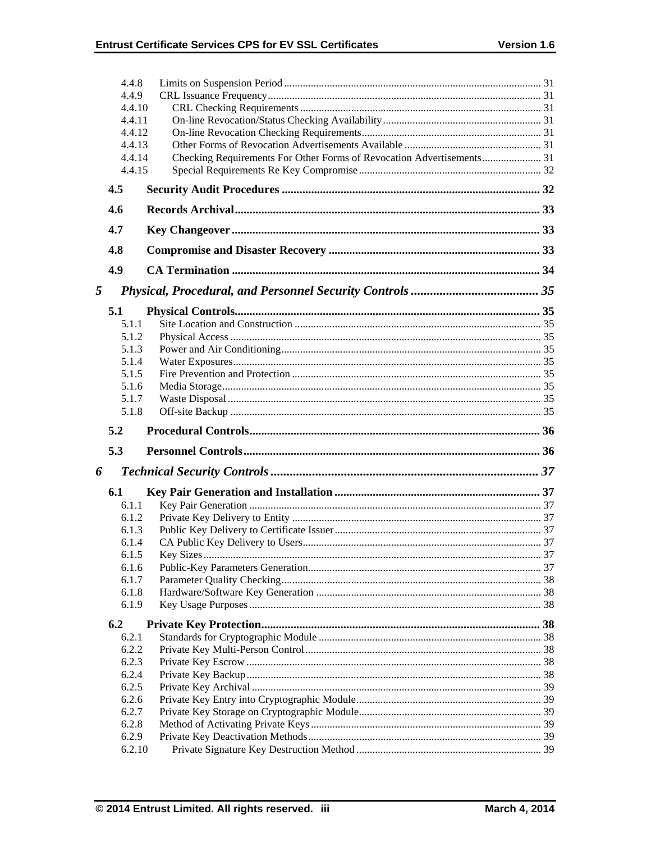|   | 4.4.8            |                                                                       |  |
|---|------------------|-----------------------------------------------------------------------|--|
|   | 4.4.9            |                                                                       |  |
|   | 4.4.10           |                                                                       |  |
|   | 4.4.11           |                                                                       |  |
|   | 4.4.12<br>4.4.13 |                                                                       |  |
|   | 4.4.14           | Checking Requirements For Other Forms of Revocation Advertisements 31 |  |
|   | 4.4.15           |                                                                       |  |
|   |                  |                                                                       |  |
|   | 4.5              |                                                                       |  |
|   | 4.6              |                                                                       |  |
|   | 4.7              |                                                                       |  |
|   | 4.8              |                                                                       |  |
|   | 4.9              |                                                                       |  |
| 5 |                  |                                                                       |  |
|   | 5.1              |                                                                       |  |
|   | 5.1.1            |                                                                       |  |
|   | 5.1.2            |                                                                       |  |
|   | 5.1.3            |                                                                       |  |
|   | 5.1.4            |                                                                       |  |
|   | 5.1.5            |                                                                       |  |
|   | 5.1.6            |                                                                       |  |
|   | 5.1.7            |                                                                       |  |
|   | 5.1.8            |                                                                       |  |
|   |                  |                                                                       |  |
|   | 5.2              |                                                                       |  |
|   | 5.3              |                                                                       |  |
|   |                  |                                                                       |  |
|   | 6.1              |                                                                       |  |
|   | 6.1.1            |                                                                       |  |
|   | 6.1.2            |                                                                       |  |
|   | 6.1.3            |                                                                       |  |
|   | 6.1.4            |                                                                       |  |
|   | 6.1.5            |                                                                       |  |
|   | 6.1.6            |                                                                       |  |
|   | 6.1.7            |                                                                       |  |
| 6 | 6.1.8<br>6.1.9   |                                                                       |  |
|   | 6.2              |                                                                       |  |
|   | 6.2.1            |                                                                       |  |
|   | 6.2.2            |                                                                       |  |
|   | 6.2.3            |                                                                       |  |
|   | 6.2.4            |                                                                       |  |
|   | 6.2.5            |                                                                       |  |
|   | 6.2.6            |                                                                       |  |
|   | 6.2.7            |                                                                       |  |
|   | 6.2.8            |                                                                       |  |
|   | 6.2.9<br>6.2.10  |                                                                       |  |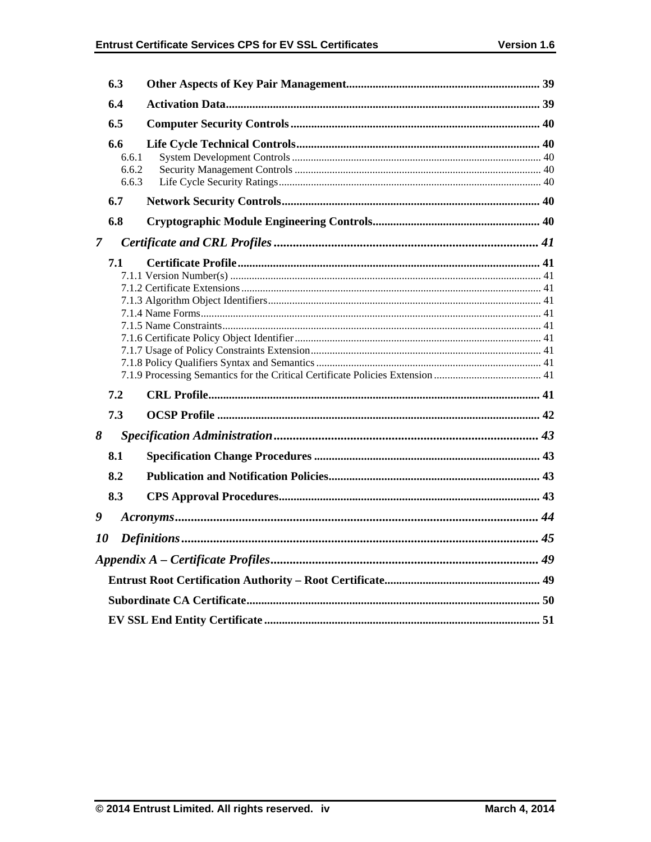|                | 6.3                            |  |
|----------------|--------------------------------|--|
|                | 6.4                            |  |
|                | 6.5                            |  |
|                | 6.6<br>6.6.1<br>6.6.2<br>6.6.3 |  |
|                | 6.7                            |  |
|                | 6.8                            |  |
| $\overline{7}$ |                                |  |
|                | 7.1                            |  |
|                | 7.2                            |  |
|                | 7.3                            |  |
| 8              |                                |  |
|                | 8.1                            |  |
|                | 8.2                            |  |
|                | 8.3                            |  |
| 9              |                                |  |
| <i>10</i>      |                                |  |
|                |                                |  |
|                |                                |  |
|                |                                |  |
|                |                                |  |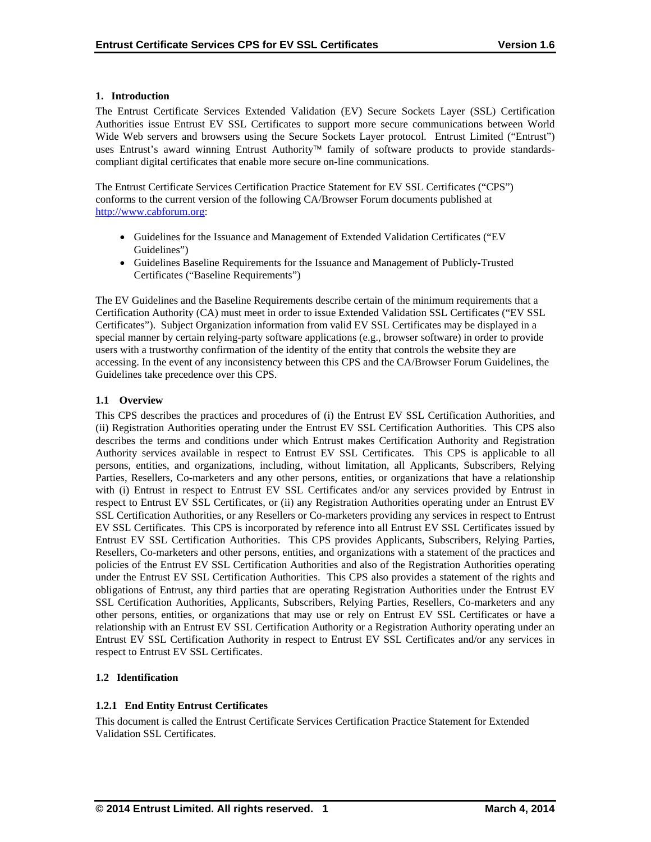## **1. Introduction**

The Entrust Certificate Services Extended Validation (EV) Secure Sockets Layer (SSL) Certification Authorities issue Entrust EV SSL Certificates to support more secure communications between World Wide Web servers and browsers using the Secure Sockets Layer protocol. Entrust Limited ("Entrust") uses Entrust's award winning Entrust Authority<sup>™</sup> family of software products to provide standardscompliant digital certificates that enable more secure on-line communications.

The Entrust Certificate Services Certification Practice Statement for EV SSL Certificates ("CPS") conforms to the current version of the following CA/Browser Forum documents published at http://www.cabforum.org:

- Guidelines for the Issuance and Management of Extended Validation Certificates ("EV Guidelines")
- Guidelines Baseline Requirements for the Issuance and Management of Publicly-Trusted Certificates ("Baseline Requirements")

The EV Guidelines and the Baseline Requirements describe certain of the minimum requirements that a Certification Authority (CA) must meet in order to issue Extended Validation SSL Certificates ("EV SSL Certificates"). Subject Organization information from valid EV SSL Certificates may be displayed in a special manner by certain relying-party software applications (e.g., browser software) in order to provide users with a trustworthy confirmation of the identity of the entity that controls the website they are accessing. In the event of any inconsistency between this CPS and the CA/Browser Forum Guidelines, the Guidelines take precedence over this CPS.

## **1.1 Overview**

This CPS describes the practices and procedures of (i) the Entrust EV SSL Certification Authorities, and (ii) Registration Authorities operating under the Entrust EV SSL Certification Authorities. This CPS also describes the terms and conditions under which Entrust makes Certification Authority and Registration Authority services available in respect to Entrust EV SSL Certificates. This CPS is applicable to all persons, entities, and organizations, including, without limitation, all Applicants, Subscribers, Relying Parties, Resellers, Co-marketers and any other persons, entities, or organizations that have a relationship with (i) Entrust in respect to Entrust EV SSL Certificates and/or any services provided by Entrust in respect to Entrust EV SSL Certificates, or (ii) any Registration Authorities operating under an Entrust EV SSL Certification Authorities, or any Resellers or Co-marketers providing any services in respect to Entrust EV SSL Certificates. This CPS is incorporated by reference into all Entrust EV SSL Certificates issued by Entrust EV SSL Certification Authorities. This CPS provides Applicants, Subscribers, Relying Parties, Resellers, Co-marketers and other persons, entities, and organizations with a statement of the practices and policies of the Entrust EV SSL Certification Authorities and also of the Registration Authorities operating under the Entrust EV SSL Certification Authorities. This CPS also provides a statement of the rights and obligations of Entrust, any third parties that are operating Registration Authorities under the Entrust EV SSL Certification Authorities, Applicants, Subscribers, Relying Parties, Resellers, Co-marketers and any other persons, entities, or organizations that may use or rely on Entrust EV SSL Certificates or have a relationship with an Entrust EV SSL Certification Authority or a Registration Authority operating under an Entrust EV SSL Certification Authority in respect to Entrust EV SSL Certificates and/or any services in respect to Entrust EV SSL Certificates.

# **1.2 Identification**

# **1.2.1 End Entity Entrust Certificates**

This document is called the Entrust Certificate Services Certification Practice Statement for Extended Validation SSL Certificates.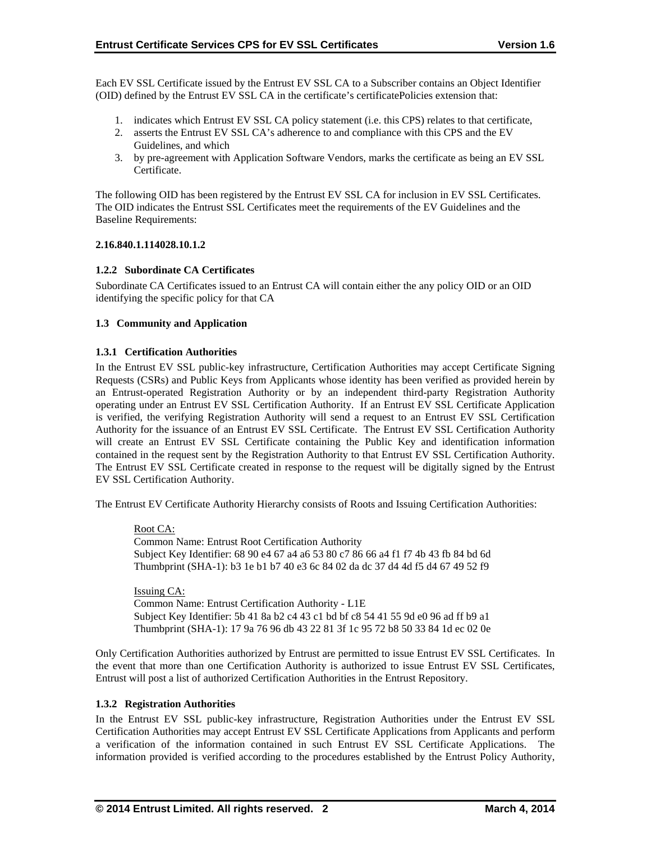Each EV SSL Certificate issued by the Entrust EV SSL CA to a Subscriber contains an Object Identifier (OID) defined by the Entrust EV SSL CA in the certificate's certificatePolicies extension that:

- 1. indicates which Entrust EV SSL CA policy statement (i.e. this CPS) relates to that certificate,
- 2. asserts the Entrust EV SSL CA's adherence to and compliance with this CPS and the EV Guidelines, and which
- 3. by pre-agreement with Application Software Vendors, marks the certificate as being an EV SSL Certificate.

The following OID has been registered by the Entrust EV SSL CA for inclusion in EV SSL Certificates. The OID indicates the Entrust SSL Certificates meet the requirements of the EV Guidelines and the Baseline Requirements:

#### **2.16.840.1.114028.10.1.2**

## **1.2.2 Subordinate CA Certificates**

Subordinate CA Certificates issued to an Entrust CA will contain either the any policy OID or an OID identifying the specific policy for that CA

## **1.3 Community and Application**

## **1.3.1 Certification Authorities**

In the Entrust EV SSL public-key infrastructure, Certification Authorities may accept Certificate Signing Requests (CSRs) and Public Keys from Applicants whose identity has been verified as provided herein by an Entrust-operated Registration Authority or by an independent third-party Registration Authority operating under an Entrust EV SSL Certification Authority. If an Entrust EV SSL Certificate Application is verified, the verifying Registration Authority will send a request to an Entrust EV SSL Certification Authority for the issuance of an Entrust EV SSL Certificate. The Entrust EV SSL Certification Authority will create an Entrust EV SSL Certificate containing the Public Key and identification information contained in the request sent by the Registration Authority to that Entrust EV SSL Certification Authority. The Entrust EV SSL Certificate created in response to the request will be digitally signed by the Entrust EV SSL Certification Authority.

The Entrust EV Certificate Authority Hierarchy consists of Roots and Issuing Certification Authorities:

Root CA: Common Name: Entrust Root Certification Authority Subject Key Identifier: 68 90 e4 67 a4 a6 53 80 c7 86 66 a4 f1 f7 4b 43 fb 84 bd 6d Thumbprint (SHA-1): b3 1e b1 b7 40 e3 6c 84 02 da dc 37 d4 4d f5 d4 67 49 52 f9

Issuing CA: Common Name: Entrust Certification Authority - L1E Subject Key Identifier: 5b 41 8a b2 c4 43 c1 bd bf c8 54 41 55 9d e0 96 ad ff b9 a1 Thumbprint (SHA-1): 17 9a 76 96 db 43 22 81 3f 1c 95 72 b8 50 33 84 1d ec 02 0e

Only Certification Authorities authorized by Entrust are permitted to issue Entrust EV SSL Certificates. In the event that more than one Certification Authority is authorized to issue Entrust EV SSL Certificates, Entrust will post a list of authorized Certification Authorities in the Entrust Repository.

#### **1.3.2 Registration Authorities**

In the Entrust EV SSL public-key infrastructure, Registration Authorities under the Entrust EV SSL Certification Authorities may accept Entrust EV SSL Certificate Applications from Applicants and perform a verification of the information contained in such Entrust EV SSL Certificate Applications. The information provided is verified according to the procedures established by the Entrust Policy Authority,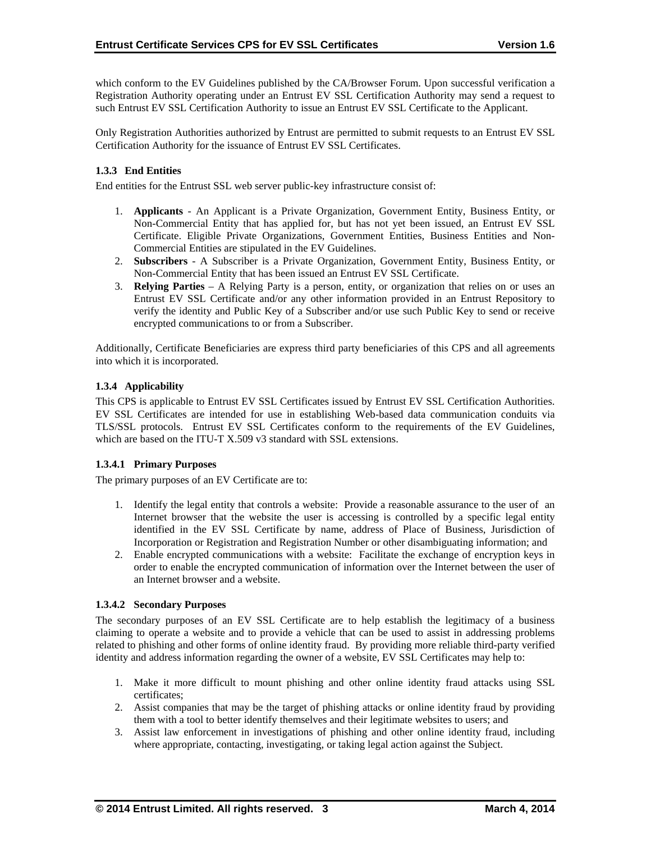which conform to the EV Guidelines published by the CA/Browser Forum. Upon successful verification a Registration Authority operating under an Entrust EV SSL Certification Authority may send a request to such Entrust EV SSL Certification Authority to issue an Entrust EV SSL Certificate to the Applicant.

Only Registration Authorities authorized by Entrust are permitted to submit requests to an Entrust EV SSL Certification Authority for the issuance of Entrust EV SSL Certificates.

## **1.3.3 End Entities**

End entities for the Entrust SSL web server public-key infrastructure consist of:

- 1. **Applicants** An Applicant is a Private Organization, Government Entity, Business Entity, or Non-Commercial Entity that has applied for, but has not yet been issued, an Entrust EV SSL Certificate. Eligible Private Organizations, Government Entities, Business Entities and Non-Commercial Entities are stipulated in the EV Guidelines.
- 2. **Subscribers**  A Subscriber is a Private Organization, Government Entity, Business Entity, or Non-Commercial Entity that has been issued an Entrust EV SSL Certificate.
- 3. **Relying Parties**  A Relying Party is a person, entity, or organization that relies on or uses an Entrust EV SSL Certificate and/or any other information provided in an Entrust Repository to verify the identity and Public Key of a Subscriber and/or use such Public Key to send or receive encrypted communications to or from a Subscriber.

Additionally, Certificate Beneficiaries are express third party beneficiaries of this CPS and all agreements into which it is incorporated.

## **1.3.4 Applicability**

This CPS is applicable to Entrust EV SSL Certificates issued by Entrust EV SSL Certification Authorities. EV SSL Certificates are intended for use in establishing Web-based data communication conduits via TLS/SSL protocols. Entrust EV SSL Certificates conform to the requirements of the EV Guidelines, which are based on the ITU-T X.509 v3 standard with SSL extensions.

#### **1.3.4.1 Primary Purposes**

The primary purposes of an EV Certificate are to:

- 1. Identify the legal entity that controls a website: Provide a reasonable assurance to the user of an Internet browser that the website the user is accessing is controlled by a specific legal entity identified in the EV SSL Certificate by name, address of Place of Business, Jurisdiction of Incorporation or Registration and Registration Number or other disambiguating information; and
- 2. Enable encrypted communications with a website: Facilitate the exchange of encryption keys in order to enable the encrypted communication of information over the Internet between the user of an Internet browser and a website.

#### **1.3.4.2 Secondary Purposes**

The secondary purposes of an EV SSL Certificate are to help establish the legitimacy of a business claiming to operate a website and to provide a vehicle that can be used to assist in addressing problems related to phishing and other forms of online identity fraud. By providing more reliable third-party verified identity and address information regarding the owner of a website, EV SSL Certificates may help to:

- 1. Make it more difficult to mount phishing and other online identity fraud attacks using SSL certificates;
- 2. Assist companies that may be the target of phishing attacks or online identity fraud by providing them with a tool to better identify themselves and their legitimate websites to users; and
- 3. Assist law enforcement in investigations of phishing and other online identity fraud, including where appropriate, contacting, investigating, or taking legal action against the Subject.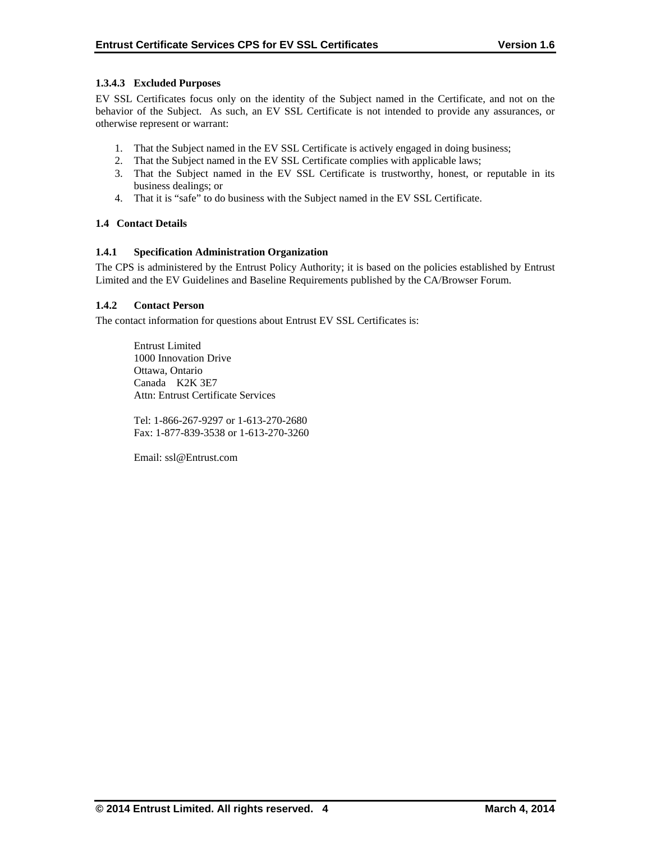# **1.3.4.3 Excluded Purposes**

EV SSL Certificates focus only on the identity of the Subject named in the Certificate, and not on the behavior of the Subject. As such, an EV SSL Certificate is not intended to provide any assurances, or otherwise represent or warrant:

- 1. That the Subject named in the EV SSL Certificate is actively engaged in doing business;
- 2. That the Subject named in the EV SSL Certificate complies with applicable laws;
- 3. That the Subject named in the EV SSL Certificate is trustworthy, honest, or reputable in its business dealings; or
- 4. That it is "safe" to do business with the Subject named in the EV SSL Certificate.

## **1.4 Contact Details**

## **1.4.1 Specification Administration Organization**

The CPS is administered by the Entrust Policy Authority; it is based on the policies established by Entrust Limited and the EV Guidelines and Baseline Requirements published by the CA/Browser Forum.

## **1.4.2 Contact Person**

The contact information for questions about Entrust EV SSL Certificates is:

 Entrust Limited 1000 Innovation Drive Ottawa, Ontario Canada K2K 3E7 Attn: Entrust Certificate Services

Tel: 1-866-267-9297 or 1-613-270-2680 Fax: 1-877-839-3538 or 1-613-270-3260

Email: ssl@Entrust.com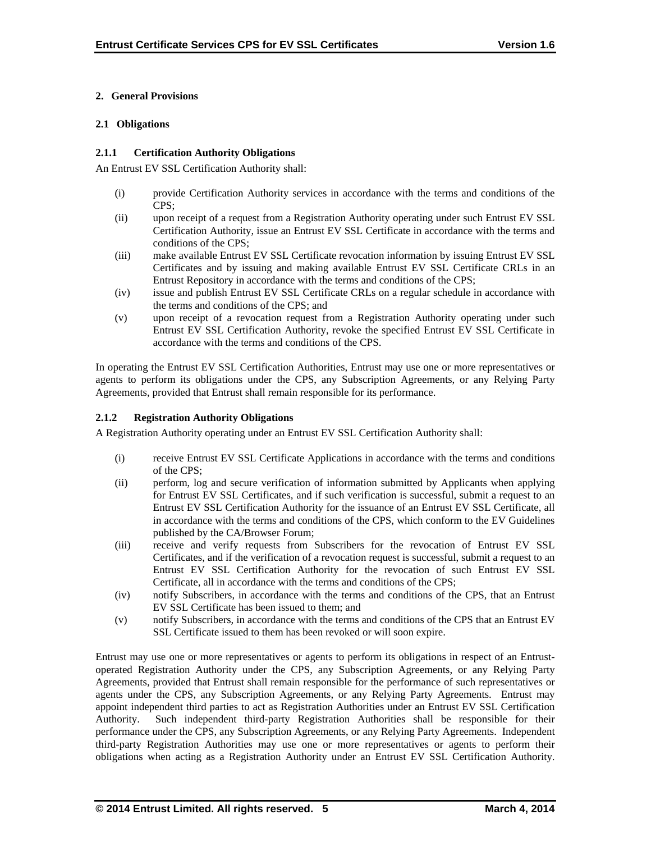# **2. General Provisions**

## **2.1 Obligations**

## **2.1.1 Certification Authority Obligations**

An Entrust EV SSL Certification Authority shall:

- (i) provide Certification Authority services in accordance with the terms and conditions of the CPS;
- (ii) upon receipt of a request from a Registration Authority operating under such Entrust EV SSL Certification Authority, issue an Entrust EV SSL Certificate in accordance with the terms and conditions of the CPS;
- (iii) make available Entrust EV SSL Certificate revocation information by issuing Entrust EV SSL Certificates and by issuing and making available Entrust EV SSL Certificate CRLs in an Entrust Repository in accordance with the terms and conditions of the CPS;
- (iv) issue and publish Entrust EV SSL Certificate CRLs on a regular schedule in accordance with the terms and conditions of the CPS; and
- (v) upon receipt of a revocation request from a Registration Authority operating under such Entrust EV SSL Certification Authority, revoke the specified Entrust EV SSL Certificate in accordance with the terms and conditions of the CPS.

In operating the Entrust EV SSL Certification Authorities, Entrust may use one or more representatives or agents to perform its obligations under the CPS, any Subscription Agreements, or any Relying Party Agreements, provided that Entrust shall remain responsible for its performance.

# **2.1.2 Registration Authority Obligations**

A Registration Authority operating under an Entrust EV SSL Certification Authority shall:

- (i) receive Entrust EV SSL Certificate Applications in accordance with the terms and conditions of the CPS;
- (ii) perform, log and secure verification of information submitted by Applicants when applying for Entrust EV SSL Certificates, and if such verification is successful, submit a request to an Entrust EV SSL Certification Authority for the issuance of an Entrust EV SSL Certificate, all in accordance with the terms and conditions of the CPS, which conform to the EV Guidelines published by the CA/Browser Forum;
- (iii) receive and verify requests from Subscribers for the revocation of Entrust EV SSL Certificates, and if the verification of a revocation request is successful, submit a request to an Entrust EV SSL Certification Authority for the revocation of such Entrust EV SSL Certificate, all in accordance with the terms and conditions of the CPS;
- (iv) notify Subscribers, in accordance with the terms and conditions of the CPS, that an Entrust EV SSL Certificate has been issued to them; and
- (v) notify Subscribers, in accordance with the terms and conditions of the CPS that an Entrust EV SSL Certificate issued to them has been revoked or will soon expire.

Entrust may use one or more representatives or agents to perform its obligations in respect of an Entrustoperated Registration Authority under the CPS, any Subscription Agreements, or any Relying Party Agreements, provided that Entrust shall remain responsible for the performance of such representatives or agents under the CPS, any Subscription Agreements, or any Relying Party Agreements. Entrust may appoint independent third parties to act as Registration Authorities under an Entrust EV SSL Certification Authority. Such independent third-party Registration Authorities shall be responsible for their performance under the CPS, any Subscription Agreements, or any Relying Party Agreements. Independent third-party Registration Authorities may use one or more representatives or agents to perform their obligations when acting as a Registration Authority under an Entrust EV SSL Certification Authority.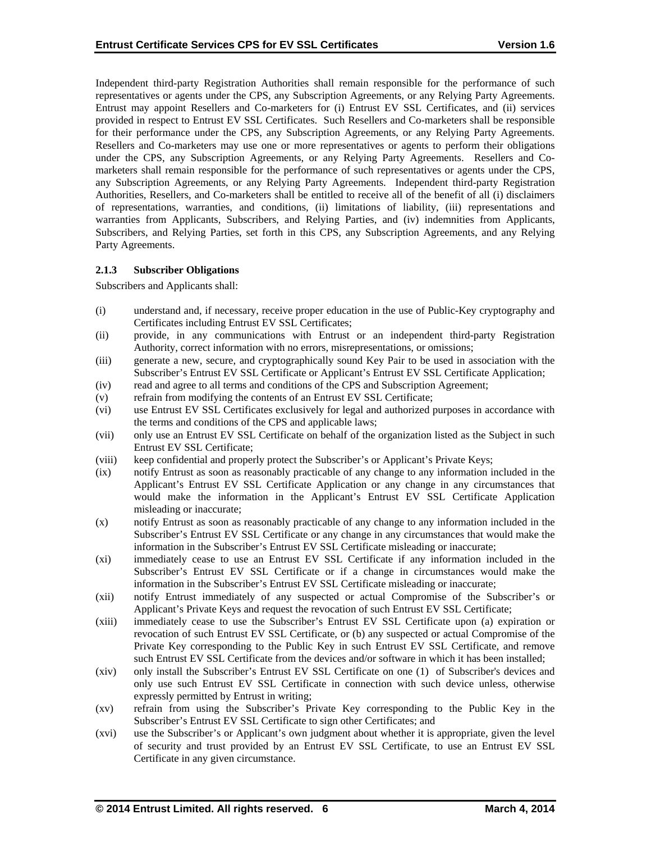Independent third-party Registration Authorities shall remain responsible for the performance of such representatives or agents under the CPS, any Subscription Agreements, or any Relying Party Agreements. Entrust may appoint Resellers and Co-marketers for (i) Entrust EV SSL Certificates, and (ii) services provided in respect to Entrust EV SSL Certificates. Such Resellers and Co-marketers shall be responsible for their performance under the CPS, any Subscription Agreements, or any Relying Party Agreements. Resellers and Co-marketers may use one or more representatives or agents to perform their obligations under the CPS, any Subscription Agreements, or any Relying Party Agreements. Resellers and Comarketers shall remain responsible for the performance of such representatives or agents under the CPS, any Subscription Agreements, or any Relying Party Agreements. Independent third-party Registration Authorities, Resellers, and Co-marketers shall be entitled to receive all of the benefit of all (i) disclaimers of representations, warranties, and conditions, (ii) limitations of liability, (iii) representations and warranties from Applicants, Subscribers, and Relying Parties, and (iv) indemnities from Applicants, Subscribers, and Relying Parties, set forth in this CPS, any Subscription Agreements, and any Relying Party Agreements.

#### **2.1.3 Subscriber Obligations**

Subscribers and Applicants shall:

- (i) understand and, if necessary, receive proper education in the use of Public-Key cryptography and Certificates including Entrust EV SSL Certificates;
- (ii) provide, in any communications with Entrust or an independent third-party Registration Authority, correct information with no errors, misrepresentations, or omissions;
- (iii) generate a new, secure, and cryptographically sound Key Pair to be used in association with the Subscriber's Entrust EV SSL Certificate or Applicant's Entrust EV SSL Certificate Application;
- (iv) read and agree to all terms and conditions of the CPS and Subscription Agreement;
- (v) refrain from modifying the contents of an Entrust EV SSL Certificate;
- (vi) use Entrust EV SSL Certificates exclusively for legal and authorized purposes in accordance with the terms and conditions of the CPS and applicable laws;
- (vii) only use an Entrust EV SSL Certificate on behalf of the organization listed as the Subject in such Entrust EV SSL Certificate;
- (viii) keep confidential and properly protect the Subscriber's or Applicant's Private Keys;
- (ix) notify Entrust as soon as reasonably practicable of any change to any information included in the Applicant's Entrust EV SSL Certificate Application or any change in any circumstances that would make the information in the Applicant's Entrust EV SSL Certificate Application misleading or inaccurate;
- (x) notify Entrust as soon as reasonably practicable of any change to any information included in the Subscriber's Entrust EV SSL Certificate or any change in any circumstances that would make the information in the Subscriber's Entrust EV SSL Certificate misleading or inaccurate;
- (xi) immediately cease to use an Entrust EV SSL Certificate if any information included in the Subscriber's Entrust EV SSL Certificate or if a change in circumstances would make the information in the Subscriber's Entrust EV SSL Certificate misleading or inaccurate;
- (xii) notify Entrust immediately of any suspected or actual Compromise of the Subscriber's or Applicant's Private Keys and request the revocation of such Entrust EV SSL Certificate;
- (xiii) immediately cease to use the Subscriber's Entrust EV SSL Certificate upon (a) expiration or revocation of such Entrust EV SSL Certificate, or (b) any suspected or actual Compromise of the Private Key corresponding to the Public Key in such Entrust EV SSL Certificate, and remove such Entrust EV SSL Certificate from the devices and/or software in which it has been installed;
- (xiv) only install the Subscriber's Entrust EV SSL Certificate on one (1) of Subscriber's devices and only use such Entrust EV SSL Certificate in connection with such device unless, otherwise expressly permitted by Entrust in writing;
- (xv) refrain from using the Subscriber's Private Key corresponding to the Public Key in the Subscriber's Entrust EV SSL Certificate to sign other Certificates; and
- (xvi) use the Subscriber's or Applicant's own judgment about whether it is appropriate, given the level of security and trust provided by an Entrust EV SSL Certificate, to use an Entrust EV SSL Certificate in any given circumstance.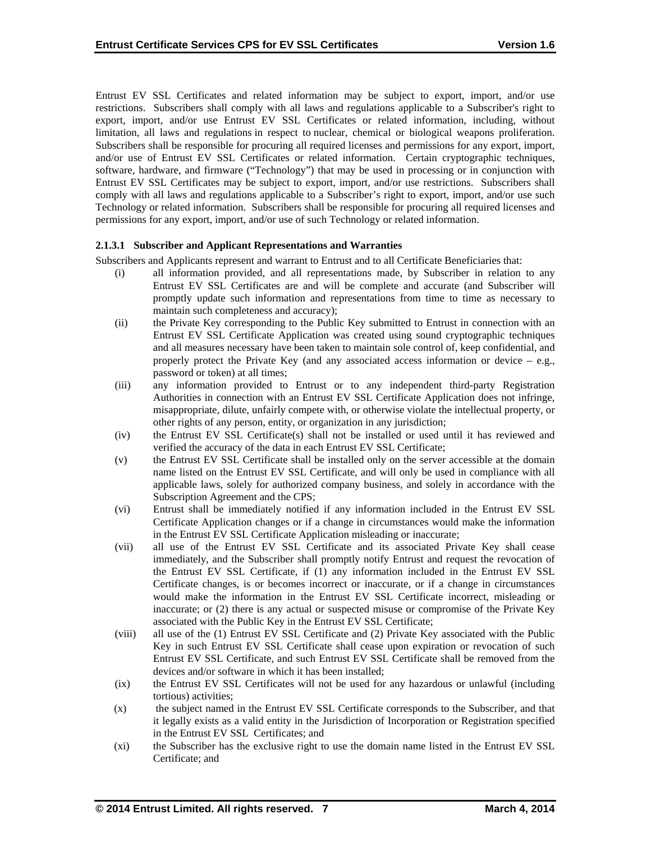Entrust EV SSL Certificates and related information may be subject to export, import, and/or use restrictions. Subscribers shall comply with all laws and regulations applicable to a Subscriber's right to export, import, and/or use Entrust EV SSL Certificates or related information, including, without limitation, all laws and regulations in respect to nuclear, chemical or biological weapons proliferation. Subscribers shall be responsible for procuring all required licenses and permissions for any export, import, and/or use of Entrust EV SSL Certificates or related information. Certain cryptographic techniques, software, hardware, and firmware ("Technology") that may be used in processing or in conjunction with Entrust EV SSL Certificates may be subject to export, import, and/or use restrictions. Subscribers shall comply with all laws and regulations applicable to a Subscriber's right to export, import, and/or use such Technology or related information. Subscribers shall be responsible for procuring all required licenses and permissions for any export, import, and/or use of such Technology or related information.

## **2.1.3.1 Subscriber and Applicant Representations and Warranties**

Subscribers and Applicants represent and warrant to Entrust and to all Certificate Beneficiaries that:

- (i) all information provided, and all representations made, by Subscriber in relation to any Entrust EV SSL Certificates are and will be complete and accurate (and Subscriber will promptly update such information and representations from time to time as necessary to maintain such completeness and accuracy);
- (ii) the Private Key corresponding to the Public Key submitted to Entrust in connection with an Entrust EV SSL Certificate Application was created using sound cryptographic techniques and all measures necessary have been taken to maintain sole control of, keep confidential, and properly protect the Private Key (and any associated access information or device  $-$  e.g., password or token) at all times;
- (iii) any information provided to Entrust or to any independent third-party Registration Authorities in connection with an Entrust EV SSL Certificate Application does not infringe, misappropriate, dilute, unfairly compete with, or otherwise violate the intellectual property, or other rights of any person, entity, or organization in any jurisdiction;
- (iv) the Entrust EV SSL Certificate(s) shall not be installed or used until it has reviewed and verified the accuracy of the data in each Entrust EV SSL Certificate;
- (v) the Entrust EV SSL Certificate shall be installed only on the server accessible at the domain name listed on the Entrust EV SSL Certificate, and will only be used in compliance with all applicable laws, solely for authorized company business, and solely in accordance with the Subscription Agreement and the CPS;
- (vi) Entrust shall be immediately notified if any information included in the Entrust EV SSL Certificate Application changes or if a change in circumstances would make the information in the Entrust EV SSL Certificate Application misleading or inaccurate;
- (vii) all use of the Entrust EV SSL Certificate and its associated Private Key shall cease immediately, and the Subscriber shall promptly notify Entrust and request the revocation of the Entrust EV SSL Certificate, if (1) any information included in the Entrust EV SSL Certificate changes, is or becomes incorrect or inaccurate, or if a change in circumstances would make the information in the Entrust EV SSL Certificate incorrect, misleading or inaccurate; or (2) there is any actual or suspected misuse or compromise of the Private Key associated with the Public Key in the Entrust EV SSL Certificate;
- (viii) all use of the (1) Entrust EV SSL Certificate and (2) Private Key associated with the Public Key in such Entrust EV SSL Certificate shall cease upon expiration or revocation of such Entrust EV SSL Certificate, and such Entrust EV SSL Certificate shall be removed from the devices and/or software in which it has been installed;
- (ix) the Entrust EV SSL Certificates will not be used for any hazardous or unlawful (including tortious) activities;
- (x) the subject named in the Entrust EV SSL Certificate corresponds to the Subscriber, and that it legally exists as a valid entity in the Jurisdiction of Incorporation or Registration specified in the Entrust EV SSL Certificates; and
- (xi) the Subscriber has the exclusive right to use the domain name listed in the Entrust EV SSL Certificate; and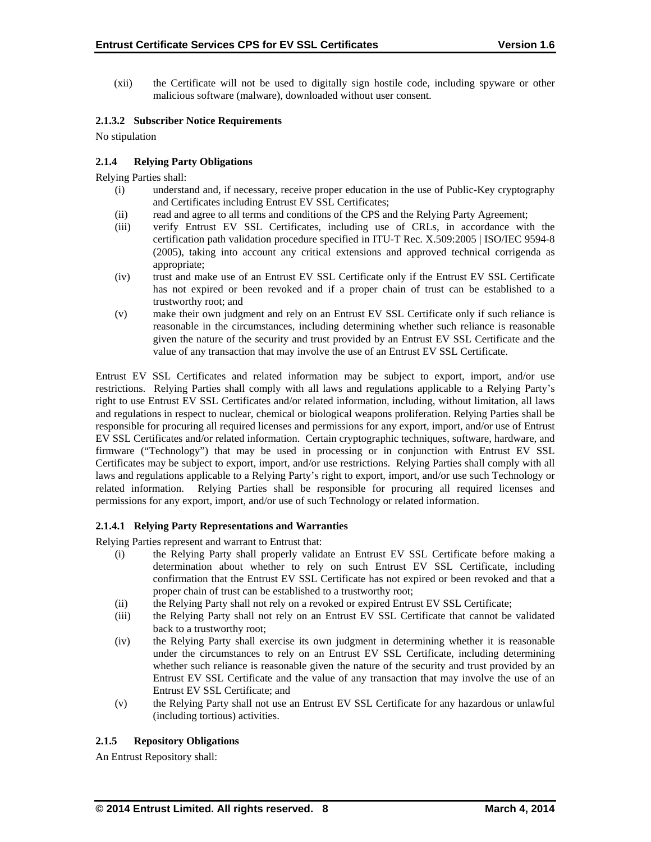(xii) the Certificate will not be used to digitally sign hostile code, including spyware or other malicious software (malware), downloaded without user consent.

#### **2.1.3.2 Subscriber Notice Requirements**

No stipulation

## **2.1.4 Relying Party Obligations**

Relying Parties shall:

- (i) understand and, if necessary, receive proper education in the use of Public-Key cryptography and Certificates including Entrust EV SSL Certificates;
- (ii) read and agree to all terms and conditions of the CPS and the Relying Party Agreement;
- (iii) verify Entrust EV SSL Certificates, including use of CRLs, in accordance with the certification path validation procedure specified in ITU-T Rec. X.509:2005 | ISO/IEC 9594-8 (2005), taking into account any critical extensions and approved technical corrigenda as appropriate;
- (iv) trust and make use of an Entrust EV SSL Certificate only if the Entrust EV SSL Certificate has not expired or been revoked and if a proper chain of trust can be established to a trustworthy root; and
- (v) make their own judgment and rely on an Entrust EV SSL Certificate only if such reliance is reasonable in the circumstances, including determining whether such reliance is reasonable given the nature of the security and trust provided by an Entrust EV SSL Certificate and the value of any transaction that may involve the use of an Entrust EV SSL Certificate.

Entrust EV SSL Certificates and related information may be subject to export, import, and/or use restrictions. Relying Parties shall comply with all laws and regulations applicable to a Relying Party's right to use Entrust EV SSL Certificates and/or related information, including, without limitation, all laws and regulations in respect to nuclear, chemical or biological weapons proliferation. Relying Parties shall be responsible for procuring all required licenses and permissions for any export, import, and/or use of Entrust EV SSL Certificates and/or related information. Certain cryptographic techniques, software, hardware, and firmware ("Technology") that may be used in processing or in conjunction with Entrust EV SSL Certificates may be subject to export, import, and/or use restrictions. Relying Parties shall comply with all laws and regulations applicable to a Relying Party's right to export, import, and/or use such Technology or related information. Relying Parties shall be responsible for procuring all required licenses and permissions for any export, import, and/or use of such Technology or related information.

#### **2.1.4.1 Relying Party Representations and Warranties**

Relying Parties represent and warrant to Entrust that:

- (i) the Relying Party shall properly validate an Entrust EV SSL Certificate before making a determination about whether to rely on such Entrust EV SSL Certificate, including confirmation that the Entrust EV SSL Certificate has not expired or been revoked and that a proper chain of trust can be established to a trustworthy root;
- (ii) the Relying Party shall not rely on a revoked or expired Entrust EV SSL Certificate;
- (iii) the Relying Party shall not rely on an Entrust EV SSL Certificate that cannot be validated back to a trustworthy root;
- (iv) the Relying Party shall exercise its own judgment in determining whether it is reasonable under the circumstances to rely on an Entrust EV SSL Certificate, including determining whether such reliance is reasonable given the nature of the security and trust provided by an Entrust EV SSL Certificate and the value of any transaction that may involve the use of an Entrust EV SSL Certificate; and
- (v) the Relying Party shall not use an Entrust EV SSL Certificate for any hazardous or unlawful (including tortious) activities.

# **2.1.5 Repository Obligations**

An Entrust Repository shall: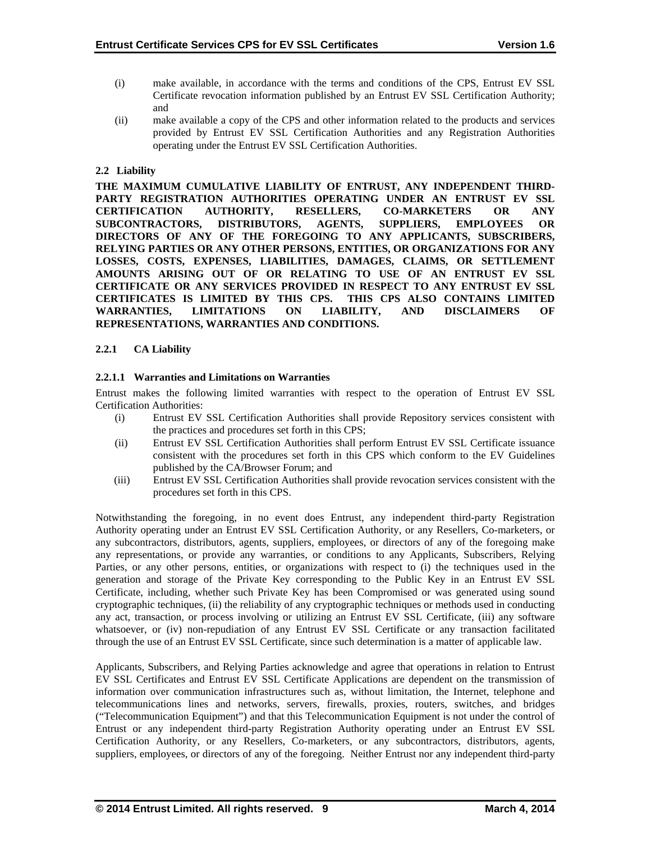- (i) make available, in accordance with the terms and conditions of the CPS, Entrust EV SSL Certificate revocation information published by an Entrust EV SSL Certification Authority; and
- (ii) make available a copy of the CPS and other information related to the products and services provided by Entrust EV SSL Certification Authorities and any Registration Authorities operating under the Entrust EV SSL Certification Authorities.

## **2.2 Liability**

**THE MAXIMUM CUMULATIVE LIABILITY OF ENTRUST, ANY INDEPENDENT THIRD-PARTY REGISTRATION AUTHORITIES OPERATING UNDER AN ENTRUST EV SSL CERTIFICATION AUTHORITY, RESELLERS, CO-MARKETERS OR ANY SUBCONTRACTORS, DISTRIBUTORS, AGENTS, SUPPLIERS, EMPLOYEES OR DIRECTORS OF ANY OF THE FOREGOING TO ANY APPLICANTS, SUBSCRIBERS, RELYING PARTIES OR ANY OTHER PERSONS, ENTITIES, OR ORGANIZATIONS FOR ANY LOSSES, COSTS, EXPENSES, LIABILITIES, DAMAGES, CLAIMS, OR SETTLEMENT AMOUNTS ARISING OUT OF OR RELATING TO USE OF AN ENTRUST EV SSL CERTIFICATE OR ANY SERVICES PROVIDED IN RESPECT TO ANY ENTRUST EV SSL CERTIFICATES IS LIMITED BY THIS CPS. THIS CPS ALSO CONTAINS LIMITED WARRANTIES, LIMITATIONS ON LIABILITY, AND DISCLAIMERS OF REPRESENTATIONS, WARRANTIES AND CONDITIONS.** 

## **2.2.1 CA Liability**

## **2.2.1.1 Warranties and Limitations on Warranties**

Entrust makes the following limited warranties with respect to the operation of Entrust EV SSL Certification Authorities:

- (i) Entrust EV SSL Certification Authorities shall provide Repository services consistent with the practices and procedures set forth in this CPS;
- (ii) Entrust EV SSL Certification Authorities shall perform Entrust EV SSL Certificate issuance consistent with the procedures set forth in this CPS which conform to the EV Guidelines published by the CA/Browser Forum; and
- (iii) Entrust EV SSL Certification Authorities shall provide revocation services consistent with the procedures set forth in this CPS.

Notwithstanding the foregoing, in no event does Entrust, any independent third-party Registration Authority operating under an Entrust EV SSL Certification Authority, or any Resellers, Co-marketers, or any subcontractors, distributors, agents, suppliers, employees, or directors of any of the foregoing make any representations, or provide any warranties, or conditions to any Applicants, Subscribers, Relying Parties, or any other persons, entities, or organizations with respect to (i) the techniques used in the generation and storage of the Private Key corresponding to the Public Key in an Entrust EV SSL Certificate, including, whether such Private Key has been Compromised or was generated using sound cryptographic techniques, (ii) the reliability of any cryptographic techniques or methods used in conducting any act, transaction, or process involving or utilizing an Entrust EV SSL Certificate, (iii) any software whatsoever, or (iv) non-repudiation of any Entrust EV SSL Certificate or any transaction facilitated through the use of an Entrust EV SSL Certificate, since such determination is a matter of applicable law.

Applicants, Subscribers, and Relying Parties acknowledge and agree that operations in relation to Entrust EV SSL Certificates and Entrust EV SSL Certificate Applications are dependent on the transmission of information over communication infrastructures such as, without limitation, the Internet, telephone and telecommunications lines and networks, servers, firewalls, proxies, routers, switches, and bridges ("Telecommunication Equipment") and that this Telecommunication Equipment is not under the control of Entrust or any independent third-party Registration Authority operating under an Entrust EV SSL Certification Authority, or any Resellers, Co-marketers, or any subcontractors, distributors, agents, suppliers, employees, or directors of any of the foregoing. Neither Entrust nor any independent third-party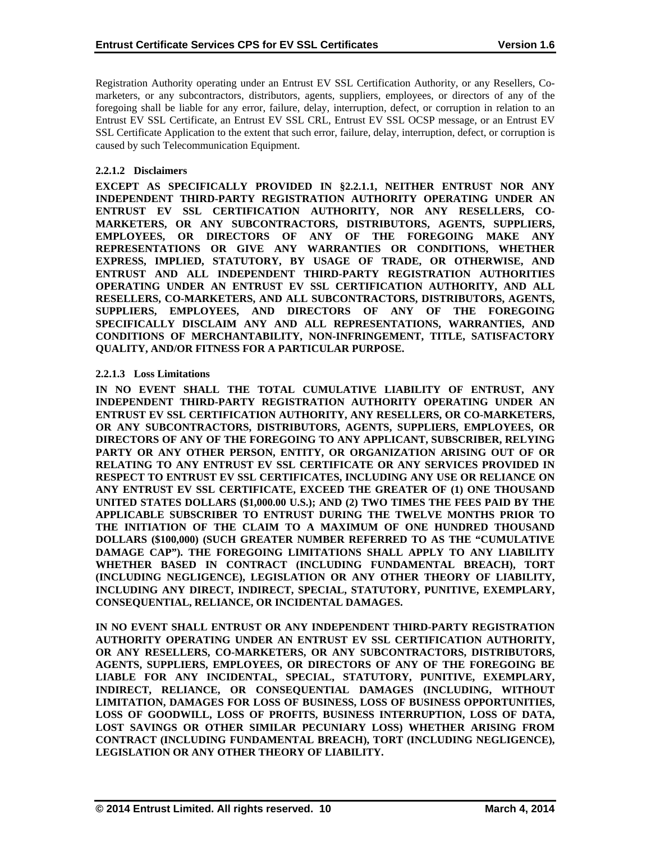Registration Authority operating under an Entrust EV SSL Certification Authority, or any Resellers, Comarketers, or any subcontractors, distributors, agents, suppliers, employees, or directors of any of the foregoing shall be liable for any error, failure, delay, interruption, defect, or corruption in relation to an Entrust EV SSL Certificate, an Entrust EV SSL CRL, Entrust EV SSL OCSP message, or an Entrust EV SSL Certificate Application to the extent that such error, failure, delay, interruption, defect, or corruption is caused by such Telecommunication Equipment.

#### **2.2.1.2 Disclaimers**

**EXCEPT AS SPECIFICALLY PROVIDED IN §2.2.1.1, NEITHER ENTRUST NOR ANY INDEPENDENT THIRD-PARTY REGISTRATION AUTHORITY OPERATING UNDER AN ENTRUST EV SSL CERTIFICATION AUTHORITY, NOR ANY RESELLERS, CO-MARKETERS, OR ANY SUBCONTRACTORS, DISTRIBUTORS, AGENTS, SUPPLIERS, EMPLOYEES, OR DIRECTORS OF ANY OF THE FOREGOING MAKE ANY REPRESENTATIONS OR GIVE ANY WARRANTIES OR CONDITIONS, WHETHER EXPRESS, IMPLIED, STATUTORY, BY USAGE OF TRADE, OR OTHERWISE, AND ENTRUST AND ALL INDEPENDENT THIRD-PARTY REGISTRATION AUTHORITIES OPERATING UNDER AN ENTRUST EV SSL CERTIFICATION AUTHORITY, AND ALL RESELLERS, CO-MARKETERS, AND ALL SUBCONTRACTORS, DISTRIBUTORS, AGENTS, SUPPLIERS, EMPLOYEES, AND DIRECTORS OF ANY OF THE FOREGOING SPECIFICALLY DISCLAIM ANY AND ALL REPRESENTATIONS, WARRANTIES, AND CONDITIONS OF MERCHANTABILITY, NON-INFRINGEMENT, TITLE, SATISFACTORY QUALITY, AND/OR FITNESS FOR A PARTICULAR PURPOSE.** 

#### **2.2.1.3 Loss Limitations**

**IN NO EVENT SHALL THE TOTAL CUMULATIVE LIABILITY OF ENTRUST, ANY INDEPENDENT THIRD-PARTY REGISTRATION AUTHORITY OPERATING UNDER AN ENTRUST EV SSL CERTIFICATION AUTHORITY, ANY RESELLERS, OR CO-MARKETERS, OR ANY SUBCONTRACTORS, DISTRIBUTORS, AGENTS, SUPPLIERS, EMPLOYEES, OR DIRECTORS OF ANY OF THE FOREGOING TO ANY APPLICANT, SUBSCRIBER, RELYING PARTY OR ANY OTHER PERSON, ENTITY, OR ORGANIZATION ARISING OUT OF OR RELATING TO ANY ENTRUST EV SSL CERTIFICATE OR ANY SERVICES PROVIDED IN RESPECT TO ENTRUST EV SSL CERTIFICATES, INCLUDING ANY USE OR RELIANCE ON ANY ENTRUST EV SSL CERTIFICATE, EXCEED THE GREATER OF (1) ONE THOUSAND UNITED STATES DOLLARS (\$1,000.00 U.S.); AND (2) TWO TIMES THE FEES PAID BY THE APPLICABLE SUBSCRIBER TO ENTRUST DURING THE TWELVE MONTHS PRIOR TO THE INITIATION OF THE CLAIM TO A MAXIMUM OF ONE HUNDRED THOUSAND DOLLARS (\$100,000) (SUCH GREATER NUMBER REFERRED TO AS THE "CUMULATIVE DAMAGE CAP"). THE FOREGOING LIMITATIONS SHALL APPLY TO ANY LIABILITY WHETHER BASED IN CONTRACT (INCLUDING FUNDAMENTAL BREACH), TORT (INCLUDING NEGLIGENCE), LEGISLATION OR ANY OTHER THEORY OF LIABILITY, INCLUDING ANY DIRECT, INDIRECT, SPECIAL, STATUTORY, PUNITIVE, EXEMPLARY, CONSEQUENTIAL, RELIANCE, OR INCIDENTAL DAMAGES.** 

**IN NO EVENT SHALL ENTRUST OR ANY INDEPENDENT THIRD-PARTY REGISTRATION AUTHORITY OPERATING UNDER AN ENTRUST EV SSL CERTIFICATION AUTHORITY, OR ANY RESELLERS, CO-MARKETERS, OR ANY SUBCONTRACTORS, DISTRIBUTORS, AGENTS, SUPPLIERS, EMPLOYEES, OR DIRECTORS OF ANY OF THE FOREGOING BE LIABLE FOR ANY INCIDENTAL, SPECIAL, STATUTORY, PUNITIVE, EXEMPLARY, INDIRECT, RELIANCE, OR CONSEQUENTIAL DAMAGES (INCLUDING, WITHOUT LIMITATION, DAMAGES FOR LOSS OF BUSINESS, LOSS OF BUSINESS OPPORTUNITIES, LOSS OF GOODWILL, LOSS OF PROFITS, BUSINESS INTERRUPTION, LOSS OF DATA, LOST SAVINGS OR OTHER SIMILAR PECUNIARY LOSS) WHETHER ARISING FROM CONTRACT (INCLUDING FUNDAMENTAL BREACH), TORT (INCLUDING NEGLIGENCE), LEGISLATION OR ANY OTHER THEORY OF LIABILITY.**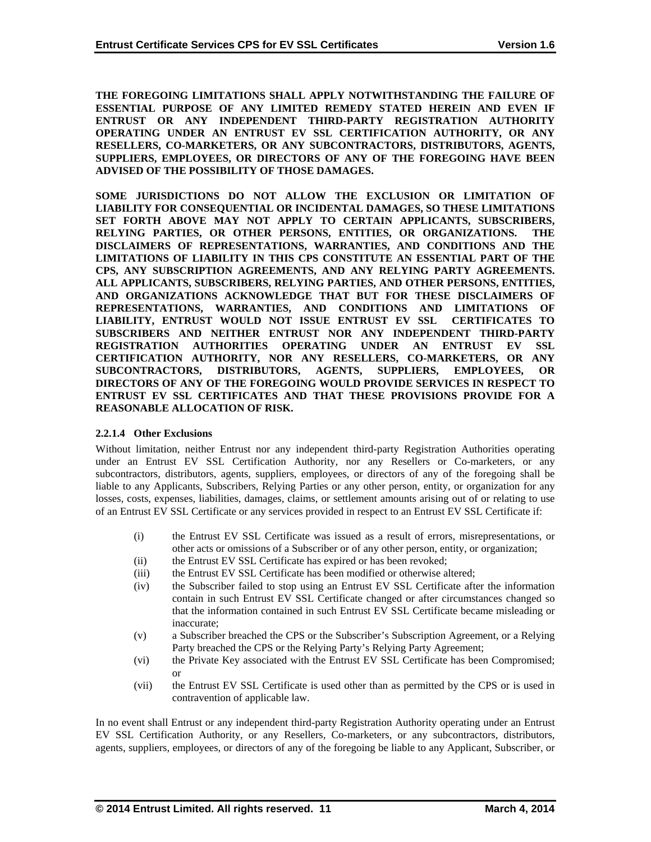**THE FOREGOING LIMITATIONS SHALL APPLY NOTWITHSTANDING THE FAILURE OF ESSENTIAL PURPOSE OF ANY LIMITED REMEDY STATED HEREIN AND EVEN IF ENTRUST OR ANY INDEPENDENT THIRD-PARTY REGISTRATION AUTHORITY OPERATING UNDER AN ENTRUST EV SSL CERTIFICATION AUTHORITY, OR ANY RESELLERS, CO-MARKETERS, OR ANY SUBCONTRACTORS, DISTRIBUTORS, AGENTS, SUPPLIERS, EMPLOYEES, OR DIRECTORS OF ANY OF THE FOREGOING HAVE BEEN ADVISED OF THE POSSIBILITY OF THOSE DAMAGES.** 

**SOME JURISDICTIONS DO NOT ALLOW THE EXCLUSION OR LIMITATION OF LIABILITY FOR CONSEQUENTIAL OR INCIDENTAL DAMAGES, SO THESE LIMITATIONS SET FORTH ABOVE MAY NOT APPLY TO CERTAIN APPLICANTS, SUBSCRIBERS,**  RELYING PARTIES, OR OTHER PERSONS, ENTITIES, OR ORGANIZATIONS. **DISCLAIMERS OF REPRESENTATIONS, WARRANTIES, AND CONDITIONS AND THE LIMITATIONS OF LIABILITY IN THIS CPS CONSTITUTE AN ESSENTIAL PART OF THE CPS, ANY SUBSCRIPTION AGREEMENTS, AND ANY RELYING PARTY AGREEMENTS. ALL APPLICANTS, SUBSCRIBERS, RELYING PARTIES, AND OTHER PERSONS, ENTITIES, AND ORGANIZATIONS ACKNOWLEDGE THAT BUT FOR THESE DISCLAIMERS OF REPRESENTATIONS, WARRANTIES, AND CONDITIONS AND LIMITATIONS OF LIABILITY, ENTRUST WOULD NOT ISSUE ENTRUST EV SSL CERTIFICATES TO SUBSCRIBERS AND NEITHER ENTRUST NOR ANY INDEPENDENT THIRD-PARTY REGISTRATION AUTHORITIES OPERATING UNDER AN ENTRUST EV SSL CERTIFICATION AUTHORITY, NOR ANY RESELLERS, CO-MARKETERS, OR ANY SUBCONTRACTORS, DISTRIBUTORS, AGENTS, SUPPLIERS, EMPLOYEES, OR DIRECTORS OF ANY OF THE FOREGOING WOULD PROVIDE SERVICES IN RESPECT TO ENTRUST EV SSL CERTIFICATES AND THAT THESE PROVISIONS PROVIDE FOR A REASONABLE ALLOCATION OF RISK.** 

# **2.2.1.4 Other Exclusions**

Without limitation, neither Entrust nor any independent third-party Registration Authorities operating under an Entrust EV SSL Certification Authority, nor any Resellers or Co-marketers, or any subcontractors, distributors, agents, suppliers, employees, or directors of any of the foregoing shall be liable to any Applicants, Subscribers, Relying Parties or any other person, entity, or organization for any losses, costs, expenses, liabilities, damages, claims, or settlement amounts arising out of or relating to use of an Entrust EV SSL Certificate or any services provided in respect to an Entrust EV SSL Certificate if:

- (i) the Entrust EV SSL Certificate was issued as a result of errors, misrepresentations, or other acts or omissions of a Subscriber or of any other person, entity, or organization;
- (ii) the Entrust EV SSL Certificate has expired or has been revoked;
- (iii) the Entrust EV SSL Certificate has been modified or otherwise altered;
- (iv) the Subscriber failed to stop using an Entrust EV SSL Certificate after the information contain in such Entrust EV SSL Certificate changed or after circumstances changed so that the information contained in such Entrust EV SSL Certificate became misleading or inaccurate;
- (v) a Subscriber breached the CPS or the Subscriber's Subscription Agreement, or a Relying Party breached the CPS or the Relying Party's Relying Party Agreement;
- (vi) the Private Key associated with the Entrust EV SSL Certificate has been Compromised; or
- (vii) the Entrust EV SSL Certificate is used other than as permitted by the CPS or is used in contravention of applicable law.

In no event shall Entrust or any independent third-party Registration Authority operating under an Entrust EV SSL Certification Authority, or any Resellers, Co-marketers, or any subcontractors, distributors, agents, suppliers, employees, or directors of any of the foregoing be liable to any Applicant, Subscriber, or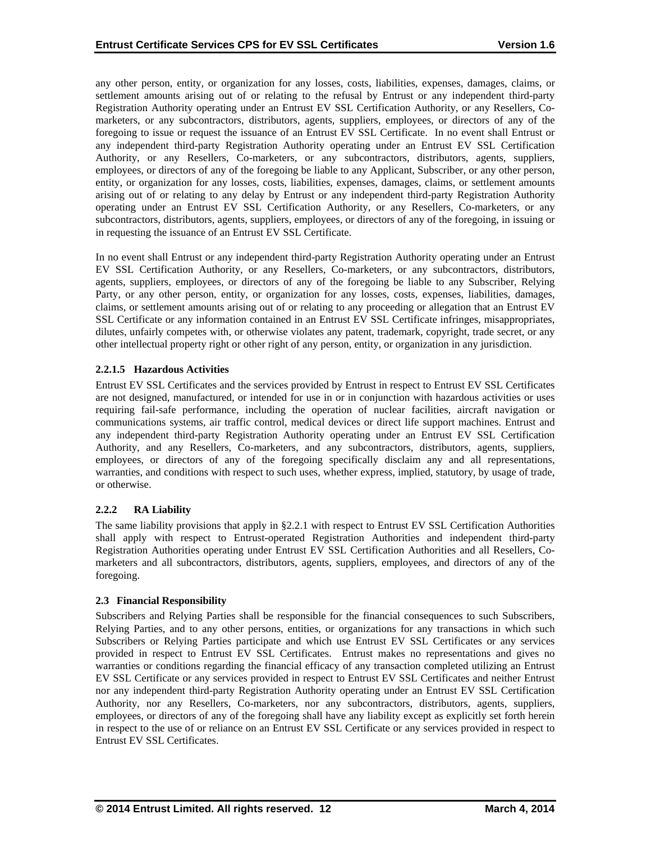any other person, entity, or organization for any losses, costs, liabilities, expenses, damages, claims, or settlement amounts arising out of or relating to the refusal by Entrust or any independent third-party Registration Authority operating under an Entrust EV SSL Certification Authority, or any Resellers, Comarketers, or any subcontractors, distributors, agents, suppliers, employees, or directors of any of the foregoing to issue or request the issuance of an Entrust EV SSL Certificate. In no event shall Entrust or any independent third-party Registration Authority operating under an Entrust EV SSL Certification Authority, or any Resellers, Co-marketers, or any subcontractors, distributors, agents, suppliers, employees, or directors of any of the foregoing be liable to any Applicant, Subscriber, or any other person, entity, or organization for any losses, costs, liabilities, expenses, damages, claims, or settlement amounts arising out of or relating to any delay by Entrust or any independent third-party Registration Authority operating under an Entrust EV SSL Certification Authority, or any Resellers, Co-marketers, or any subcontractors, distributors, agents, suppliers, employees, or directors of any of the foregoing, in issuing or in requesting the issuance of an Entrust EV SSL Certificate.

In no event shall Entrust or any independent third-party Registration Authority operating under an Entrust EV SSL Certification Authority, or any Resellers, Co-marketers, or any subcontractors, distributors, agents, suppliers, employees, or directors of any of the foregoing be liable to any Subscriber, Relying Party, or any other person, entity, or organization for any losses, costs, expenses, liabilities, damages, claims, or settlement amounts arising out of or relating to any proceeding or allegation that an Entrust EV SSL Certificate or any information contained in an Entrust EV SSL Certificate infringes, misappropriates, dilutes, unfairly competes with, or otherwise violates any patent, trademark, copyright, trade secret, or any other intellectual property right or other right of any person, entity, or organization in any jurisdiction.

## **2.2.1.5 Hazardous Activities**

Entrust EV SSL Certificates and the services provided by Entrust in respect to Entrust EV SSL Certificates are not designed, manufactured, or intended for use in or in conjunction with hazardous activities or uses requiring fail-safe performance, including the operation of nuclear facilities, aircraft navigation or communications systems, air traffic control, medical devices or direct life support machines. Entrust and any independent third-party Registration Authority operating under an Entrust EV SSL Certification Authority, and any Resellers, Co-marketers, and any subcontractors, distributors, agents, suppliers, employees, or directors of any of the foregoing specifically disclaim any and all representations, warranties, and conditions with respect to such uses, whether express, implied, statutory, by usage of trade, or otherwise.

# **2.2.2 RA Liability**

The same liability provisions that apply in §2.2.1 with respect to Entrust EV SSL Certification Authorities shall apply with respect to Entrust-operated Registration Authorities and independent third-party Registration Authorities operating under Entrust EV SSL Certification Authorities and all Resellers, Comarketers and all subcontractors, distributors, agents, suppliers, employees, and directors of any of the foregoing.

#### **2.3 Financial Responsibility**

Subscribers and Relying Parties shall be responsible for the financial consequences to such Subscribers, Relying Parties, and to any other persons, entities, or organizations for any transactions in which such Subscribers or Relying Parties participate and which use Entrust EV SSL Certificates or any services provided in respect to Entrust EV SSL Certificates. Entrust makes no representations and gives no warranties or conditions regarding the financial efficacy of any transaction completed utilizing an Entrust EV SSL Certificate or any services provided in respect to Entrust EV SSL Certificates and neither Entrust nor any independent third-party Registration Authority operating under an Entrust EV SSL Certification Authority, nor any Resellers, Co-marketers, nor any subcontractors, distributors, agents, suppliers, employees, or directors of any of the foregoing shall have any liability except as explicitly set forth herein in respect to the use of or reliance on an Entrust EV SSL Certificate or any services provided in respect to Entrust EV SSL Certificates.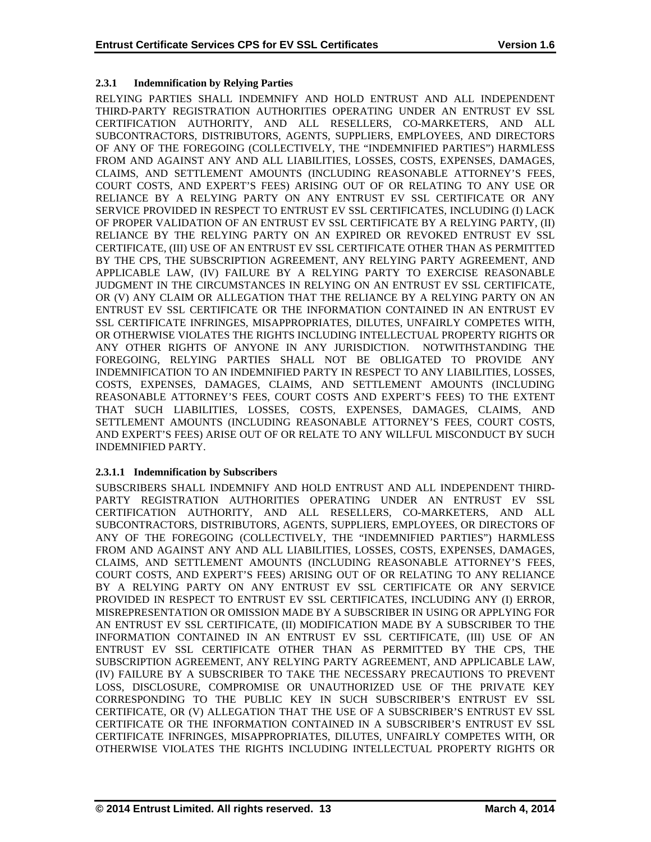# **2.3.1 Indemnification by Relying Parties**

RELYING PARTIES SHALL INDEMNIFY AND HOLD ENTRUST AND ALL INDEPENDENT THIRD-PARTY REGISTRATION AUTHORITIES OPERATING UNDER AN ENTRUST EV SSL CERTIFICATION AUTHORITY, AND ALL RESELLERS, CO-MARKETERS, AND ALL SUBCONTRACTORS, DISTRIBUTORS, AGENTS, SUPPLIERS, EMPLOYEES, AND DIRECTORS OF ANY OF THE FOREGOING (COLLECTIVELY, THE "INDEMNIFIED PARTIES") HARMLESS FROM AND AGAINST ANY AND ALL LIABILITIES, LOSSES, COSTS, EXPENSES, DAMAGES, CLAIMS, AND SETTLEMENT AMOUNTS (INCLUDING REASONABLE ATTORNEY'S FEES, COURT COSTS, AND EXPERT'S FEES) ARISING OUT OF OR RELATING TO ANY USE OR RELIANCE BY A RELYING PARTY ON ANY ENTRUST EV SSL CERTIFICATE OR ANY SERVICE PROVIDED IN RESPECT TO ENTRUST EV SSL CERTIFICATES, INCLUDING (I) LACK OF PROPER VALIDATION OF AN ENTRUST EV SSL CERTIFICATE BY A RELYING PARTY, (II) RELIANCE BY THE RELYING PARTY ON AN EXPIRED OR REVOKED ENTRUST EV SSL CERTIFICATE, (III) USE OF AN ENTRUST EV SSL CERTIFICATE OTHER THAN AS PERMITTED BY THE CPS, THE SUBSCRIPTION AGREEMENT, ANY RELYING PARTY AGREEMENT, AND APPLICABLE LAW, (IV) FAILURE BY A RELYING PARTY TO EXERCISE REASONABLE JUDGMENT IN THE CIRCUMSTANCES IN RELYING ON AN ENTRUST EV SSL CERTIFICATE, OR (V) ANY CLAIM OR ALLEGATION THAT THE RELIANCE BY A RELYING PARTY ON AN ENTRUST EV SSL CERTIFICATE OR THE INFORMATION CONTAINED IN AN ENTRUST EV SSL CERTIFICATE INFRINGES, MISAPPROPRIATES, DILUTES, UNFAIRLY COMPETES WITH, OR OTHERWISE VIOLATES THE RIGHTS INCLUDING INTELLECTUAL PROPERTY RIGHTS OR ANY OTHER RIGHTS OF ANYONE IN ANY JURISDICTION. NOTWITHSTANDING THE FOREGOING, RELYING PARTIES SHALL NOT BE OBLIGATED TO PROVIDE ANY INDEMNIFICATION TO AN INDEMNIFIED PARTY IN RESPECT TO ANY LIABILITIES, LOSSES, COSTS, EXPENSES, DAMAGES, CLAIMS, AND SETTLEMENT AMOUNTS (INCLUDING REASONABLE ATTORNEY'S FEES, COURT COSTS AND EXPERT'S FEES) TO THE EXTENT THAT SUCH LIABILITIES, LOSSES, COSTS, EXPENSES, DAMAGES, CLAIMS, AND SETTLEMENT AMOUNTS (INCLUDING REASONABLE ATTORNEY'S FEES, COURT COSTS, AND EXPERT'S FEES) ARISE OUT OF OR RELATE TO ANY WILLFUL MISCONDUCT BY SUCH INDEMNIFIED PARTY.

# **2.3.1.1 Indemnification by Subscribers**

SUBSCRIBERS SHALL INDEMNIFY AND HOLD ENTRUST AND ALL INDEPENDENT THIRD-PARTY REGISTRATION AUTHORITIES OPERATING UNDER AN ENTRUST EV SSL CERTIFICATION AUTHORITY, AND ALL RESELLERS, CO-MARKETERS, AND ALL SUBCONTRACTORS, DISTRIBUTORS, AGENTS, SUPPLIERS, EMPLOYEES, OR DIRECTORS OF ANY OF THE FOREGOING (COLLECTIVELY, THE "INDEMNIFIED PARTIES") HARMLESS FROM AND AGAINST ANY AND ALL LIABILITIES, LOSSES, COSTS, EXPENSES, DAMAGES, CLAIMS, AND SETTLEMENT AMOUNTS (INCLUDING REASONABLE ATTORNEY'S FEES, COURT COSTS, AND EXPERT'S FEES) ARISING OUT OF OR RELATING TO ANY RELIANCE BY A RELYING PARTY ON ANY ENTRUST EV SSL CERTIFICATE OR ANY SERVICE PROVIDED IN RESPECT TO ENTRUST EV SSL CERTIFICATES, INCLUDING ANY (I) ERROR, MISREPRESENTATION OR OMISSION MADE BY A SUBSCRIBER IN USING OR APPLYING FOR AN ENTRUST EV SSL CERTIFICATE, (II) MODIFICATION MADE BY A SUBSCRIBER TO THE INFORMATION CONTAINED IN AN ENTRUST EV SSL CERTIFICATE, (III) USE OF AN ENTRUST EV SSL CERTIFICATE OTHER THAN AS PERMITTED BY THE CPS, THE SUBSCRIPTION AGREEMENT, ANY RELYING PARTY AGREEMENT, AND APPLICABLE LAW, (IV) FAILURE BY A SUBSCRIBER TO TAKE THE NECESSARY PRECAUTIONS TO PREVENT LOSS, DISCLOSURE, COMPROMISE OR UNAUTHORIZED USE OF THE PRIVATE KEY CORRESPONDING TO THE PUBLIC KEY IN SUCH SUBSCRIBER'S ENTRUST EV SSL CERTIFICATE, OR (V) ALLEGATION THAT THE USE OF A SUBSCRIBER'S ENTRUST EV SSL CERTIFICATE OR THE INFORMATION CONTAINED IN A SUBSCRIBER'S ENTRUST EV SSL CERTIFICATE INFRINGES, MISAPPROPRIATES, DILUTES, UNFAIRLY COMPETES WITH, OR OTHERWISE VIOLATES THE RIGHTS INCLUDING INTELLECTUAL PROPERTY RIGHTS OR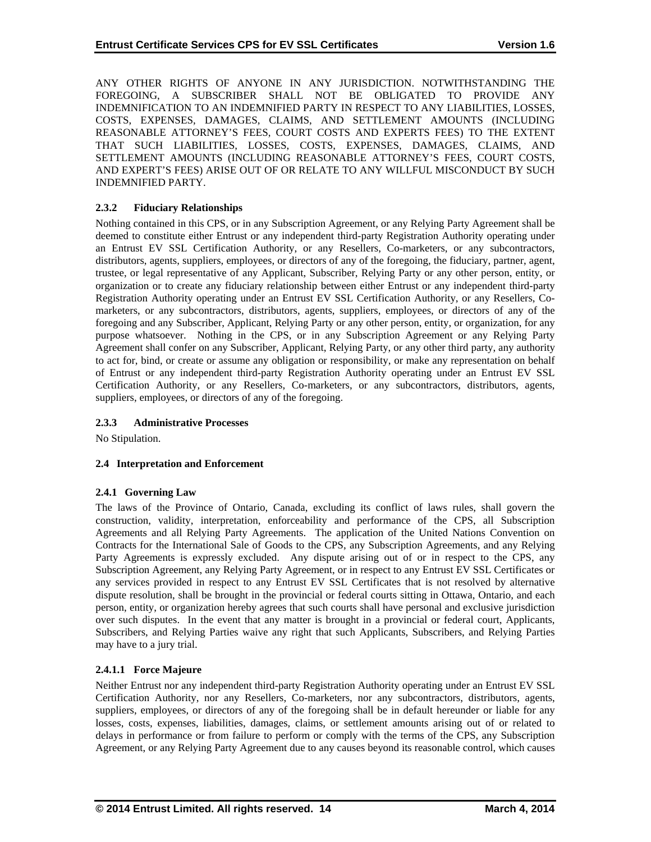ANY OTHER RIGHTS OF ANYONE IN ANY JURISDICTION. NOTWITHSTANDING THE FOREGOING, A SUBSCRIBER SHALL NOT BE OBLIGATED TO PROVIDE ANY INDEMNIFICATION TO AN INDEMNIFIED PARTY IN RESPECT TO ANY LIABILITIES, LOSSES, COSTS, EXPENSES, DAMAGES, CLAIMS, AND SETTLEMENT AMOUNTS (INCLUDING REASONABLE ATTORNEY'S FEES, COURT COSTS AND EXPERTS FEES) TO THE EXTENT THAT SUCH LIABILITIES, LOSSES, COSTS, EXPENSES, DAMAGES, CLAIMS, AND SETTLEMENT AMOUNTS (INCLUDING REASONABLE ATTORNEY'S FEES, COURT COSTS, AND EXPERT'S FEES) ARISE OUT OF OR RELATE TO ANY WILLFUL MISCONDUCT BY SUCH INDEMNIFIED PARTY.

# **2.3.2 Fiduciary Relationships**

Nothing contained in this CPS, or in any Subscription Agreement, or any Relying Party Agreement shall be deemed to constitute either Entrust or any independent third-party Registration Authority operating under an Entrust EV SSL Certification Authority, or any Resellers, Co-marketers, or any subcontractors, distributors, agents, suppliers, employees, or directors of any of the foregoing, the fiduciary, partner, agent, trustee, or legal representative of any Applicant, Subscriber, Relying Party or any other person, entity, or organization or to create any fiduciary relationship between either Entrust or any independent third-party Registration Authority operating under an Entrust EV SSL Certification Authority, or any Resellers, Comarketers, or any subcontractors, distributors, agents, suppliers, employees, or directors of any of the foregoing and any Subscriber, Applicant, Relying Party or any other person, entity, or organization, for any purpose whatsoever. Nothing in the CPS, or in any Subscription Agreement or any Relying Party Agreement shall confer on any Subscriber, Applicant, Relying Party, or any other third party, any authority to act for, bind, or create or assume any obligation or responsibility, or make any representation on behalf of Entrust or any independent third-party Registration Authority operating under an Entrust EV SSL Certification Authority, or any Resellers, Co-marketers, or any subcontractors, distributors, agents, suppliers, employees, or directors of any of the foregoing.

# **2.3.3 Administrative Processes**

No Stipulation.

# **2.4 Interpretation and Enforcement**

#### **2.4.1 Governing Law**

The laws of the Province of Ontario, Canada, excluding its conflict of laws rules, shall govern the construction, validity, interpretation, enforceability and performance of the CPS, all Subscription Agreements and all Relying Party Agreements. The application of the United Nations Convention on Contracts for the International Sale of Goods to the CPS, any Subscription Agreements, and any Relying Party Agreements is expressly excluded. Any dispute arising out of or in respect to the CPS, any Subscription Agreement, any Relying Party Agreement, or in respect to any Entrust EV SSL Certificates or any services provided in respect to any Entrust EV SSL Certificates that is not resolved by alternative dispute resolution, shall be brought in the provincial or federal courts sitting in Ottawa, Ontario, and each person, entity, or organization hereby agrees that such courts shall have personal and exclusive jurisdiction over such disputes. In the event that any matter is brought in a provincial or federal court, Applicants, Subscribers, and Relying Parties waive any right that such Applicants, Subscribers, and Relying Parties may have to a jury trial.

# **2.4.1.1 Force Majeure**

Neither Entrust nor any independent third-party Registration Authority operating under an Entrust EV SSL Certification Authority, nor any Resellers, Co-marketers, nor any subcontractors, distributors, agents, suppliers, employees, or directors of any of the foregoing shall be in default hereunder or liable for any losses, costs, expenses, liabilities, damages, claims, or settlement amounts arising out of or related to delays in performance or from failure to perform or comply with the terms of the CPS, any Subscription Agreement, or any Relying Party Agreement due to any causes beyond its reasonable control, which causes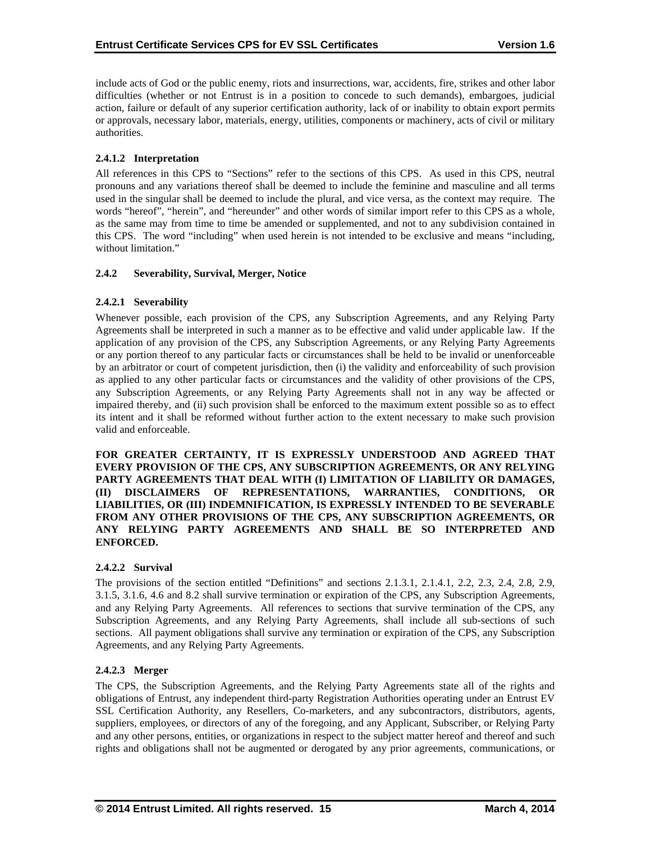include acts of God or the public enemy, riots and insurrections, war, accidents, fire, strikes and other labor difficulties (whether or not Entrust is in a position to concede to such demands), embargoes, judicial action, failure or default of any superior certification authority, lack of or inability to obtain export permits or approvals, necessary labor, materials, energy, utilities, components or machinery, acts of civil or military authorities.

# **2.4.1.2 Interpretation**

All references in this CPS to "Sections" refer to the sections of this CPS. As used in this CPS, neutral pronouns and any variations thereof shall be deemed to include the feminine and masculine and all terms used in the singular shall be deemed to include the plural, and vice versa, as the context may require. The words "hereof", "herein", and "hereunder" and other words of similar import refer to this CPS as a whole, as the same may from time to time be amended or supplemented, and not to any subdivision contained in this CPS. The word "including" when used herein is not intended to be exclusive and means "including, without limitation."

#### **2.4.2 Severability, Survival, Merger, Notice**

## **2.4.2.1 Severability**

Whenever possible, each provision of the CPS, any Subscription Agreements, and any Relying Party Agreements shall be interpreted in such a manner as to be effective and valid under applicable law. If the application of any provision of the CPS, any Subscription Agreements, or any Relying Party Agreements or any portion thereof to any particular facts or circumstances shall be held to be invalid or unenforceable by an arbitrator or court of competent jurisdiction, then (i) the validity and enforceability of such provision as applied to any other particular facts or circumstances and the validity of other provisions of the CPS, any Subscription Agreements, or any Relying Party Agreements shall not in any way be affected or impaired thereby, and (ii) such provision shall be enforced to the maximum extent possible so as to effect its intent and it shall be reformed without further action to the extent necessary to make such provision valid and enforceable.

**FOR GREATER CERTAINTY, IT IS EXPRESSLY UNDERSTOOD AND AGREED THAT EVERY PROVISION OF THE CPS, ANY SUBSCRIPTION AGREEMENTS, OR ANY RELYING PARTY AGREEMENTS THAT DEAL WITH (I) LIMITATION OF LIABILITY OR DAMAGES, (II) DISCLAIMERS OF REPRESENTATIONS, WARRANTIES, CONDITIONS, OR LIABILITIES, OR (III) INDEMNIFICATION, IS EXPRESSLY INTENDED TO BE SEVERABLE FROM ANY OTHER PROVISIONS OF THE CPS, ANY SUBSCRIPTION AGREEMENTS, OR ANY RELYING PARTY AGREEMENTS AND SHALL BE SO INTERPRETED AND ENFORCED.** 

# **2.4.2.2 Survival**

The provisions of the section entitled "Definitions" and sections 2.1.3.1, 2.1.4.1, 2.2, 2.3, 2.4, 2.8, 2.9, 3.1.5, 3.1.6, 4.6 and 8.2 shall survive termination or expiration of the CPS, any Subscription Agreements, and any Relying Party Agreements. All references to sections that survive termination of the CPS, any Subscription Agreements, and any Relying Party Agreements, shall include all sub-sections of such sections. All payment obligations shall survive any termination or expiration of the CPS, any Subscription Agreements, and any Relying Party Agreements.

#### **2.4.2.3 Merger**

The CPS, the Subscription Agreements, and the Relying Party Agreements state all of the rights and obligations of Entrust, any independent third-party Registration Authorities operating under an Entrust EV SSL Certification Authority, any Resellers, Co-marketers, and any subcontractors, distributors, agents, suppliers, employees, or directors of any of the foregoing, and any Applicant, Subscriber, or Relying Party and any other persons, entities, or organizations in respect to the subject matter hereof and thereof and such rights and obligations shall not be augmented or derogated by any prior agreements, communications, or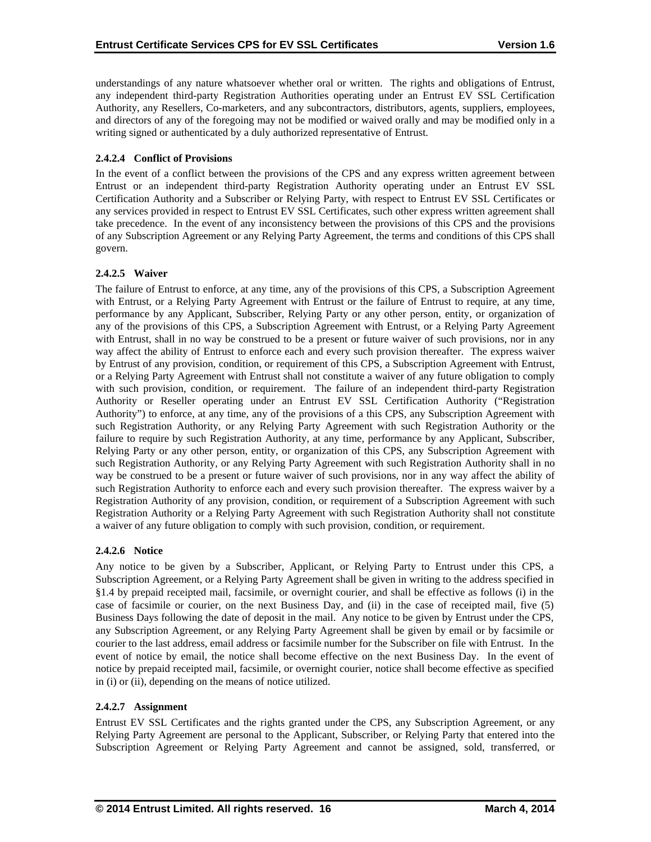understandings of any nature whatsoever whether oral or written. The rights and obligations of Entrust, any independent third-party Registration Authorities operating under an Entrust EV SSL Certification Authority, any Resellers, Co-marketers, and any subcontractors, distributors, agents, suppliers, employees, and directors of any of the foregoing may not be modified or waived orally and may be modified only in a writing signed or authenticated by a duly authorized representative of Entrust.

# **2.4.2.4 Conflict of Provisions**

In the event of a conflict between the provisions of the CPS and any express written agreement between Entrust or an independent third-party Registration Authority operating under an Entrust EV SSL Certification Authority and a Subscriber or Relying Party, with respect to Entrust EV SSL Certificates or any services provided in respect to Entrust EV SSL Certificates, such other express written agreement shall take precedence. In the event of any inconsistency between the provisions of this CPS and the provisions of any Subscription Agreement or any Relying Party Agreement, the terms and conditions of this CPS shall govern.

## **2.4.2.5 Waiver**

The failure of Entrust to enforce, at any time, any of the provisions of this CPS, a Subscription Agreement with Entrust, or a Relying Party Agreement with Entrust or the failure of Entrust to require, at any time, performance by any Applicant, Subscriber, Relying Party or any other person, entity, or organization of any of the provisions of this CPS, a Subscription Agreement with Entrust, or a Relying Party Agreement with Entrust, shall in no way be construed to be a present or future waiver of such provisions, nor in any way affect the ability of Entrust to enforce each and every such provision thereafter. The express waiver by Entrust of any provision, condition, or requirement of this CPS, a Subscription Agreement with Entrust, or a Relying Party Agreement with Entrust shall not constitute a waiver of any future obligation to comply with such provision, condition, or requirement. The failure of an independent third-party Registration Authority or Reseller operating under an Entrust EV SSL Certification Authority ("Registration Authority") to enforce, at any time, any of the provisions of a this CPS, any Subscription Agreement with such Registration Authority, or any Relying Party Agreement with such Registration Authority or the failure to require by such Registration Authority, at any time, performance by any Applicant, Subscriber, Relying Party or any other person, entity, or organization of this CPS, any Subscription Agreement with such Registration Authority, or any Relying Party Agreement with such Registration Authority shall in no way be construed to be a present or future waiver of such provisions, nor in any way affect the ability of such Registration Authority to enforce each and every such provision thereafter. The express waiver by a Registration Authority of any provision, condition, or requirement of a Subscription Agreement with such Registration Authority or a Relying Party Agreement with such Registration Authority shall not constitute a waiver of any future obligation to comply with such provision, condition, or requirement.

#### **2.4.2.6 Notice**

Any notice to be given by a Subscriber, Applicant, or Relying Party to Entrust under this CPS, a Subscription Agreement, or a Relying Party Agreement shall be given in writing to the address specified in §1.4 by prepaid receipted mail, facsimile, or overnight courier, and shall be effective as follows (i) in the case of facsimile or courier, on the next Business Day, and (ii) in the case of receipted mail, five (5) Business Days following the date of deposit in the mail. Any notice to be given by Entrust under the CPS, any Subscription Agreement, or any Relying Party Agreement shall be given by email or by facsimile or courier to the last address, email address or facsimile number for the Subscriber on file with Entrust. In the event of notice by email, the notice shall become effective on the next Business Day. In the event of notice by prepaid receipted mail, facsimile, or overnight courier, notice shall become effective as specified in (i) or (ii), depending on the means of notice utilized.

#### **2.4.2.7 Assignment**

Entrust EV SSL Certificates and the rights granted under the CPS, any Subscription Agreement, or any Relying Party Agreement are personal to the Applicant, Subscriber, or Relying Party that entered into the Subscription Agreement or Relying Party Agreement and cannot be assigned, sold, transferred, or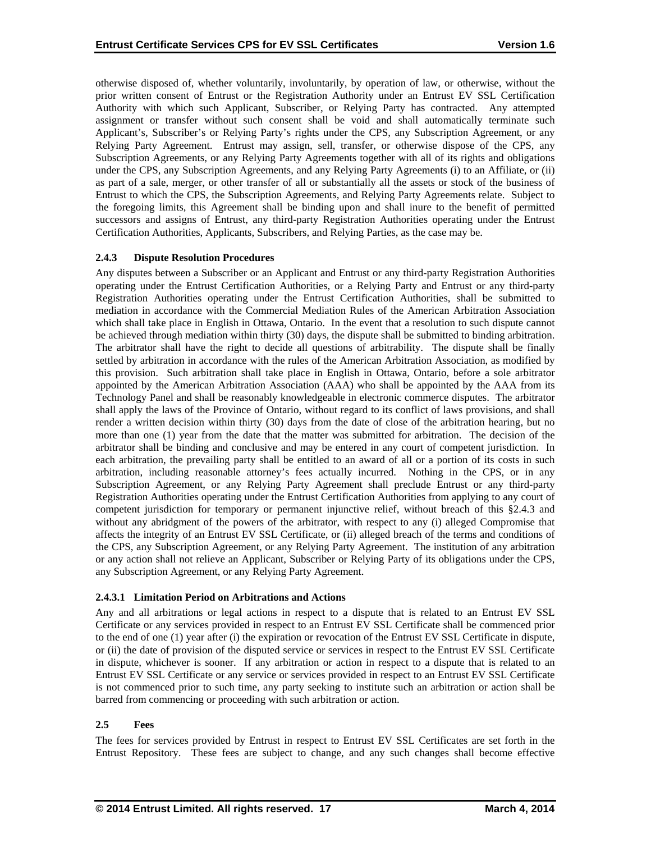otherwise disposed of, whether voluntarily, involuntarily, by operation of law, or otherwise, without the prior written consent of Entrust or the Registration Authority under an Entrust EV SSL Certification Authority with which such Applicant, Subscriber, or Relying Party has contracted. Any attempted assignment or transfer without such consent shall be void and shall automatically terminate such Applicant's, Subscriber's or Relying Party's rights under the CPS, any Subscription Agreement, or any Relying Party Agreement. Entrust may assign, sell, transfer, or otherwise dispose of the CPS, any Subscription Agreements, or any Relying Party Agreements together with all of its rights and obligations under the CPS, any Subscription Agreements, and any Relying Party Agreements (i) to an Affiliate, or (ii) as part of a sale, merger, or other transfer of all or substantially all the assets or stock of the business of Entrust to which the CPS, the Subscription Agreements, and Relying Party Agreements relate. Subject to the foregoing limits, this Agreement shall be binding upon and shall inure to the benefit of permitted successors and assigns of Entrust, any third-party Registration Authorities operating under the Entrust Certification Authorities, Applicants, Subscribers, and Relying Parties, as the case may be.

## **2.4.3 Dispute Resolution Procedures**

Any disputes between a Subscriber or an Applicant and Entrust or any third-party Registration Authorities operating under the Entrust Certification Authorities, or a Relying Party and Entrust or any third-party Registration Authorities operating under the Entrust Certification Authorities, shall be submitted to mediation in accordance with the Commercial Mediation Rules of the American Arbitration Association which shall take place in English in Ottawa, Ontario. In the event that a resolution to such dispute cannot be achieved through mediation within thirty (30) days, the dispute shall be submitted to binding arbitration. The arbitrator shall have the right to decide all questions of arbitrability. The dispute shall be finally settled by arbitration in accordance with the rules of the American Arbitration Association, as modified by this provision. Such arbitration shall take place in English in Ottawa, Ontario, before a sole arbitrator appointed by the American Arbitration Association (AAA) who shall be appointed by the AAA from its Technology Panel and shall be reasonably knowledgeable in electronic commerce disputes. The arbitrator shall apply the laws of the Province of Ontario, without regard to its conflict of laws provisions, and shall render a written decision within thirty (30) days from the date of close of the arbitration hearing, but no more than one (1) year from the date that the matter was submitted for arbitration. The decision of the arbitrator shall be binding and conclusive and may be entered in any court of competent jurisdiction. In each arbitration, the prevailing party shall be entitled to an award of all or a portion of its costs in such arbitration, including reasonable attorney's fees actually incurred. Nothing in the CPS, or in any Subscription Agreement, or any Relying Party Agreement shall preclude Entrust or any third-party Registration Authorities operating under the Entrust Certification Authorities from applying to any court of competent jurisdiction for temporary or permanent injunctive relief, without breach of this §2.4.3 and without any abridgment of the powers of the arbitrator, with respect to any (i) alleged Compromise that affects the integrity of an Entrust EV SSL Certificate, or (ii) alleged breach of the terms and conditions of the CPS, any Subscription Agreement, or any Relying Party Agreement. The institution of any arbitration or any action shall not relieve an Applicant, Subscriber or Relying Party of its obligations under the CPS, any Subscription Agreement, or any Relying Party Agreement.

# **2.4.3.1 Limitation Period on Arbitrations and Actions**

Any and all arbitrations or legal actions in respect to a dispute that is related to an Entrust EV SSL Certificate or any services provided in respect to an Entrust EV SSL Certificate shall be commenced prior to the end of one (1) year after (i) the expiration or revocation of the Entrust EV SSL Certificate in dispute, or (ii) the date of provision of the disputed service or services in respect to the Entrust EV SSL Certificate in dispute, whichever is sooner. If any arbitration or action in respect to a dispute that is related to an Entrust EV SSL Certificate or any service or services provided in respect to an Entrust EV SSL Certificate is not commenced prior to such time, any party seeking to institute such an arbitration or action shall be barred from commencing or proceeding with such arbitration or action.

# **2.5 Fees**

The fees for services provided by Entrust in respect to Entrust EV SSL Certificates are set forth in the Entrust Repository. These fees are subject to change, and any such changes shall become effective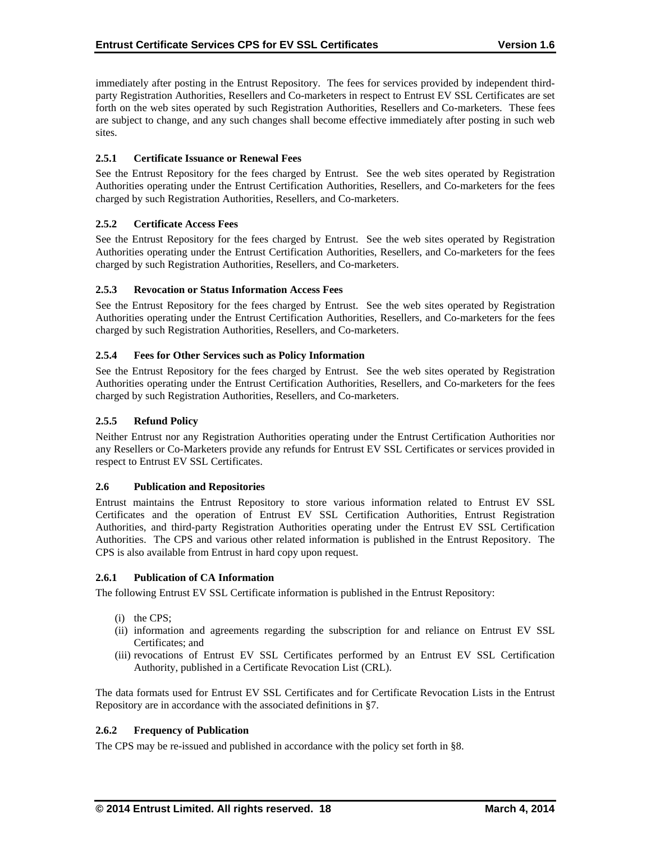immediately after posting in the Entrust Repository. The fees for services provided by independent thirdparty Registration Authorities, Resellers and Co-marketers in respect to Entrust EV SSL Certificates are set forth on the web sites operated by such Registration Authorities, Resellers and Co-marketers. These fees are subject to change, and any such changes shall become effective immediately after posting in such web sites.

## **2.5.1 Certificate Issuance or Renewal Fees**

See the Entrust Repository for the fees charged by Entrust. See the web sites operated by Registration Authorities operating under the Entrust Certification Authorities, Resellers, and Co-marketers for the fees charged by such Registration Authorities, Resellers, and Co-marketers.

## **2.5.2 Certificate Access Fees**

See the Entrust Repository for the fees charged by Entrust. See the web sites operated by Registration Authorities operating under the Entrust Certification Authorities, Resellers, and Co-marketers for the fees charged by such Registration Authorities, Resellers, and Co-marketers.

## **2.5.3 Revocation or Status Information Access Fees**

See the Entrust Repository for the fees charged by Entrust. See the web sites operated by Registration Authorities operating under the Entrust Certification Authorities, Resellers, and Co-marketers for the fees charged by such Registration Authorities, Resellers, and Co-marketers.

#### **2.5.4 Fees for Other Services such as Policy Information**

See the Entrust Repository for the fees charged by Entrust. See the web sites operated by Registration Authorities operating under the Entrust Certification Authorities, Resellers, and Co-marketers for the fees charged by such Registration Authorities, Resellers, and Co-marketers.

## **2.5.5 Refund Policy**

Neither Entrust nor any Registration Authorities operating under the Entrust Certification Authorities nor any Resellers or Co-Marketers provide any refunds for Entrust EV SSL Certificates or services provided in respect to Entrust EV SSL Certificates.

#### **2.6 Publication and Repositories**

Entrust maintains the Entrust Repository to store various information related to Entrust EV SSL Certificates and the operation of Entrust EV SSL Certification Authorities, Entrust Registration Authorities, and third-party Registration Authorities operating under the Entrust EV SSL Certification Authorities. The CPS and various other related information is published in the Entrust Repository. The CPS is also available from Entrust in hard copy upon request.

#### **2.6.1 Publication of CA Information**

The following Entrust EV SSL Certificate information is published in the Entrust Repository:

- (i) the CPS;
- (ii) information and agreements regarding the subscription for and reliance on Entrust EV SSL Certificates; and
- (iii) revocations of Entrust EV SSL Certificates performed by an Entrust EV SSL Certification Authority, published in a Certificate Revocation List (CRL).

The data formats used for Entrust EV SSL Certificates and for Certificate Revocation Lists in the Entrust Repository are in accordance with the associated definitions in §7.

#### **2.6.2 Frequency of Publication**

The CPS may be re-issued and published in accordance with the policy set forth in §8.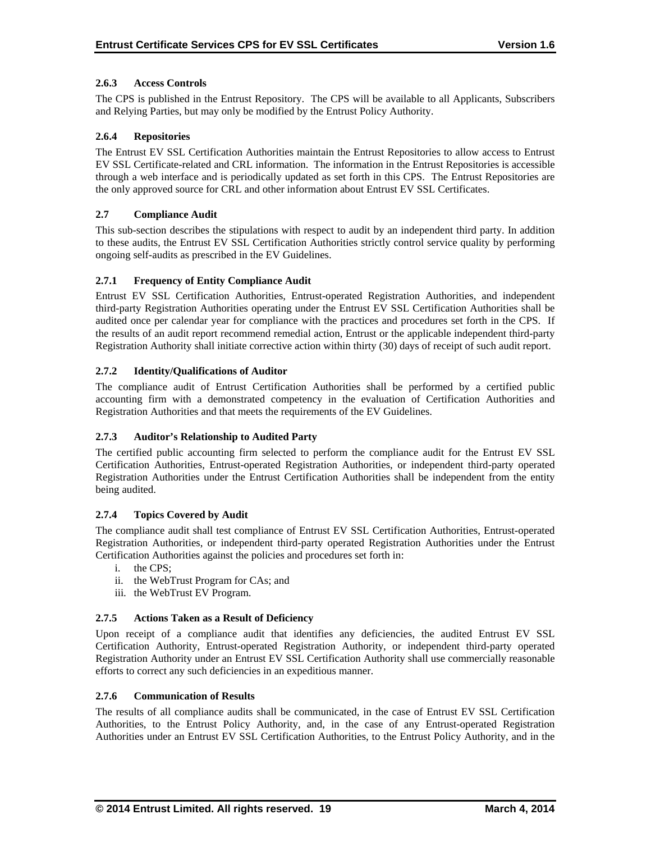## **2.6.3 Access Controls**

The CPS is published in the Entrust Repository. The CPS will be available to all Applicants, Subscribers and Relying Parties, but may only be modified by the Entrust Policy Authority.

## **2.6.4 Repositories**

The Entrust EV SSL Certification Authorities maintain the Entrust Repositories to allow access to Entrust EV SSL Certificate-related and CRL information. The information in the Entrust Repositories is accessible through a web interface and is periodically updated as set forth in this CPS. The Entrust Repositories are the only approved source for CRL and other information about Entrust EV SSL Certificates.

## **2.7 Compliance Audit**

This sub-section describes the stipulations with respect to audit by an independent third party. In addition to these audits, the Entrust EV SSL Certification Authorities strictly control service quality by performing ongoing self-audits as prescribed in the EV Guidelines.

## **2.7.1 Frequency of Entity Compliance Audit**

Entrust EV SSL Certification Authorities, Entrust-operated Registration Authorities, and independent third-party Registration Authorities operating under the Entrust EV SSL Certification Authorities shall be audited once per calendar year for compliance with the practices and procedures set forth in the CPS. If the results of an audit report recommend remedial action, Entrust or the applicable independent third-party Registration Authority shall initiate corrective action within thirty (30) days of receipt of such audit report.

## **2.7.2 Identity/Qualifications of Auditor**

The compliance audit of Entrust Certification Authorities shall be performed by a certified public accounting firm with a demonstrated competency in the evaluation of Certification Authorities and Registration Authorities and that meets the requirements of the EV Guidelines.

#### **2.7.3 Auditor's Relationship to Audited Party**

The certified public accounting firm selected to perform the compliance audit for the Entrust EV SSL Certification Authorities, Entrust-operated Registration Authorities, or independent third-party operated Registration Authorities under the Entrust Certification Authorities shall be independent from the entity being audited.

#### **2.7.4 Topics Covered by Audit**

The compliance audit shall test compliance of Entrust EV SSL Certification Authorities, Entrust-operated Registration Authorities, or independent third-party operated Registration Authorities under the Entrust Certification Authorities against the policies and procedures set forth in:

- i. the CPS;
- ii. the WebTrust Program for CAs; and
- iii. the WebTrust EV Program.

#### **2.7.5 Actions Taken as a Result of Deficiency**

Upon receipt of a compliance audit that identifies any deficiencies, the audited Entrust EV SSL Certification Authority, Entrust-operated Registration Authority, or independent third-party operated Registration Authority under an Entrust EV SSL Certification Authority shall use commercially reasonable efforts to correct any such deficiencies in an expeditious manner.

## **2.7.6 Communication of Results**

The results of all compliance audits shall be communicated, in the case of Entrust EV SSL Certification Authorities, to the Entrust Policy Authority, and, in the case of any Entrust-operated Registration Authorities under an Entrust EV SSL Certification Authorities, to the Entrust Policy Authority, and in the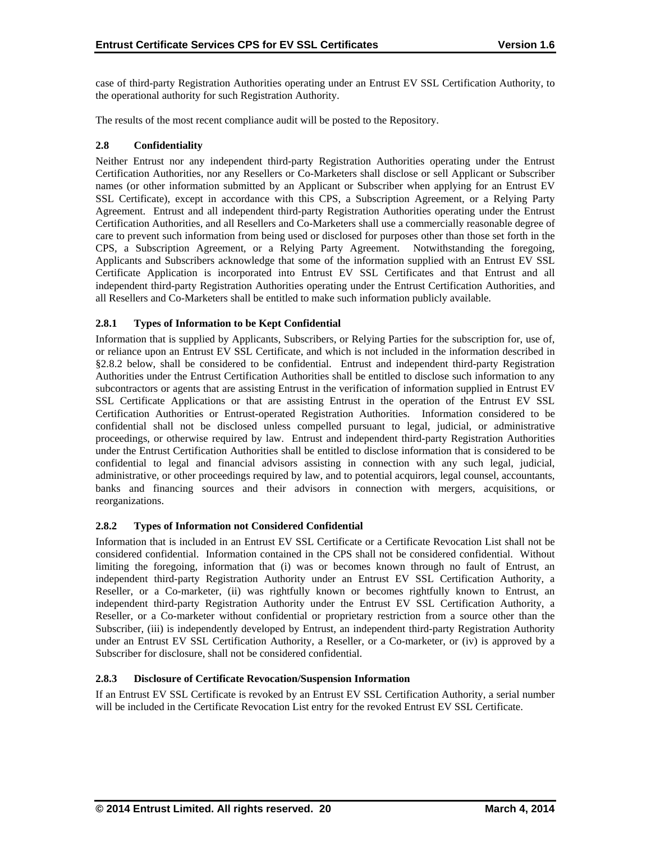case of third-party Registration Authorities operating under an Entrust EV SSL Certification Authority, to the operational authority for such Registration Authority.

The results of the most recent compliance audit will be posted to the Repository.

## **2.8 Confidentiality**

Neither Entrust nor any independent third-party Registration Authorities operating under the Entrust Certification Authorities, nor any Resellers or Co-Marketers shall disclose or sell Applicant or Subscriber names (or other information submitted by an Applicant or Subscriber when applying for an Entrust EV SSL Certificate), except in accordance with this CPS, a Subscription Agreement, or a Relying Party Agreement. Entrust and all independent third-party Registration Authorities operating under the Entrust Certification Authorities, and all Resellers and Co-Marketers shall use a commercially reasonable degree of care to prevent such information from being used or disclosed for purposes other than those set forth in the CPS, a Subscription Agreement, or a Relying Party Agreement. Notwithstanding the foregoing, Applicants and Subscribers acknowledge that some of the information supplied with an Entrust EV SSL Certificate Application is incorporated into Entrust EV SSL Certificates and that Entrust and all independent third-party Registration Authorities operating under the Entrust Certification Authorities, and all Resellers and Co-Marketers shall be entitled to make such information publicly available.

## **2.8.1 Types of Information to be Kept Confidential**

Information that is supplied by Applicants, Subscribers, or Relying Parties for the subscription for, use of, or reliance upon an Entrust EV SSL Certificate, and which is not included in the information described in §2.8.2 below, shall be considered to be confidential. Entrust and independent third-party Registration Authorities under the Entrust Certification Authorities shall be entitled to disclose such information to any subcontractors or agents that are assisting Entrust in the verification of information supplied in Entrust EV SSL Certificate Applications or that are assisting Entrust in the operation of the Entrust EV SSL Certification Authorities or Entrust-operated Registration Authorities. Information considered to be confidential shall not be disclosed unless compelled pursuant to legal, judicial, or administrative proceedings, or otherwise required by law. Entrust and independent third-party Registration Authorities under the Entrust Certification Authorities shall be entitled to disclose information that is considered to be confidential to legal and financial advisors assisting in connection with any such legal, judicial, administrative, or other proceedings required by law, and to potential acquirors, legal counsel, accountants, banks and financing sources and their advisors in connection with mergers, acquisitions, or reorganizations.

# **2.8.2 Types of Information not Considered Confidential**

Information that is included in an Entrust EV SSL Certificate or a Certificate Revocation List shall not be considered confidential. Information contained in the CPS shall not be considered confidential. Without limiting the foregoing, information that (i) was or becomes known through no fault of Entrust, an independent third-party Registration Authority under an Entrust EV SSL Certification Authority, a Reseller, or a Co-marketer, (ii) was rightfully known or becomes rightfully known to Entrust, an independent third-party Registration Authority under the Entrust EV SSL Certification Authority, a Reseller, or a Co-marketer without confidential or proprietary restriction from a source other than the Subscriber, (iii) is independently developed by Entrust, an independent third-party Registration Authority under an Entrust EV SSL Certification Authority, a Reseller, or a Co-marketer, or (iv) is approved by a Subscriber for disclosure, shall not be considered confidential.

#### **2.8.3 Disclosure of Certificate Revocation/Suspension Information**

If an Entrust EV SSL Certificate is revoked by an Entrust EV SSL Certification Authority, a serial number will be included in the Certificate Revocation List entry for the revoked Entrust EV SSL Certificate.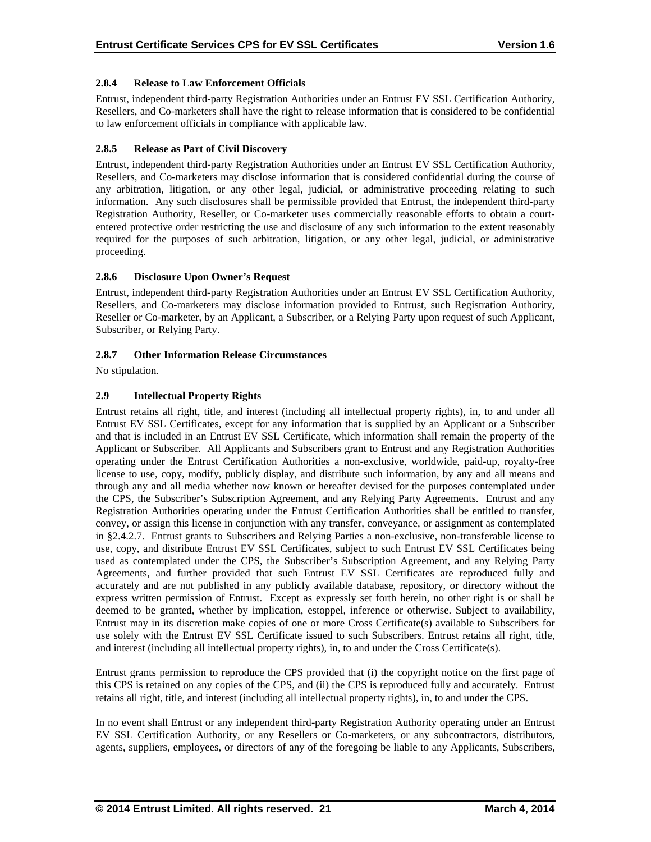# **2.8.4 Release to Law Enforcement Officials**

Entrust, independent third-party Registration Authorities under an Entrust EV SSL Certification Authority, Resellers, and Co-marketers shall have the right to release information that is considered to be confidential to law enforcement officials in compliance with applicable law.

# **2.8.5 Release as Part of Civil Discovery**

Entrust, independent third-party Registration Authorities under an Entrust EV SSL Certification Authority, Resellers, and Co-marketers may disclose information that is considered confidential during the course of any arbitration, litigation, or any other legal, judicial, or administrative proceeding relating to such information. Any such disclosures shall be permissible provided that Entrust, the independent third-party Registration Authority, Reseller, or Co-marketer uses commercially reasonable efforts to obtain a courtentered protective order restricting the use and disclosure of any such information to the extent reasonably required for the purposes of such arbitration, litigation, or any other legal, judicial, or administrative proceeding.

## **2.8.6 Disclosure Upon Owner's Request**

Entrust, independent third-party Registration Authorities under an Entrust EV SSL Certification Authority, Resellers, and Co-marketers may disclose information provided to Entrust, such Registration Authority, Reseller or Co-marketer, by an Applicant, a Subscriber, or a Relying Party upon request of such Applicant, Subscriber, or Relying Party.

#### **2.8.7 Other Information Release Circumstances**

No stipulation.

## **2.9 Intellectual Property Rights**

Entrust retains all right, title, and interest (including all intellectual property rights), in, to and under all Entrust EV SSL Certificates, except for any information that is supplied by an Applicant or a Subscriber and that is included in an Entrust EV SSL Certificate, which information shall remain the property of the Applicant or Subscriber. All Applicants and Subscribers grant to Entrust and any Registration Authorities operating under the Entrust Certification Authorities a non-exclusive, worldwide, paid-up, royalty-free license to use, copy, modify, publicly display, and distribute such information, by any and all means and through any and all media whether now known or hereafter devised for the purposes contemplated under the CPS, the Subscriber's Subscription Agreement, and any Relying Party Agreements. Entrust and any Registration Authorities operating under the Entrust Certification Authorities shall be entitled to transfer, convey, or assign this license in conjunction with any transfer, conveyance, or assignment as contemplated in §2.4.2.7. Entrust grants to Subscribers and Relying Parties a non-exclusive, non-transferable license to use, copy, and distribute Entrust EV SSL Certificates, subject to such Entrust EV SSL Certificates being used as contemplated under the CPS, the Subscriber's Subscription Agreement, and any Relying Party Agreements, and further provided that such Entrust EV SSL Certificates are reproduced fully and accurately and are not published in any publicly available database, repository, or directory without the express written permission of Entrust. Except as expressly set forth herein, no other right is or shall be deemed to be granted, whether by implication, estoppel, inference or otherwise. Subject to availability, Entrust may in its discretion make copies of one or more Cross Certificate(s) available to Subscribers for use solely with the Entrust EV SSL Certificate issued to such Subscribers. Entrust retains all right, title, and interest (including all intellectual property rights), in, to and under the Cross Certificate(s).

Entrust grants permission to reproduce the CPS provided that (i) the copyright notice on the first page of this CPS is retained on any copies of the CPS, and (ii) the CPS is reproduced fully and accurately. Entrust retains all right, title, and interest (including all intellectual property rights), in, to and under the CPS.

In no event shall Entrust or any independent third-party Registration Authority operating under an Entrust EV SSL Certification Authority, or any Resellers or Co-marketers, or any subcontractors, distributors, agents, suppliers, employees, or directors of any of the foregoing be liable to any Applicants, Subscribers,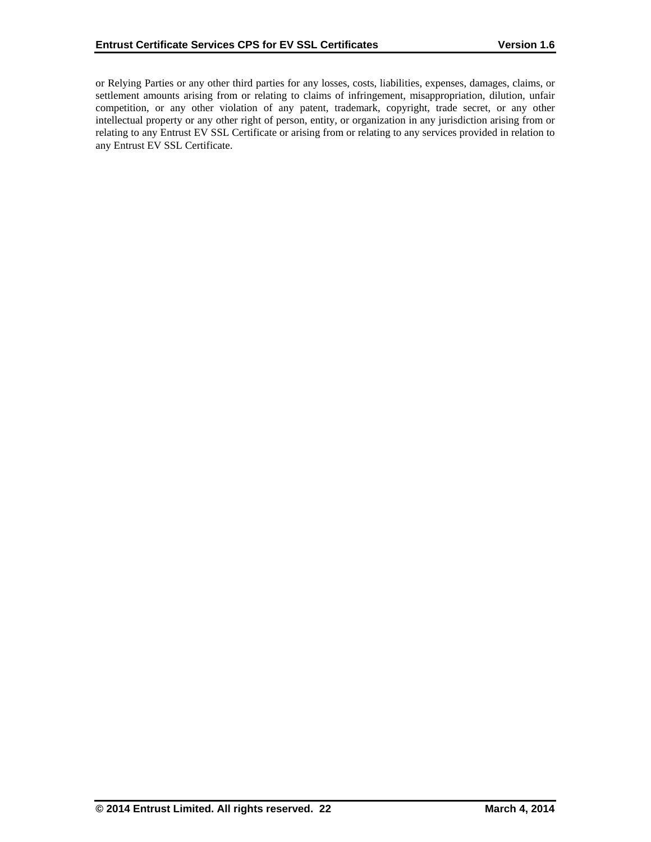or Relying Parties or any other third parties for any losses, costs, liabilities, expenses, damages, claims, or settlement amounts arising from or relating to claims of infringement, misappropriation, dilution, unfair competition, or any other violation of any patent, trademark, copyright, trade secret, or any other intellectual property or any other right of person, entity, or organization in any jurisdiction arising from or relating to any Entrust EV SSL Certificate or arising from or relating to any services provided in relation to any Entrust EV SSL Certificate.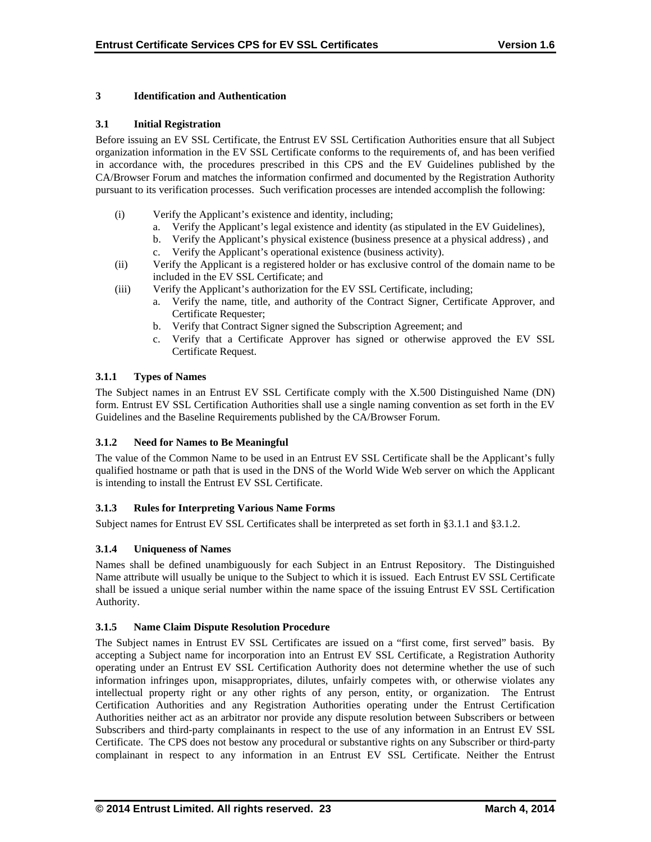# **3 Identification and Authentication**

## **3.1 Initial Registration**

Before issuing an EV SSL Certificate, the Entrust EV SSL Certification Authorities ensure that all Subject organization information in the EV SSL Certificate conforms to the requirements of, and has been verified in accordance with, the procedures prescribed in this CPS and the EV Guidelines published by the CA/Browser Forum and matches the information confirmed and documented by the Registration Authority pursuant to its verification processes. Such verification processes are intended accomplish the following:

- (i) Verify the Applicant's existence and identity, including;
	- a. Verify the Applicant's legal existence and identity (as stipulated in the EV Guidelines),
	- b. Verify the Applicant's physical existence (business presence at a physical address) , and
	- c. Verify the Applicant's operational existence (business activity).
- (ii) Verify the Applicant is a registered holder or has exclusive control of the domain name to be included in the EV SSL Certificate; and
- (iii) Verify the Applicant's authorization for the EV SSL Certificate, including;
	- a. Verify the name, title, and authority of the Contract Signer, Certificate Approver, and Certificate Requester;
	- b. Verify that Contract Signer signed the Subscription Agreement; and
	- c. Verify that a Certificate Approver has signed or otherwise approved the EV SSL Certificate Request.

# **3.1.1 Types of Names**

The Subject names in an Entrust EV SSL Certificate comply with the X.500 Distinguished Name (DN) form. Entrust EV SSL Certification Authorities shall use a single naming convention as set forth in the EV Guidelines and the Baseline Requirements published by the CA/Browser Forum.

# **3.1.2 Need for Names to Be Meaningful**

The value of the Common Name to be used in an Entrust EV SSL Certificate shall be the Applicant's fully qualified hostname or path that is used in the DNS of the World Wide Web server on which the Applicant is intending to install the Entrust EV SSL Certificate.

# **3.1.3 Rules for Interpreting Various Name Forms**

Subject names for Entrust EV SSL Certificates shall be interpreted as set forth in §3.1.1 and §3.1.2.

# **3.1.4 Uniqueness of Names**

Names shall be defined unambiguously for each Subject in an Entrust Repository. The Distinguished Name attribute will usually be unique to the Subject to which it is issued. Each Entrust EV SSL Certificate shall be issued a unique serial number within the name space of the issuing Entrust EV SSL Certification Authority.

#### **3.1.5 Name Claim Dispute Resolution Procedure**

The Subject names in Entrust EV SSL Certificates are issued on a "first come, first served" basis. By accepting a Subject name for incorporation into an Entrust EV SSL Certificate, a Registration Authority operating under an Entrust EV SSL Certification Authority does not determine whether the use of such information infringes upon, misappropriates, dilutes, unfairly competes with, or otherwise violates any intellectual property right or any other rights of any person, entity, or organization. The Entrust Certification Authorities and any Registration Authorities operating under the Entrust Certification Authorities neither act as an arbitrator nor provide any dispute resolution between Subscribers or between Subscribers and third-party complainants in respect to the use of any information in an Entrust EV SSL Certificate. The CPS does not bestow any procedural or substantive rights on any Subscriber or third-party complainant in respect to any information in an Entrust EV SSL Certificate. Neither the Entrust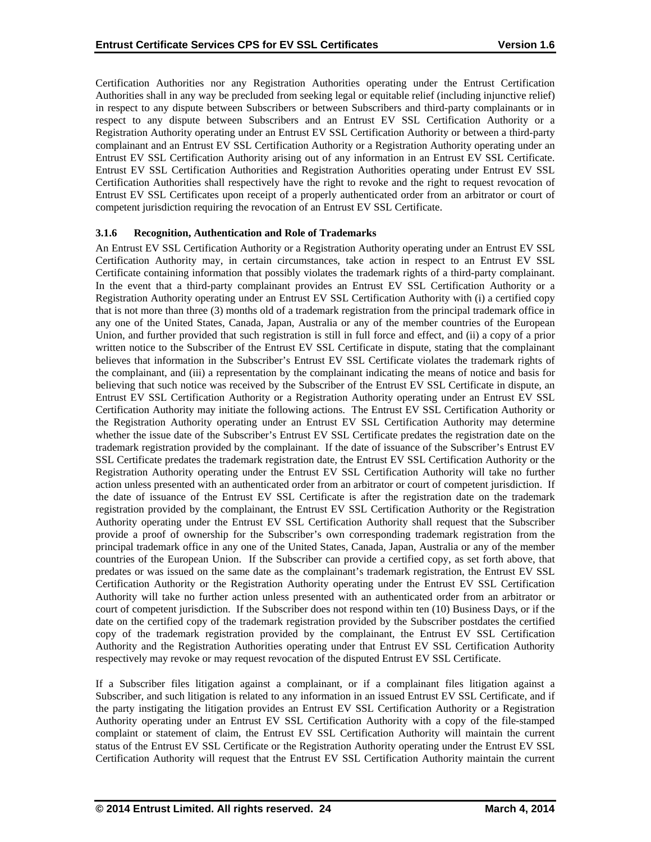Certification Authorities nor any Registration Authorities operating under the Entrust Certification Authorities shall in any way be precluded from seeking legal or equitable relief (including injunctive relief) in respect to any dispute between Subscribers or between Subscribers and third-party complainants or in respect to any dispute between Subscribers and an Entrust EV SSL Certification Authority or a Registration Authority operating under an Entrust EV SSL Certification Authority or between a third-party complainant and an Entrust EV SSL Certification Authority or a Registration Authority operating under an Entrust EV SSL Certification Authority arising out of any information in an Entrust EV SSL Certificate. Entrust EV SSL Certification Authorities and Registration Authorities operating under Entrust EV SSL Certification Authorities shall respectively have the right to revoke and the right to request revocation of Entrust EV SSL Certificates upon receipt of a properly authenticated order from an arbitrator or court of competent jurisdiction requiring the revocation of an Entrust EV SSL Certificate.

#### **3.1.6 Recognition, Authentication and Role of Trademarks**

An Entrust EV SSL Certification Authority or a Registration Authority operating under an Entrust EV SSL Certification Authority may, in certain circumstances, take action in respect to an Entrust EV SSL Certificate containing information that possibly violates the trademark rights of a third-party complainant. In the event that a third-party complainant provides an Entrust EV SSL Certification Authority or a Registration Authority operating under an Entrust EV SSL Certification Authority with (i) a certified copy that is not more than three (3) months old of a trademark registration from the principal trademark office in any one of the United States, Canada, Japan, Australia or any of the member countries of the European Union, and further provided that such registration is still in full force and effect, and (ii) a copy of a prior written notice to the Subscriber of the Entrust EV SSL Certificate in dispute, stating that the complainant believes that information in the Subscriber's Entrust EV SSL Certificate violates the trademark rights of the complainant, and (iii) a representation by the complainant indicating the means of notice and basis for believing that such notice was received by the Subscriber of the Entrust EV SSL Certificate in dispute, an Entrust EV SSL Certification Authority or a Registration Authority operating under an Entrust EV SSL Certification Authority may initiate the following actions. The Entrust EV SSL Certification Authority or the Registration Authority operating under an Entrust EV SSL Certification Authority may determine whether the issue date of the Subscriber's Entrust EV SSL Certificate predates the registration date on the trademark registration provided by the complainant. If the date of issuance of the Subscriber's Entrust EV SSL Certificate predates the trademark registration date, the Entrust EV SSL Certification Authority or the Registration Authority operating under the Entrust EV SSL Certification Authority will take no further action unless presented with an authenticated order from an arbitrator or court of competent jurisdiction. If the date of issuance of the Entrust EV SSL Certificate is after the registration date on the trademark registration provided by the complainant, the Entrust EV SSL Certification Authority or the Registration Authority operating under the Entrust EV SSL Certification Authority shall request that the Subscriber provide a proof of ownership for the Subscriber's own corresponding trademark registration from the principal trademark office in any one of the United States, Canada, Japan, Australia or any of the member countries of the European Union. If the Subscriber can provide a certified copy, as set forth above, that predates or was issued on the same date as the complainant's trademark registration, the Entrust EV SSL Certification Authority or the Registration Authority operating under the Entrust EV SSL Certification Authority will take no further action unless presented with an authenticated order from an arbitrator or court of competent jurisdiction. If the Subscriber does not respond within ten (10) Business Days, or if the date on the certified copy of the trademark registration provided by the Subscriber postdates the certified copy of the trademark registration provided by the complainant, the Entrust EV SSL Certification Authority and the Registration Authorities operating under that Entrust EV SSL Certification Authority respectively may revoke or may request revocation of the disputed Entrust EV SSL Certificate.

If a Subscriber files litigation against a complainant, or if a complainant files litigation against a Subscriber, and such litigation is related to any information in an issued Entrust EV SSL Certificate, and if the party instigating the litigation provides an Entrust EV SSL Certification Authority or a Registration Authority operating under an Entrust EV SSL Certification Authority with a copy of the file-stamped complaint or statement of claim, the Entrust EV SSL Certification Authority will maintain the current status of the Entrust EV SSL Certificate or the Registration Authority operating under the Entrust EV SSL Certification Authority will request that the Entrust EV SSL Certification Authority maintain the current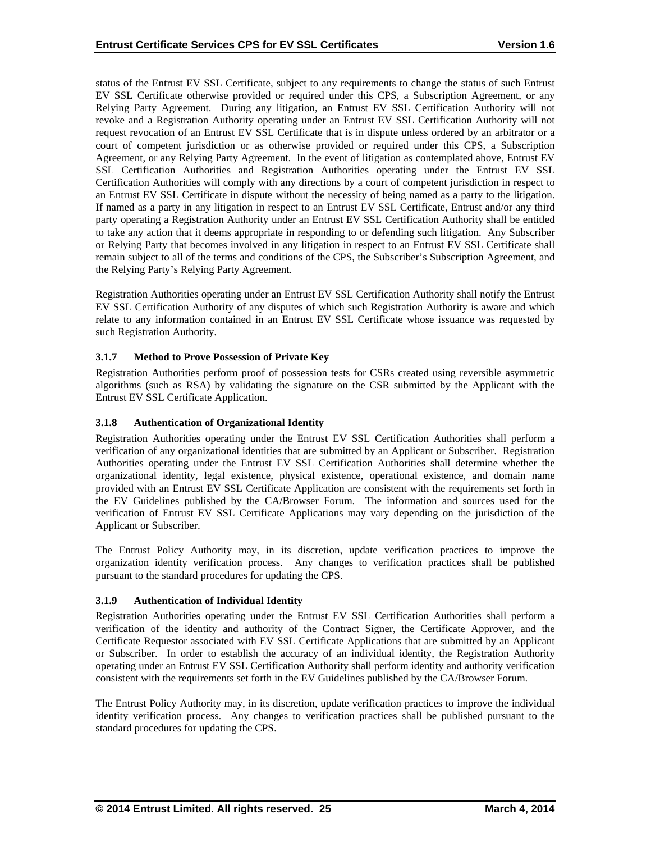status of the Entrust EV SSL Certificate, subject to any requirements to change the status of such Entrust EV SSL Certificate otherwise provided or required under this CPS, a Subscription Agreement, or any Relying Party Agreement. During any litigation, an Entrust EV SSL Certification Authority will not revoke and a Registration Authority operating under an Entrust EV SSL Certification Authority will not request revocation of an Entrust EV SSL Certificate that is in dispute unless ordered by an arbitrator or a court of competent jurisdiction or as otherwise provided or required under this CPS, a Subscription Agreement, or any Relying Party Agreement. In the event of litigation as contemplated above, Entrust EV SSL Certification Authorities and Registration Authorities operating under the Entrust EV SSL Certification Authorities will comply with any directions by a court of competent jurisdiction in respect to an Entrust EV SSL Certificate in dispute without the necessity of being named as a party to the litigation. If named as a party in any litigation in respect to an Entrust EV SSL Certificate, Entrust and/or any third party operating a Registration Authority under an Entrust EV SSL Certification Authority shall be entitled to take any action that it deems appropriate in responding to or defending such litigation. Any Subscriber or Relying Party that becomes involved in any litigation in respect to an Entrust EV SSL Certificate shall remain subject to all of the terms and conditions of the CPS, the Subscriber's Subscription Agreement, and the Relying Party's Relying Party Agreement.

Registration Authorities operating under an Entrust EV SSL Certification Authority shall notify the Entrust EV SSL Certification Authority of any disputes of which such Registration Authority is aware and which relate to any information contained in an Entrust EV SSL Certificate whose issuance was requested by such Registration Authority.

# **3.1.7 Method to Prove Possession of Private Key**

Registration Authorities perform proof of possession tests for CSRs created using reversible asymmetric algorithms (such as RSA) by validating the signature on the CSR submitted by the Applicant with the Entrust EV SSL Certificate Application.

## **3.1.8 Authentication of Organizational Identity**

Registration Authorities operating under the Entrust EV SSL Certification Authorities shall perform a verification of any organizational identities that are submitted by an Applicant or Subscriber. Registration Authorities operating under the Entrust EV SSL Certification Authorities shall determine whether the organizational identity, legal existence, physical existence, operational existence, and domain name provided with an Entrust EV SSL Certificate Application are consistent with the requirements set forth in the EV Guidelines published by the CA/Browser Forum. The information and sources used for the verification of Entrust EV SSL Certificate Applications may vary depending on the jurisdiction of the Applicant or Subscriber.

The Entrust Policy Authority may, in its discretion, update verification practices to improve the organization identity verification process. Any changes to verification practices shall be published pursuant to the standard procedures for updating the CPS.

#### **3.1.9 Authentication of Individual Identity**

Registration Authorities operating under the Entrust EV SSL Certification Authorities shall perform a verification of the identity and authority of the Contract Signer, the Certificate Approver, and the Certificate Requestor associated with EV SSL Certificate Applications that are submitted by an Applicant or Subscriber. In order to establish the accuracy of an individual identity, the Registration Authority operating under an Entrust EV SSL Certification Authority shall perform identity and authority verification consistent with the requirements set forth in the EV Guidelines published by the CA/Browser Forum.

The Entrust Policy Authority may, in its discretion, update verification practices to improve the individual identity verification process. Any changes to verification practices shall be published pursuant to the standard procedures for updating the CPS.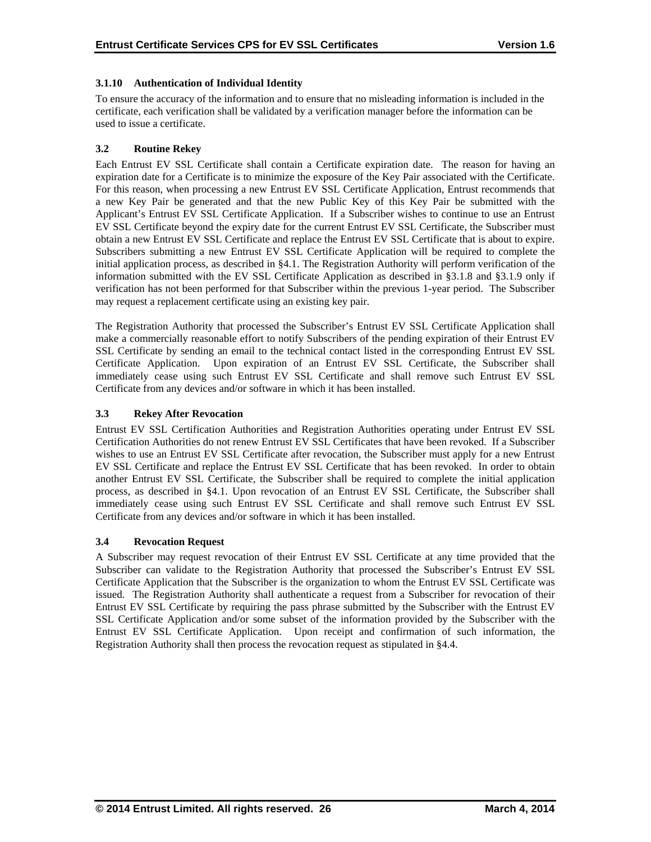# **3.1.10 Authentication of Individual Identity**

To ensure the accuracy of the information and to ensure that no misleading information is included in the certificate, each verification shall be validated by a verification manager before the information can be used to issue a certificate.

# **3.2 Routine Rekey**

Each Entrust EV SSL Certificate shall contain a Certificate expiration date. The reason for having an expiration date for a Certificate is to minimize the exposure of the Key Pair associated with the Certificate. For this reason, when processing a new Entrust EV SSL Certificate Application, Entrust recommends that a new Key Pair be generated and that the new Public Key of this Key Pair be submitted with the Applicant's Entrust EV SSL Certificate Application. If a Subscriber wishes to continue to use an Entrust EV SSL Certificate beyond the expiry date for the current Entrust EV SSL Certificate, the Subscriber must obtain a new Entrust EV SSL Certificate and replace the Entrust EV SSL Certificate that is about to expire. Subscribers submitting a new Entrust EV SSL Certificate Application will be required to complete the initial application process, as described in §4.1. The Registration Authority will perform verification of the information submitted with the EV SSL Certificate Application as described in §3.1.8 and §3.1.9 only if verification has not been performed for that Subscriber within the previous 1-year period. The Subscriber may request a replacement certificate using an existing key pair.

The Registration Authority that processed the Subscriber's Entrust EV SSL Certificate Application shall make a commercially reasonable effort to notify Subscribers of the pending expiration of their Entrust EV SSL Certificate by sending an email to the technical contact listed in the corresponding Entrust EV SSL Certificate Application. Upon expiration of an Entrust EV SSL Certificate, the Subscriber shall immediately cease using such Entrust EV SSL Certificate and shall remove such Entrust EV SSL Certificate from any devices and/or software in which it has been installed.

## **3.3 Rekey After Revocation**

Entrust EV SSL Certification Authorities and Registration Authorities operating under Entrust EV SSL Certification Authorities do not renew Entrust EV SSL Certificates that have been revoked. If a Subscriber wishes to use an Entrust EV SSL Certificate after revocation, the Subscriber must apply for a new Entrust EV SSL Certificate and replace the Entrust EV SSL Certificate that has been revoked. In order to obtain another Entrust EV SSL Certificate, the Subscriber shall be required to complete the initial application process, as described in §4.1. Upon revocation of an Entrust EV SSL Certificate, the Subscriber shall immediately cease using such Entrust EV SSL Certificate and shall remove such Entrust EV SSL Certificate from any devices and/or software in which it has been installed.

#### **3.4 Revocation Request**

A Subscriber may request revocation of their Entrust EV SSL Certificate at any time provided that the Subscriber can validate to the Registration Authority that processed the Subscriber's Entrust EV SSL Certificate Application that the Subscriber is the organization to whom the Entrust EV SSL Certificate was issued. The Registration Authority shall authenticate a request from a Subscriber for revocation of their Entrust EV SSL Certificate by requiring the pass phrase submitted by the Subscriber with the Entrust EV SSL Certificate Application and/or some subset of the information provided by the Subscriber with the Entrust EV SSL Certificate Application. Upon receipt and confirmation of such information, the Registration Authority shall then process the revocation request as stipulated in §4.4.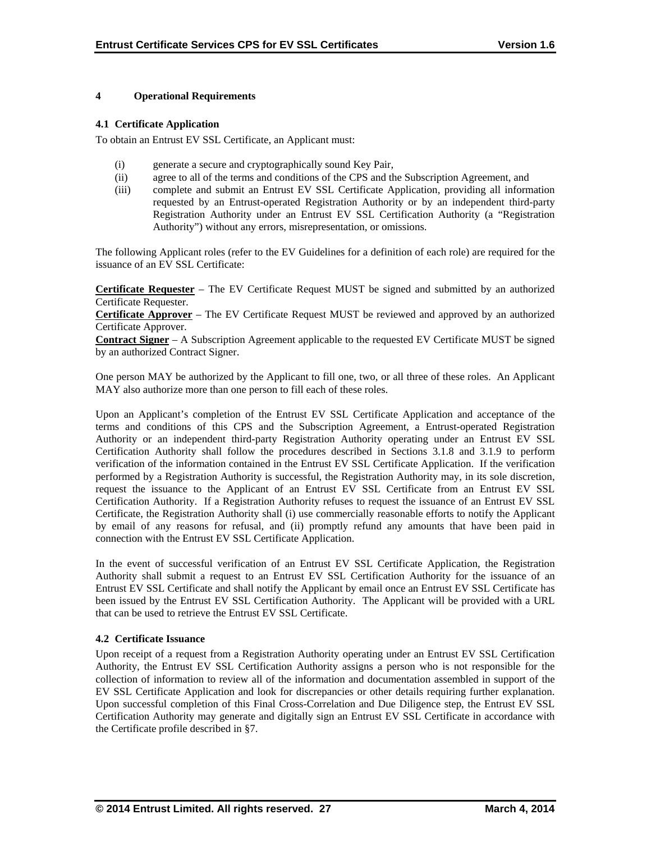## **4 Operational Requirements**

#### **4.1 Certificate Application**

To obtain an Entrust EV SSL Certificate, an Applicant must:

- (i) generate a secure and cryptographically sound Key Pair,
- (ii) agree to all of the terms and conditions of the CPS and the Subscription Agreement, and
- (iii) complete and submit an Entrust EV SSL Certificate Application, providing all information requested by an Entrust-operated Registration Authority or by an independent third-party Registration Authority under an Entrust EV SSL Certification Authority (a "Registration Authority") without any errors, misrepresentation, or omissions.

The following Applicant roles (refer to the EV Guidelines for a definition of each role) are required for the issuance of an EV SSL Certificate:

**Certificate Requester** – The EV Certificate Request MUST be signed and submitted by an authorized Certificate Requester.

**Certificate Approver** – The EV Certificate Request MUST be reviewed and approved by an authorized Certificate Approver.

**Contract Signer** – A Subscription Agreement applicable to the requested EV Certificate MUST be signed by an authorized Contract Signer.

One person MAY be authorized by the Applicant to fill one, two, or all three of these roles. An Applicant MAY also authorize more than one person to fill each of these roles.

Upon an Applicant's completion of the Entrust EV SSL Certificate Application and acceptance of the terms and conditions of this CPS and the Subscription Agreement, a Entrust-operated Registration Authority or an independent third-party Registration Authority operating under an Entrust EV SSL Certification Authority shall follow the procedures described in Sections 3.1.8 and 3.1.9 to perform verification of the information contained in the Entrust EV SSL Certificate Application. If the verification performed by a Registration Authority is successful, the Registration Authority may, in its sole discretion, request the issuance to the Applicant of an Entrust EV SSL Certificate from an Entrust EV SSL Certification Authority. If a Registration Authority refuses to request the issuance of an Entrust EV SSL Certificate, the Registration Authority shall (i) use commercially reasonable efforts to notify the Applicant by email of any reasons for refusal, and (ii) promptly refund any amounts that have been paid in connection with the Entrust EV SSL Certificate Application.

In the event of successful verification of an Entrust EV SSL Certificate Application, the Registration Authority shall submit a request to an Entrust EV SSL Certification Authority for the issuance of an Entrust EV SSL Certificate and shall notify the Applicant by email once an Entrust EV SSL Certificate has been issued by the Entrust EV SSL Certification Authority. The Applicant will be provided with a URL that can be used to retrieve the Entrust EV SSL Certificate.

# **4.2 Certificate Issuance**

Upon receipt of a request from a Registration Authority operating under an Entrust EV SSL Certification Authority, the Entrust EV SSL Certification Authority assigns a person who is not responsible for the collection of information to review all of the information and documentation assembled in support of the EV SSL Certificate Application and look for discrepancies or other details requiring further explanation. Upon successful completion of this Final Cross-Correlation and Due Diligence step, the Entrust EV SSL Certification Authority may generate and digitally sign an Entrust EV SSL Certificate in accordance with the Certificate profile described in §7.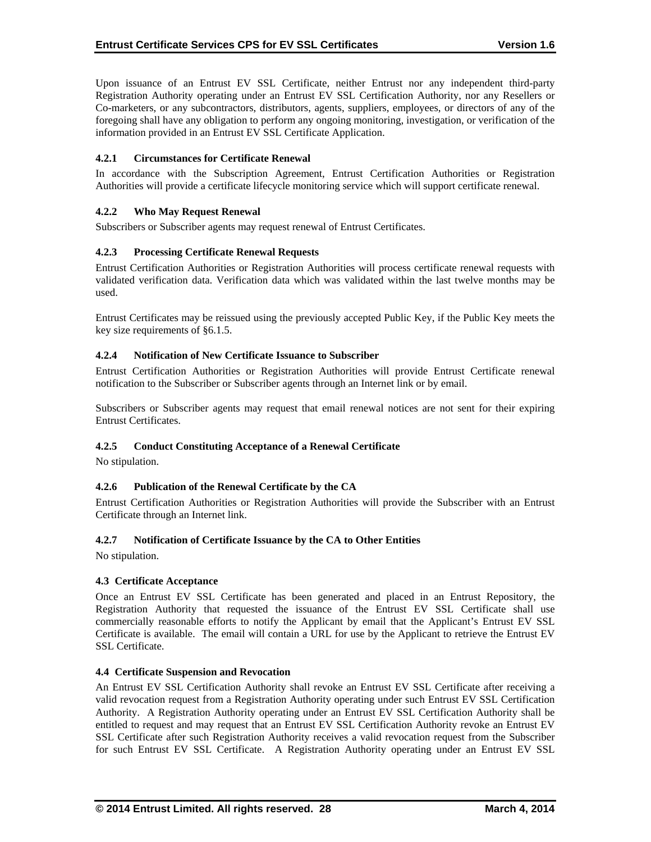Upon issuance of an Entrust EV SSL Certificate, neither Entrust nor any independent third-party Registration Authority operating under an Entrust EV SSL Certification Authority, nor any Resellers or Co-marketers, or any subcontractors, distributors, agents, suppliers, employees, or directors of any of the foregoing shall have any obligation to perform any ongoing monitoring, investigation, or verification of the information provided in an Entrust EV SSL Certificate Application.

# **4.2.1 Circumstances for Certificate Renewal**

In accordance with the Subscription Agreement, Entrust Certification Authorities or Registration Authorities will provide a certificate lifecycle monitoring service which will support certificate renewal.

## **4.2.2 Who May Request Renewal**

Subscribers or Subscriber agents may request renewal of Entrust Certificates.

## **4.2.3 Processing Certificate Renewal Requests**

Entrust Certification Authorities or Registration Authorities will process certificate renewal requests with validated verification data. Verification data which was validated within the last twelve months may be used.

Entrust Certificates may be reissued using the previously accepted Public Key, if the Public Key meets the key size requirements of §6.1.5.

#### **4.2.4 Notification of New Certificate Issuance to Subscriber**

Entrust Certification Authorities or Registration Authorities will provide Entrust Certificate renewal notification to the Subscriber or Subscriber agents through an Internet link or by email.

Subscribers or Subscriber agents may request that email renewal notices are not sent for their expiring Entrust Certificates.

#### **4.2.5 Conduct Constituting Acceptance of a Renewal Certificate**

No stipulation.

#### **4.2.6 Publication of the Renewal Certificate by the CA**

Entrust Certification Authorities or Registration Authorities will provide the Subscriber with an Entrust Certificate through an Internet link.

#### **4.2.7 Notification of Certificate Issuance by the CA to Other Entities**

No stipulation.

#### **4.3 Certificate Acceptance**

Once an Entrust EV SSL Certificate has been generated and placed in an Entrust Repository, the Registration Authority that requested the issuance of the Entrust EV SSL Certificate shall use commercially reasonable efforts to notify the Applicant by email that the Applicant's Entrust EV SSL Certificate is available. The email will contain a URL for use by the Applicant to retrieve the Entrust EV SSL Certificate.

#### **4.4 Certificate Suspension and Revocation**

An Entrust EV SSL Certification Authority shall revoke an Entrust EV SSL Certificate after receiving a valid revocation request from a Registration Authority operating under such Entrust EV SSL Certification Authority. A Registration Authority operating under an Entrust EV SSL Certification Authority shall be entitled to request and may request that an Entrust EV SSL Certification Authority revoke an Entrust EV SSL Certificate after such Registration Authority receives a valid revocation request from the Subscriber for such Entrust EV SSL Certificate. A Registration Authority operating under an Entrust EV SSL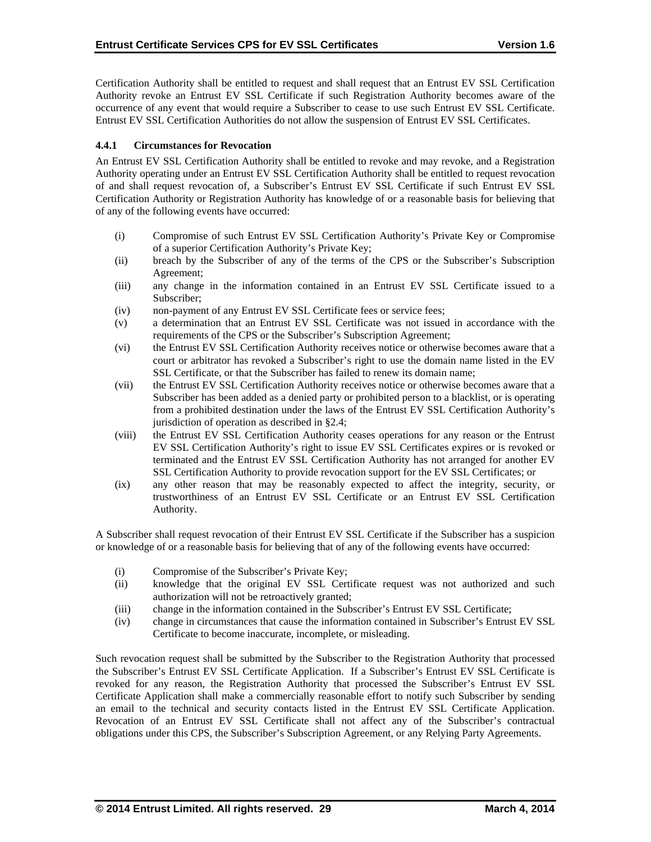Certification Authority shall be entitled to request and shall request that an Entrust EV SSL Certification Authority revoke an Entrust EV SSL Certificate if such Registration Authority becomes aware of the occurrence of any event that would require a Subscriber to cease to use such Entrust EV SSL Certificate. Entrust EV SSL Certification Authorities do not allow the suspension of Entrust EV SSL Certificates.

## **4.4.1 Circumstances for Revocation**

An Entrust EV SSL Certification Authority shall be entitled to revoke and may revoke, and a Registration Authority operating under an Entrust EV SSL Certification Authority shall be entitled to request revocation of and shall request revocation of, a Subscriber's Entrust EV SSL Certificate if such Entrust EV SSL Certification Authority or Registration Authority has knowledge of or a reasonable basis for believing that of any of the following events have occurred:

- (i) Compromise of such Entrust EV SSL Certification Authority's Private Key or Compromise of a superior Certification Authority's Private Key;
- (ii) breach by the Subscriber of any of the terms of the CPS or the Subscriber's Subscription Agreement;
- (iii) any change in the information contained in an Entrust EV SSL Certificate issued to a Subscriber;
- (iv) non-payment of any Entrust EV SSL Certificate fees or service fees;
- (v) a determination that an Entrust EV SSL Certificate was not issued in accordance with the requirements of the CPS or the Subscriber's Subscription Agreement;
- (vi) the Entrust EV SSL Certification Authority receives notice or otherwise becomes aware that a court or arbitrator has revoked a Subscriber's right to use the domain name listed in the EV SSL Certificate, or that the Subscriber has failed to renew its domain name;
- (vii) the Entrust EV SSL Certification Authority receives notice or otherwise becomes aware that a Subscriber has been added as a denied party or prohibited person to a blacklist, or is operating from a prohibited destination under the laws of the Entrust EV SSL Certification Authority's jurisdiction of operation as described in §2.4;
- (viii) the Entrust EV SSL Certification Authority ceases operations for any reason or the Entrust EV SSL Certification Authority's right to issue EV SSL Certificates expires or is revoked or terminated and the Entrust EV SSL Certification Authority has not arranged for another EV SSL Certification Authority to provide revocation support for the EV SSL Certificates; or
- (ix) any other reason that may be reasonably expected to affect the integrity, security, or trustworthiness of an Entrust EV SSL Certificate or an Entrust EV SSL Certification Authority.

A Subscriber shall request revocation of their Entrust EV SSL Certificate if the Subscriber has a suspicion or knowledge of or a reasonable basis for believing that of any of the following events have occurred:

- (i) Compromise of the Subscriber's Private Key;
- (ii) knowledge that the original EV SSL Certificate request was not authorized and such authorization will not be retroactively granted;
- (iii) change in the information contained in the Subscriber's Entrust EV SSL Certificate;
- (iv) change in circumstances that cause the information contained in Subscriber's Entrust EV SSL Certificate to become inaccurate, incomplete, or misleading.

Such revocation request shall be submitted by the Subscriber to the Registration Authority that processed the Subscriber's Entrust EV SSL Certificate Application. If a Subscriber's Entrust EV SSL Certificate is revoked for any reason, the Registration Authority that processed the Subscriber's Entrust EV SSL Certificate Application shall make a commercially reasonable effort to notify such Subscriber by sending an email to the technical and security contacts listed in the Entrust EV SSL Certificate Application. Revocation of an Entrust EV SSL Certificate shall not affect any of the Subscriber's contractual obligations under this CPS, the Subscriber's Subscription Agreement, or any Relying Party Agreements.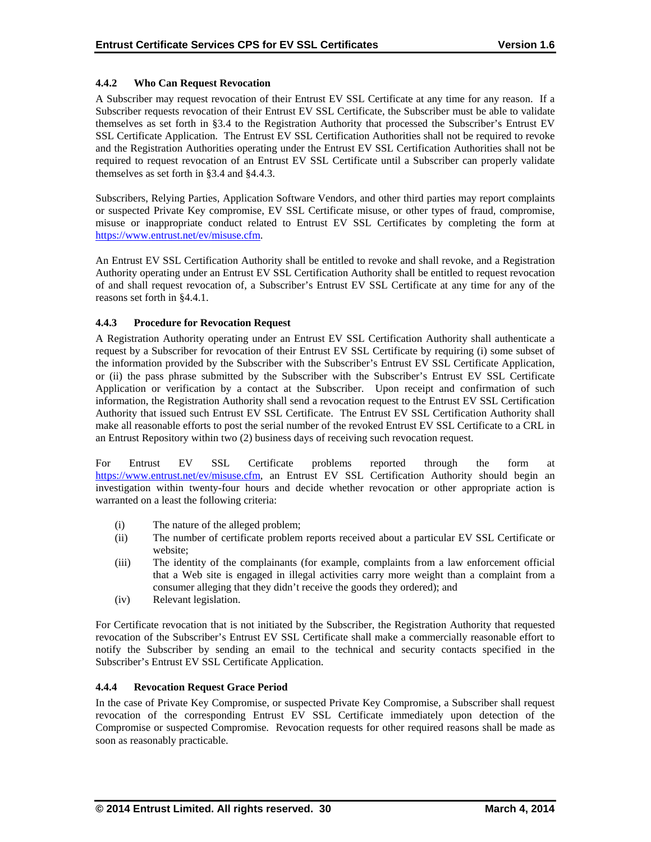# **4.4.2 Who Can Request Revocation**

A Subscriber may request revocation of their Entrust EV SSL Certificate at any time for any reason. If a Subscriber requests revocation of their Entrust EV SSL Certificate, the Subscriber must be able to validate themselves as set forth in §3.4 to the Registration Authority that processed the Subscriber's Entrust EV SSL Certificate Application. The Entrust EV SSL Certification Authorities shall not be required to revoke and the Registration Authorities operating under the Entrust EV SSL Certification Authorities shall not be required to request revocation of an Entrust EV SSL Certificate until a Subscriber can properly validate themselves as set forth in §3.4 and §4.4.3.

Subscribers, Relying Parties, Application Software Vendors, and other third parties may report complaints or suspected Private Key compromise, EV SSL Certificate misuse, or other types of fraud, compromise, misuse or inappropriate conduct related to Entrust EV SSL Certificates by completing the form at https://www.entrust.net/ev/misuse.cfm.

An Entrust EV SSL Certification Authority shall be entitled to revoke and shall revoke, and a Registration Authority operating under an Entrust EV SSL Certification Authority shall be entitled to request revocation of and shall request revocation of, a Subscriber's Entrust EV SSL Certificate at any time for any of the reasons set forth in §4.4.1.

## **4.4.3 Procedure for Revocation Request**

A Registration Authority operating under an Entrust EV SSL Certification Authority shall authenticate a request by a Subscriber for revocation of their Entrust EV SSL Certificate by requiring (i) some subset of the information provided by the Subscriber with the Subscriber's Entrust EV SSL Certificate Application, or (ii) the pass phrase submitted by the Subscriber with the Subscriber's Entrust EV SSL Certificate Application or verification by a contact at the Subscriber. Upon receipt and confirmation of such information, the Registration Authority shall send a revocation request to the Entrust EV SSL Certification Authority that issued such Entrust EV SSL Certificate. The Entrust EV SSL Certification Authority shall make all reasonable efforts to post the serial number of the revoked Entrust EV SSL Certificate to a CRL in an Entrust Repository within two (2) business days of receiving such revocation request.

For Entrust EV SSL Certificate problems reported through the form at https://www.entrust.net/ev/misuse.cfm, an Entrust EV SSL Certification Authority should begin an investigation within twenty-four hours and decide whether revocation or other appropriate action is warranted on a least the following criteria:

- (i) The nature of the alleged problem;
- (ii) The number of certificate problem reports received about a particular EV SSL Certificate or website;
- (iii) The identity of the complainants (for example, complaints from a law enforcement official that a Web site is engaged in illegal activities carry more weight than a complaint from a consumer alleging that they didn't receive the goods they ordered); and
- (iv) Relevant legislation.

For Certificate revocation that is not initiated by the Subscriber, the Registration Authority that requested revocation of the Subscriber's Entrust EV SSL Certificate shall make a commercially reasonable effort to notify the Subscriber by sending an email to the technical and security contacts specified in the Subscriber's Entrust EV SSL Certificate Application.

# **4.4.4 Revocation Request Grace Period**

In the case of Private Key Compromise, or suspected Private Key Compromise, a Subscriber shall request revocation of the corresponding Entrust EV SSL Certificate immediately upon detection of the Compromise or suspected Compromise. Revocation requests for other required reasons shall be made as soon as reasonably practicable.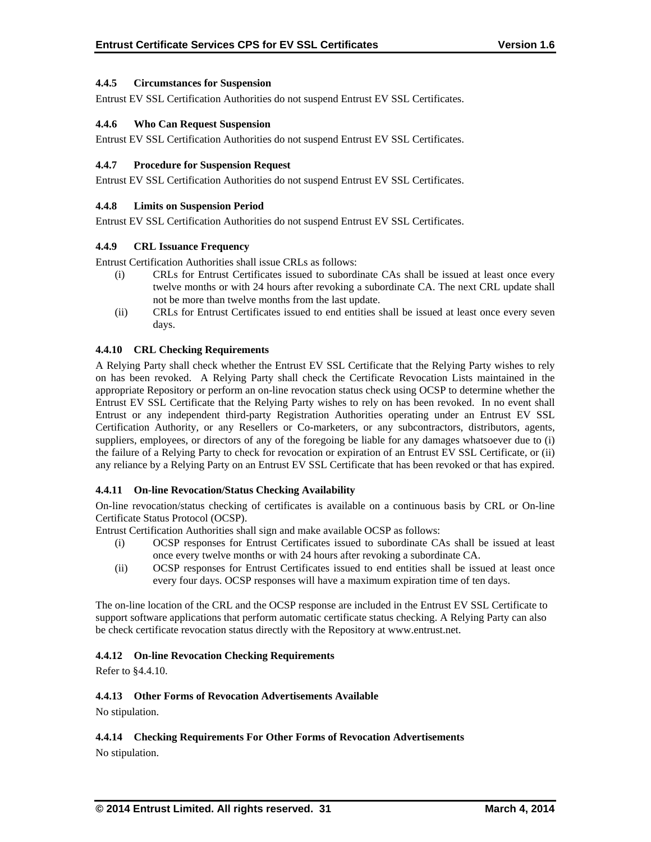## **4.4.5 Circumstances for Suspension**

Entrust EV SSL Certification Authorities do not suspend Entrust EV SSL Certificates.

## **4.4.6 Who Can Request Suspension**

Entrust EV SSL Certification Authorities do not suspend Entrust EV SSL Certificates.

## **4.4.7 Procedure for Suspension Request**

Entrust EV SSL Certification Authorities do not suspend Entrust EV SSL Certificates.

## **4.4.8 Limits on Suspension Period**

Entrust EV SSL Certification Authorities do not suspend Entrust EV SSL Certificates.

## **4.4.9 CRL Issuance Frequency**

Entrust Certification Authorities shall issue CRLs as follows:

- (i) CRLs for Entrust Certificates issued to subordinate CAs shall be issued at least once every twelve months or with 24 hours after revoking a subordinate CA. The next CRL update shall not be more than twelve months from the last update.
- (ii) CRLs for Entrust Certificates issued to end entities shall be issued at least once every seven days.

## **4.4.10 CRL Checking Requirements**

A Relying Party shall check whether the Entrust EV SSL Certificate that the Relying Party wishes to rely on has been revoked. A Relying Party shall check the Certificate Revocation Lists maintained in the appropriate Repository or perform an on-line revocation status check using OCSP to determine whether the Entrust EV SSL Certificate that the Relying Party wishes to rely on has been revoked. In no event shall Entrust or any independent third-party Registration Authorities operating under an Entrust EV SSL Certification Authority, or any Resellers or Co-marketers, or any subcontractors, distributors, agents, suppliers, employees, or directors of any of the foregoing be liable for any damages whatsoever due to (i) the failure of a Relying Party to check for revocation or expiration of an Entrust EV SSL Certificate, or (ii) any reliance by a Relying Party on an Entrust EV SSL Certificate that has been revoked or that has expired.

#### **4.4.11 On-line Revocation/Status Checking Availability**

On-line revocation/status checking of certificates is available on a continuous basis by CRL or On-line Certificate Status Protocol (OCSP).

Entrust Certification Authorities shall sign and make available OCSP as follows:

- (i) OCSP responses for Entrust Certificates issued to subordinate CAs shall be issued at least once every twelve months or with 24 hours after revoking a subordinate CA.
- (ii) OCSP responses for Entrust Certificates issued to end entities shall be issued at least once every four days. OCSP responses will have a maximum expiration time of ten days.

The on-line location of the CRL and the OCSP response are included in the Entrust EV SSL Certificate to support software applications that perform automatic certificate status checking. A Relying Party can also be check certificate revocation status directly with the Repository at www.entrust.net.

#### **4.4.12 On-line Revocation Checking Requirements**

Refer to §4.4.10.

## **4.4.13 Other Forms of Revocation Advertisements Available**

No stipulation.

# **4.4.14 Checking Requirements For Other Forms of Revocation Advertisements**

No stipulation.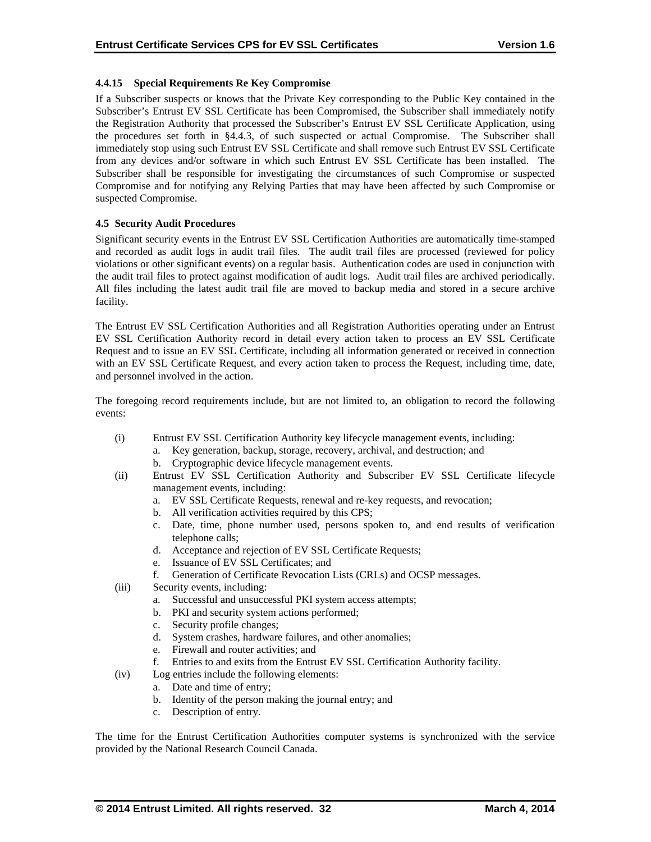# **4.4.15 Special Requirements Re Key Compromise**

If a Subscriber suspects or knows that the Private Key corresponding to the Public Key contained in the Subscriber's Entrust EV SSL Certificate has been Compromised, the Subscriber shall immediately notify the Registration Authority that processed the Subscriber's Entrust EV SSL Certificate Application, using the procedures set forth in §4.4.3, of such suspected or actual Compromise. The Subscriber shall immediately stop using such Entrust EV SSL Certificate and shall remove such Entrust EV SSL Certificate from any devices and/or software in which such Entrust EV SSL Certificate has been installed. The Subscriber shall be responsible for investigating the circumstances of such Compromise or suspected Compromise and for notifying any Relying Parties that may have been affected by such Compromise or suspected Compromise.

## **4.5 Security Audit Procedures**

Significant security events in the Entrust EV SSL Certification Authorities are automatically time-stamped and recorded as audit logs in audit trail files. The audit trail files are processed (reviewed for policy violations or other significant events) on a regular basis. Authentication codes are used in conjunction with the audit trail files to protect against modification of audit logs. Audit trail files are archived periodically. All files including the latest audit trail file are moved to backup media and stored in a secure archive facility.

The Entrust EV SSL Certification Authorities and all Registration Authorities operating under an Entrust EV SSL Certification Authority record in detail every action taken to process an EV SSL Certificate Request and to issue an EV SSL Certificate, including all information generated or received in connection with an EV SSL Certificate Request, and every action taken to process the Request, including time, date, and personnel involved in the action.

The foregoing record requirements include, but are not limited to, an obligation to record the following events:

- (i) Entrust EV SSL Certification Authority key lifecycle management events, including:
	- a. Key generation, backup, storage, recovery, archival, and destruction; and
		- b. Cryptographic device lifecycle management events.
- (ii) Entrust EV SSL Certification Authority and Subscriber EV SSL Certificate lifecycle management events, including:
	- a. EV SSL Certificate Requests, renewal and re-key requests, and revocation;
	- b. All verification activities required by this CPS;
	- c. Date, time, phone number used, persons spoken to, and end results of verification telephone calls;
	- d. Acceptance and rejection of EV SSL Certificate Requests;
	- e. Issuance of EV SSL Certificates; and
	- f. Generation of Certificate Revocation Lists (CRLs) and OCSP messages.
- (iii) Security events, including:
	- a. Successful and unsuccessful PKI system access attempts;
	- b. PKI and security system actions performed;
	- c. Security profile changes;
	- d. System crashes, hardware failures, and other anomalies;
	- e. Firewall and router activities; and
	- f. Entries to and exits from the Entrust EV SSL Certification Authority facility.
- (iv) Log entries include the following elements:
	- a. Date and time of entry;
	- b. Identity of the person making the journal entry; and
	- c. Description of entry.

The time for the Entrust Certification Authorities computer systems is synchronized with the service provided by the National Research Council Canada.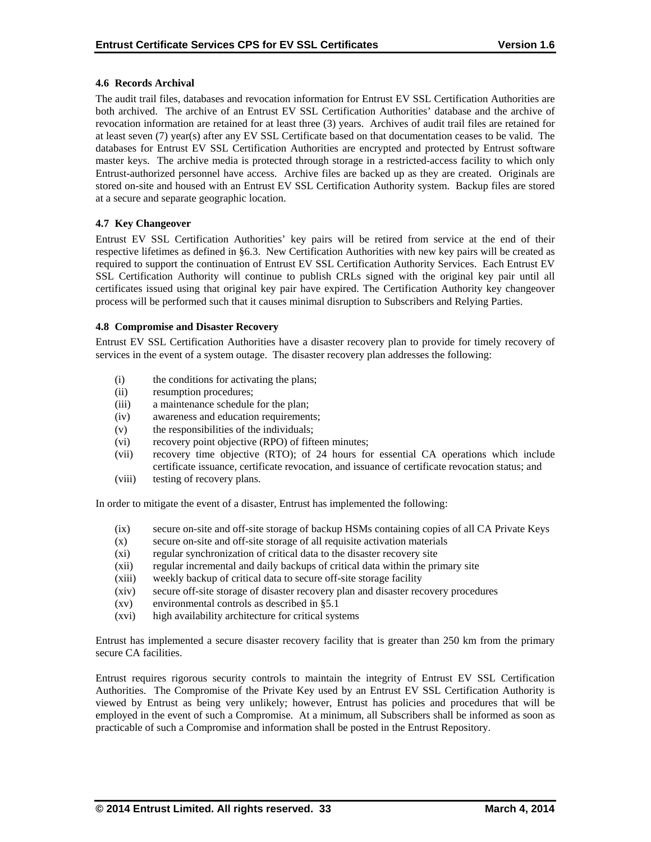## **4.6 Records Archival**

The audit trail files, databases and revocation information for Entrust EV SSL Certification Authorities are both archived. The archive of an Entrust EV SSL Certification Authorities' database and the archive of revocation information are retained for at least three (3) years. Archives of audit trail files are retained for at least seven (7) year(s) after any EV SSL Certificate based on that documentation ceases to be valid. The databases for Entrust EV SSL Certification Authorities are encrypted and protected by Entrust software master keys. The archive media is protected through storage in a restricted-access facility to which only Entrust-authorized personnel have access. Archive files are backed up as they are created. Originals are stored on-site and housed with an Entrust EV SSL Certification Authority system. Backup files are stored at a secure and separate geographic location.

## **4.7 Key Changeover**

Entrust EV SSL Certification Authorities' key pairs will be retired from service at the end of their respective lifetimes as defined in §6.3. New Certification Authorities with new key pairs will be created as required to support the continuation of Entrust EV SSL Certification Authority Services. Each Entrust EV SSL Certification Authority will continue to publish CRLs signed with the original key pair until all certificates issued using that original key pair have expired. The Certification Authority key changeover process will be performed such that it causes minimal disruption to Subscribers and Relying Parties.

#### **4.8 Compromise and Disaster Recovery**

Entrust EV SSL Certification Authorities have a disaster recovery plan to provide for timely recovery of services in the event of a system outage. The disaster recovery plan addresses the following:

- (i) the conditions for activating the plans;
- (ii) resumption procedures;
- (iii) a maintenance schedule for the plan;
- (iv) awareness and education requirements;
- (v) the responsibilities of the individuals;
- (vi) recovery point objective (RPO) of fifteen minutes;
- (vii) recovery time objective (RTO); of 24 hours for essential CA operations which include certificate issuance, certificate revocation, and issuance of certificate revocation status; and
- (viii) testing of recovery plans.

In order to mitigate the event of a disaster, Entrust has implemented the following:

- (ix) secure on-site and off-site storage of backup HSMs containing copies of all CA Private Keys
- (x) secure on-site and off-site storage of all requisite activation materials
- (xi) regular synchronization of critical data to the disaster recovery site
- (xii) regular incremental and daily backups of critical data within the primary site
- (xiii) weekly backup of critical data to secure off-site storage facility
- (xiv) secure off-site storage of disaster recovery plan and disaster recovery procedures
- (xv) environmental controls as described in §5.1
- (xvi) high availability architecture for critical systems

Entrust has implemented a secure disaster recovery facility that is greater than 250 km from the primary secure CA facilities.

Entrust requires rigorous security controls to maintain the integrity of Entrust EV SSL Certification Authorities. The Compromise of the Private Key used by an Entrust EV SSL Certification Authority is viewed by Entrust as being very unlikely; however, Entrust has policies and procedures that will be employed in the event of such a Compromise. At a minimum, all Subscribers shall be informed as soon as practicable of such a Compromise and information shall be posted in the Entrust Repository.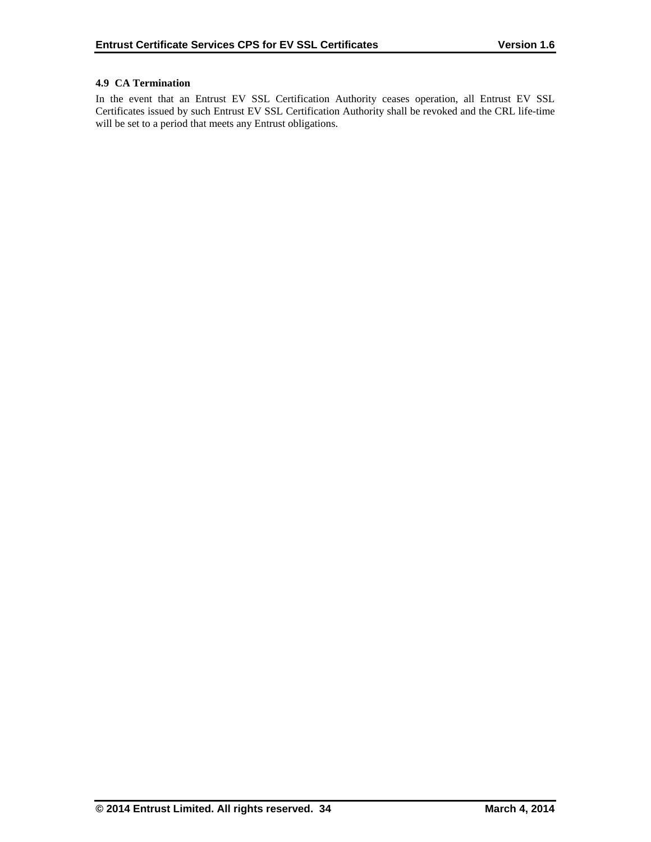# **4.9 CA Termination**

In the event that an Entrust EV SSL Certification Authority ceases operation, all Entrust EV SSL Certificates issued by such Entrust EV SSL Certification Authority shall be revoked and the CRL life-time will be set to a period that meets any Entrust obligations.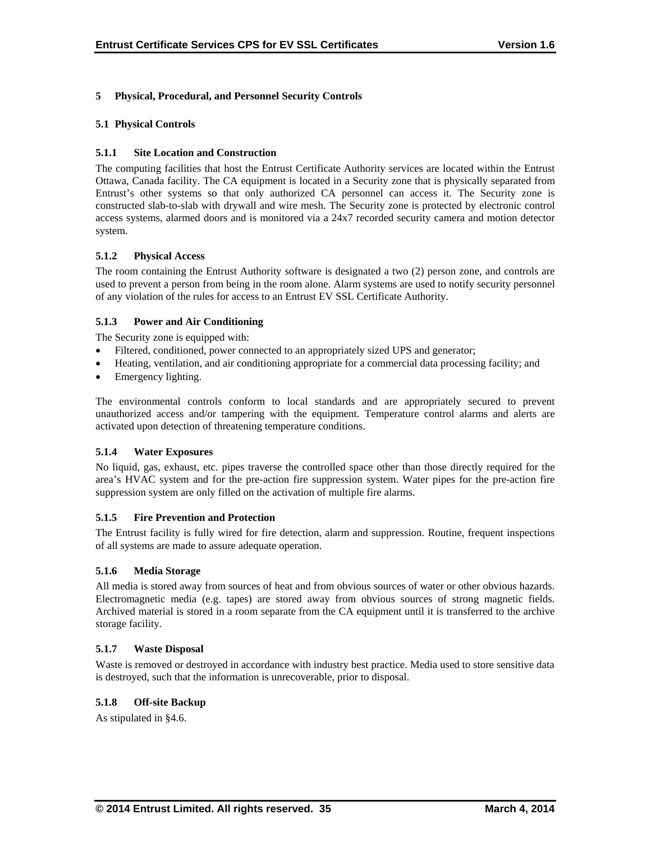# **5 Physical, Procedural, and Personnel Security Controls**

## **5.1 Physical Controls**

## **5.1.1 Site Location and Construction**

The computing facilities that host the Entrust Certificate Authority services are located within the Entrust Ottawa, Canada facility. The CA equipment is located in a Security zone that is physically separated from Entrust's other systems so that only authorized CA personnel can access it. The Security zone is constructed slab-to-slab with drywall and wire mesh. The Security zone is protected by electronic control access systems, alarmed doors and is monitored via a 24x7 recorded security camera and motion detector system.

## **5.1.2 Physical Access**

The room containing the Entrust Authority software is designated a two (2) person zone, and controls are used to prevent a person from being in the room alone. Alarm systems are used to notify security personnel of any violation of the rules for access to an Entrust EV SSL Certificate Authority.

## **5.1.3 Power and Air Conditioning**

The Security zone is equipped with:

- Filtered, conditioned, power connected to an appropriately sized UPS and generator;
- Heating, ventilation, and air conditioning appropriate for a commercial data processing facility; and
- Emergency lighting.

The environmental controls conform to local standards and are appropriately secured to prevent unauthorized access and/or tampering with the equipment. Temperature control alarms and alerts are activated upon detection of threatening temperature conditions.

#### **5.1.4 Water Exposures**

No liquid, gas, exhaust, etc. pipes traverse the controlled space other than those directly required for the area's HVAC system and for the pre-action fire suppression system. Water pipes for the pre-action fire suppression system are only filled on the activation of multiple fire alarms.

#### **5.1.5 Fire Prevention and Protection**

The Entrust facility is fully wired for fire detection, alarm and suppression. Routine, frequent inspections of all systems are made to assure adequate operation.

#### **5.1.6 Media Storage**

All media is stored away from sources of heat and from obvious sources of water or other obvious hazards. Electromagnetic media (e.g. tapes) are stored away from obvious sources of strong magnetic fields. Archived material is stored in a room separate from the CA equipment until it is transferred to the archive storage facility.

#### **5.1.7 Waste Disposal**

Waste is removed or destroyed in accordance with industry best practice. Media used to store sensitive data is destroyed, such that the information is unrecoverable, prior to disposal.

## **5.1.8 Off-site Backup**

As stipulated in §4.6.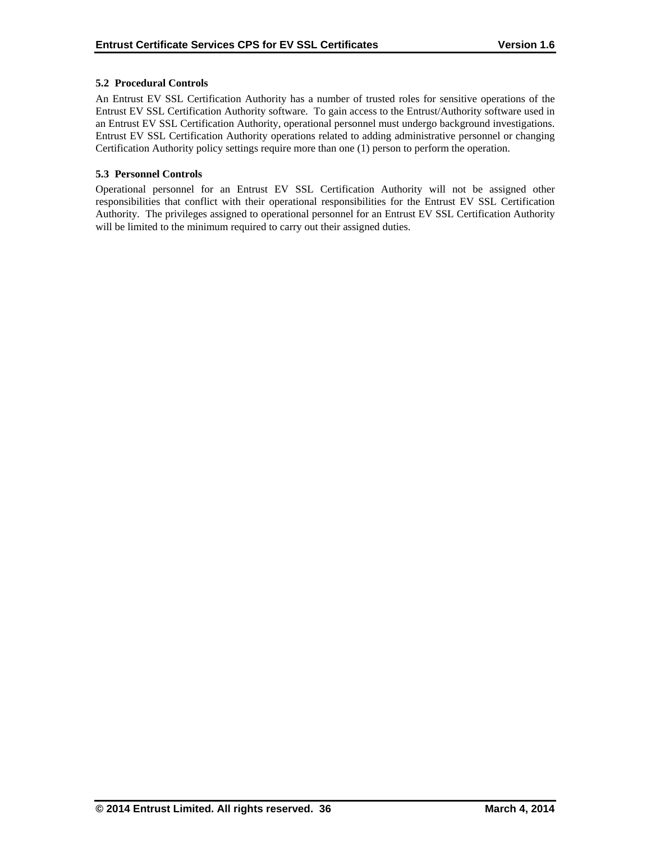# **5.2 Procedural Controls**

An Entrust EV SSL Certification Authority has a number of trusted roles for sensitive operations of the Entrust EV SSL Certification Authority software. To gain access to the Entrust/Authority software used in an Entrust EV SSL Certification Authority, operational personnel must undergo background investigations. Entrust EV SSL Certification Authority operations related to adding administrative personnel or changing Certification Authority policy settings require more than one (1) person to perform the operation.

## **5.3 Personnel Controls**

Operational personnel for an Entrust EV SSL Certification Authority will not be assigned other responsibilities that conflict with their operational responsibilities for the Entrust EV SSL Certification Authority. The privileges assigned to operational personnel for an Entrust EV SSL Certification Authority will be limited to the minimum required to carry out their assigned duties.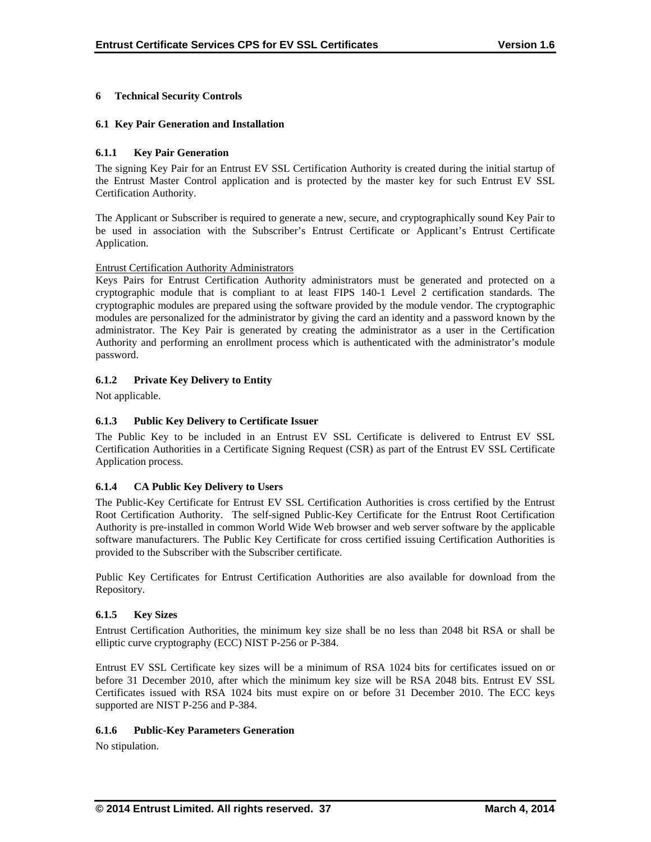# **6 Technical Security Controls**

## **6.1 Key Pair Generation and Installation**

## **6.1.1 Key Pair Generation**

The signing Key Pair for an Entrust EV SSL Certification Authority is created during the initial startup of the Entrust Master Control application and is protected by the master key for such Entrust EV SSL Certification Authority.

The Applicant or Subscriber is required to generate a new, secure, and cryptographically sound Key Pair to be used in association with the Subscriber's Entrust Certificate or Applicant's Entrust Certificate Application.

#### Entrust Certification Authority Administrators

Keys Pairs for Entrust Certification Authority administrators must be generated and protected on a cryptographic module that is compliant to at least FIPS 140-1 Level 2 certification standards. The cryptographic modules are prepared using the software provided by the module vendor. The cryptographic modules are personalized for the administrator by giving the card an identity and a password known by the administrator. The Key Pair is generated by creating the administrator as a user in the Certification Authority and performing an enrollment process which is authenticated with the administrator's module password.

## **6.1.2 Private Key Delivery to Entity**

Not applicable.

## **6.1.3 Public Key Delivery to Certificate Issuer**

The Public Key to be included in an Entrust EV SSL Certificate is delivered to Entrust EV SSL Certification Authorities in a Certificate Signing Request (CSR) as part of the Entrust EV SSL Certificate Application process.

#### **6.1.4 CA Public Key Delivery to Users**

The Public-Key Certificate for Entrust EV SSL Certification Authorities is cross certified by the Entrust Root Certification Authority. The self-signed Public-Key Certificate for the Entrust Root Certification Authority is pre-installed in common World Wide Web browser and web server software by the applicable software manufacturers. The Public Key Certificate for cross certified issuing Certification Authorities is provided to the Subscriber with the Subscriber certificate.

Public Key Certificates for Entrust Certification Authorities are also available for download from the Repository.

#### **6.1.5 Key Sizes**

Entrust Certification Authorities, the minimum key size shall be no less than 2048 bit RSA or shall be elliptic curve cryptography (ECC) NIST P-256 or P-384.

Entrust EV SSL Certificate key sizes will be a minimum of RSA 1024 bits for certificates issued on or before 31 December 2010, after which the minimum key size will be RSA 2048 bits. Entrust EV SSL Certificates issued with RSA 1024 bits must expire on or before 31 December 2010. The ECC keys supported are NIST P-256 and P-384.

#### **6.1.6 Public-Key Parameters Generation**

No stipulation.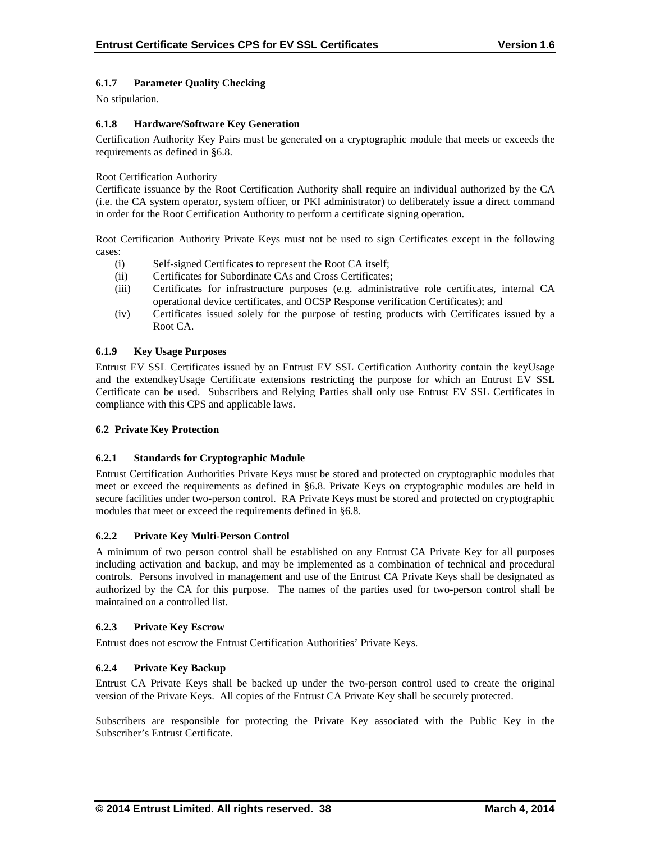# **6.1.7 Parameter Quality Checking**

No stipulation.

## **6.1.8 Hardware/Software Key Generation**

Certification Authority Key Pairs must be generated on a cryptographic module that meets or exceeds the requirements as defined in §6.8.

## Root Certification Authority

Certificate issuance by the Root Certification Authority shall require an individual authorized by the CA (i.e. the CA system operator, system officer, or PKI administrator) to deliberately issue a direct command in order for the Root Certification Authority to perform a certificate signing operation.

Root Certification Authority Private Keys must not be used to sign Certificates except in the following cases:

- (i) Self-signed Certificates to represent the Root CA itself;
- (ii) Certificates for Subordinate CAs and Cross Certificates;
- (iii) Certificates for infrastructure purposes (e.g. administrative role certificates, internal CA operational device certificates, and OCSP Response verification Certificates); and
- (iv) Certificates issued solely for the purpose of testing products with Certificates issued by a Root CA.

# **6.1.9 Key Usage Purposes**

Entrust EV SSL Certificates issued by an Entrust EV SSL Certification Authority contain the keyUsage and the extendkeyUsage Certificate extensions restricting the purpose for which an Entrust EV SSL Certificate can be used. Subscribers and Relying Parties shall only use Entrust EV SSL Certificates in compliance with this CPS and applicable laws.

# **6.2 Private Key Protection**

#### **6.2.1 Standards for Cryptographic Module**

Entrust Certification Authorities Private Keys must be stored and protected on cryptographic modules that meet or exceed the requirements as defined in §6.8. Private Keys on cryptographic modules are held in secure facilities under two-person control. RA Private Keys must be stored and protected on cryptographic modules that meet or exceed the requirements defined in §6.8.

#### **6.2.2 Private Key Multi-Person Control**

A minimum of two person control shall be established on any Entrust CA Private Key for all purposes including activation and backup, and may be implemented as a combination of technical and procedural controls. Persons involved in management and use of the Entrust CA Private Keys shall be designated as authorized by the CA for this purpose. The names of the parties used for two-person control shall be maintained on a controlled list.

#### **6.2.3 Private Key Escrow**

Entrust does not escrow the Entrust Certification Authorities' Private Keys.

# **6.2.4 Private Key Backup**

Entrust CA Private Keys shall be backed up under the two-person control used to create the original version of the Private Keys. All copies of the Entrust CA Private Key shall be securely protected.

Subscribers are responsible for protecting the Private Key associated with the Public Key in the Subscriber's Entrust Certificate.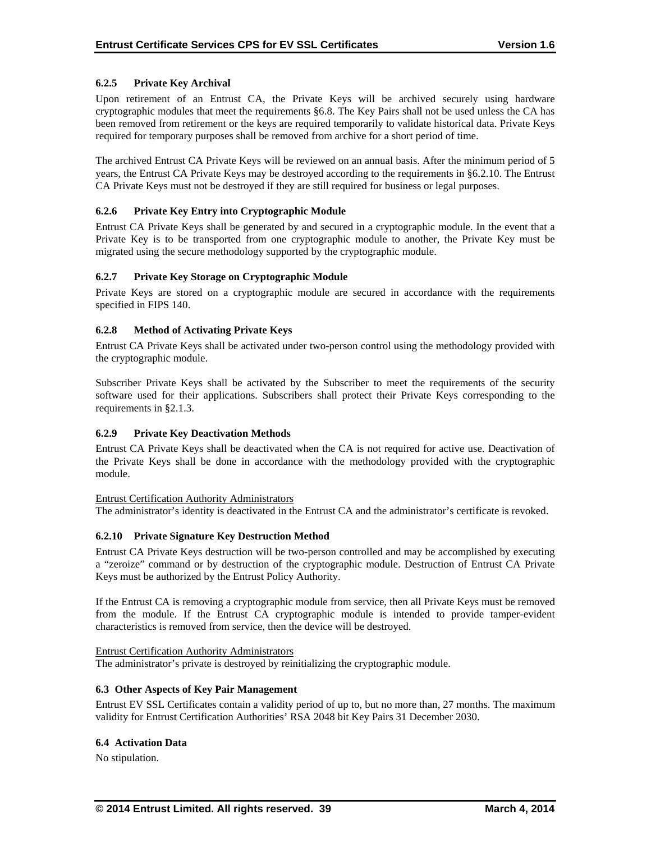# **6.2.5 Private Key Archival**

Upon retirement of an Entrust CA, the Private Keys will be archived securely using hardware cryptographic modules that meet the requirements §6.8. The Key Pairs shall not be used unless the CA has been removed from retirement or the keys are required temporarily to validate historical data. Private Keys required for temporary purposes shall be removed from archive for a short period of time.

The archived Entrust CA Private Keys will be reviewed on an annual basis. After the minimum period of 5 years, the Entrust CA Private Keys may be destroyed according to the requirements in §6.2.10. The Entrust CA Private Keys must not be destroyed if they are still required for business or legal purposes.

## **6.2.6 Private Key Entry into Cryptographic Module**

Entrust CA Private Keys shall be generated by and secured in a cryptographic module. In the event that a Private Key is to be transported from one cryptographic module to another, the Private Key must be migrated using the secure methodology supported by the cryptographic module.

## **6.2.7 Private Key Storage on Cryptographic Module**

Private Keys are stored on a cryptographic module are secured in accordance with the requirements specified in FIPS 140.

## **6.2.8 Method of Activating Private Keys**

Entrust CA Private Keys shall be activated under two-person control using the methodology provided with the cryptographic module.

Subscriber Private Keys shall be activated by the Subscriber to meet the requirements of the security software used for their applications. Subscribers shall protect their Private Keys corresponding to the requirements in §2.1.3.

#### **6.2.9 Private Key Deactivation Methods**

Entrust CA Private Keys shall be deactivated when the CA is not required for active use. Deactivation of the Private Keys shall be done in accordance with the methodology provided with the cryptographic module.

#### Entrust Certification Authority Administrators

The administrator's identity is deactivated in the Entrust CA and the administrator's certificate is revoked.

#### **6.2.10 Private Signature Key Destruction Method**

Entrust CA Private Keys destruction will be two-person controlled and may be accomplished by executing a "zeroize" command or by destruction of the cryptographic module. Destruction of Entrust CA Private Keys must be authorized by the Entrust Policy Authority.

If the Entrust CA is removing a cryptographic module from service, then all Private Keys must be removed from the module. If the Entrust CA cryptographic module is intended to provide tamper-evident characteristics is removed from service, then the device will be destroyed.

#### Entrust Certification Authority Administrators

The administrator's private is destroyed by reinitializing the cryptographic module.

#### **6.3 Other Aspects of Key Pair Management**

Entrust EV SSL Certificates contain a validity period of up to, but no more than, 27 months. The maximum validity for Entrust Certification Authorities' RSA 2048 bit Key Pairs 31 December 2030.

#### **6.4 Activation Data**

No stipulation.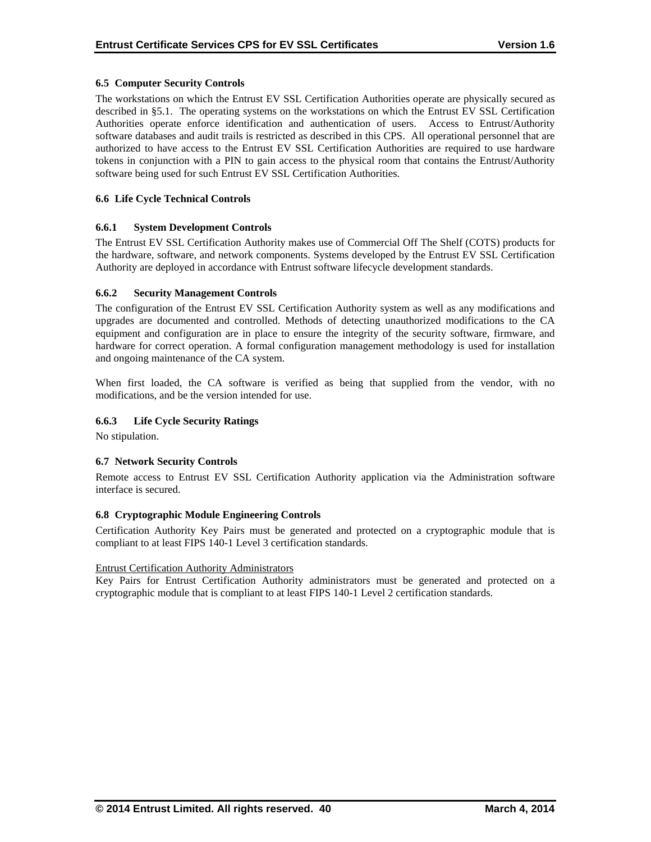# **6.5 Computer Security Controls**

The workstations on which the Entrust EV SSL Certification Authorities operate are physically secured as described in §5.1. The operating systems on the workstations on which the Entrust EV SSL Certification Authorities operate enforce identification and authentication of users. Access to Entrust/Authority software databases and audit trails is restricted as described in this CPS. All operational personnel that are authorized to have access to the Entrust EV SSL Certification Authorities are required to use hardware tokens in conjunction with a PIN to gain access to the physical room that contains the Entrust/Authority software being used for such Entrust EV SSL Certification Authorities.

## **6.6 Life Cycle Technical Controls**

#### **6.6.1 System Development Controls**

The Entrust EV SSL Certification Authority makes use of Commercial Off The Shelf (COTS) products for the hardware, software, and network components. Systems developed by the Entrust EV SSL Certification Authority are deployed in accordance with Entrust software lifecycle development standards.

## **6.6.2 Security Management Controls**

The configuration of the Entrust EV SSL Certification Authority system as well as any modifications and upgrades are documented and controlled. Methods of detecting unauthorized modifications to the CA equipment and configuration are in place to ensure the integrity of the security software, firmware, and hardware for correct operation. A formal configuration management methodology is used for installation and ongoing maintenance of the CA system.

When first loaded, the CA software is verified as being that supplied from the vendor, with no modifications, and be the version intended for use.

## **6.6.3 Life Cycle Security Ratings**

No stipulation.

#### **6.7 Network Security Controls**

Remote access to Entrust EV SSL Certification Authority application via the Administration software interface is secured.

#### **6.8 Cryptographic Module Engineering Controls**

Certification Authority Key Pairs must be generated and protected on a cryptographic module that is compliant to at least FIPS 140-1 Level 3 certification standards.

#### Entrust Certification Authority Administrators

Key Pairs for Entrust Certification Authority administrators must be generated and protected on a cryptographic module that is compliant to at least FIPS 140-1 Level 2 certification standards.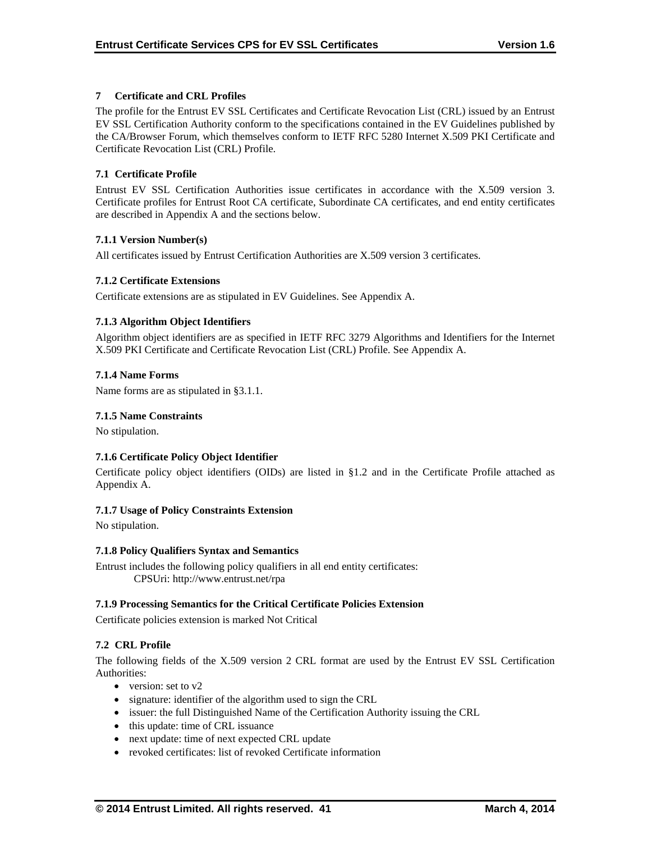# **7 Certificate and CRL Profiles**

The profile for the Entrust EV SSL Certificates and Certificate Revocation List (CRL) issued by an Entrust EV SSL Certification Authority conform to the specifications contained in the EV Guidelines published by the CA/Browser Forum, which themselves conform to IETF RFC 5280 Internet X.509 PKI Certificate and Certificate Revocation List (CRL) Profile.

# **7.1 Certificate Profile**

Entrust EV SSL Certification Authorities issue certificates in accordance with the X.509 version 3. Certificate profiles for Entrust Root CA certificate, Subordinate CA certificates, and end entity certificates are described in Appendix A and the sections below.

## **7.1.1 Version Number(s)**

All certificates issued by Entrust Certification Authorities are X.509 version 3 certificates.

## **7.1.2 Certificate Extensions**

Certificate extensions are as stipulated in EV Guidelines. See Appendix A.

## **7.1.3 Algorithm Object Identifiers**

Algorithm object identifiers are as specified in IETF RFC 3279 Algorithms and Identifiers for the Internet X.509 PKI Certificate and Certificate Revocation List (CRL) Profile. See Appendix A.

#### **7.1.4 Name Forms**

Name forms are as stipulated in §3.1.1.

#### **7.1.5 Name Constraints**

No stipulation.

# **7.1.6 Certificate Policy Object Identifier**

Certificate policy object identifiers (OIDs) are listed in §1.2 and in the Certificate Profile attached as Appendix A.

#### **7.1.7 Usage of Policy Constraints Extension**

No stipulation.

#### **7.1.8 Policy Qualifiers Syntax and Semantics**

Entrust includes the following policy qualifiers in all end entity certificates: CPSUri: http://www.entrust.net/rpa

#### **7.1.9 Processing Semantics for the Critical Certificate Policies Extension**

Certificate policies extension is marked Not Critical

# **7.2 CRL Profile**

The following fields of the X.509 version 2 CRL format are used by the Entrust EV SSL Certification Authorities:

- version: set to  $v2$
- signature: identifier of the algorithm used to sign the CRL
- issuer: the full Distinguished Name of the Certification Authority issuing the CRL
- this update: time of CRL issuance
- next update: time of next expected CRL update
- revoked certificates: list of revoked Certificate information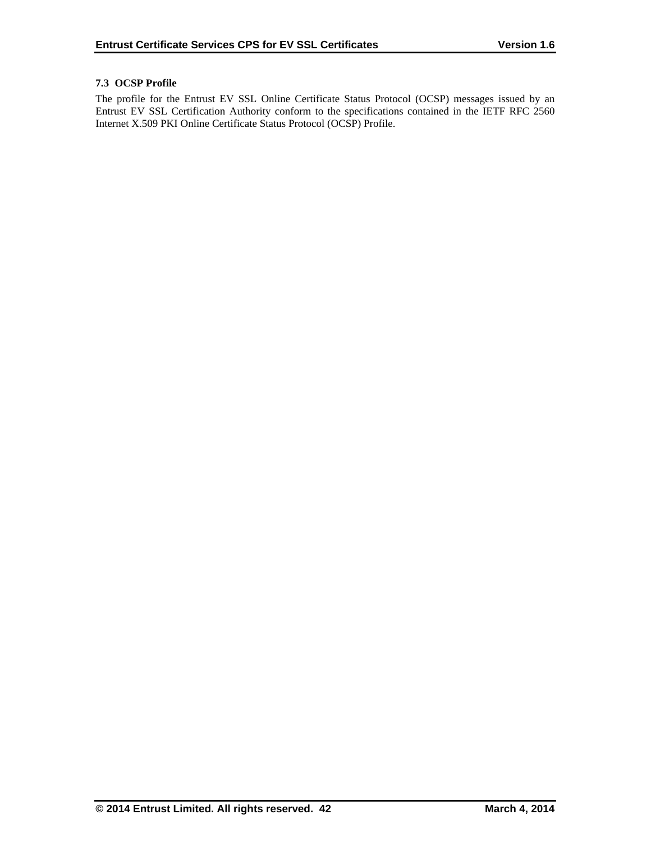# **7.3 OCSP Profile**

The profile for the Entrust EV SSL Online Certificate Status Protocol (OCSP) messages issued by an Entrust EV SSL Certification Authority conform to the specifications contained in the IETF RFC 2560 Internet X.509 PKI Online Certificate Status Protocol (OCSP) Profile.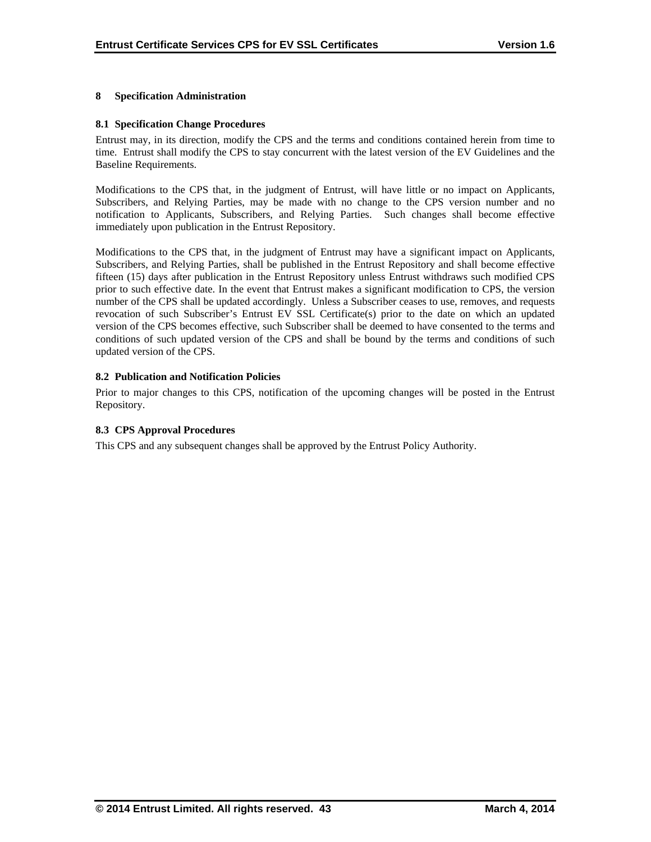#### **8 Specification Administration**

#### **8.1 Specification Change Procedures**

Entrust may, in its direction, modify the CPS and the terms and conditions contained herein from time to time. Entrust shall modify the CPS to stay concurrent with the latest version of the EV Guidelines and the Baseline Requirements.

Modifications to the CPS that, in the judgment of Entrust, will have little or no impact on Applicants, Subscribers, and Relying Parties, may be made with no change to the CPS version number and no notification to Applicants, Subscribers, and Relying Parties. Such changes shall become effective immediately upon publication in the Entrust Repository.

Modifications to the CPS that, in the judgment of Entrust may have a significant impact on Applicants, Subscribers, and Relying Parties, shall be published in the Entrust Repository and shall become effective fifteen (15) days after publication in the Entrust Repository unless Entrust withdraws such modified CPS prior to such effective date. In the event that Entrust makes a significant modification to CPS, the version number of the CPS shall be updated accordingly. Unless a Subscriber ceases to use, removes, and requests revocation of such Subscriber's Entrust EV SSL Certificate(s) prior to the date on which an updated version of the CPS becomes effective, such Subscriber shall be deemed to have consented to the terms and conditions of such updated version of the CPS and shall be bound by the terms and conditions of such updated version of the CPS.

#### **8.2 Publication and Notification Policies**

Prior to major changes to this CPS, notification of the upcoming changes will be posted in the Entrust Repository.

#### **8.3 CPS Approval Procedures**

This CPS and any subsequent changes shall be approved by the Entrust Policy Authority.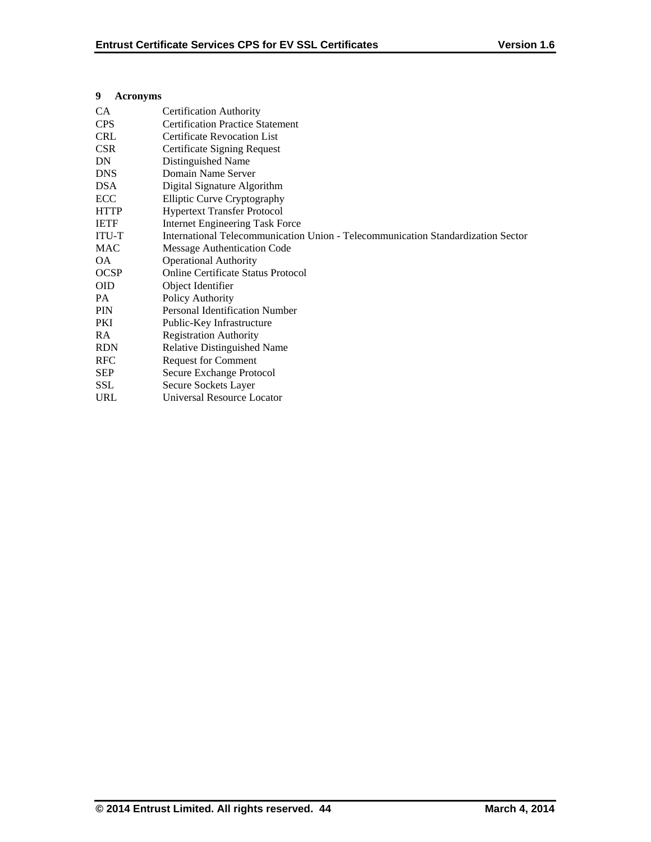## **9 Acronyms**

| CA           | <b>Certification Authority</b>                                                   |
|--------------|----------------------------------------------------------------------------------|
| <b>CPS</b>   | <b>Certification Practice Statement</b>                                          |
| <b>CRL</b>   | <b>Certificate Revocation List</b>                                               |
| <b>CSR</b>   | Certificate Signing Request                                                      |
| DN.          | Distinguished Name                                                               |
| <b>DNS</b>   | Domain Name Server                                                               |
| <b>DSA</b>   | Digital Signature Algorithm                                                      |
| ECC          | Elliptic Curve Cryptography                                                      |
| <b>HTTP</b>  | <b>Hypertext Transfer Protocol</b>                                               |
| <b>IETF</b>  | <b>Internet Engineering Task Force</b>                                           |
| <b>ITU-T</b> | International Telecommunication Union - Telecommunication Standardization Sector |
| <b>MAC</b>   | Message Authentication Code                                                      |
| OA.          | <b>Operational Authority</b>                                                     |
| <b>OCSP</b>  | <b>Online Certificate Status Protocol</b>                                        |
| <b>OID</b>   | Object Identifier                                                                |
| PA.          | Policy Authority                                                                 |
| <b>PIN</b>   | <b>Personal Identification Number</b>                                            |
| <b>PKI</b>   | Public-Key Infrastructure                                                        |
| <b>RA</b>    | <b>Registration Authority</b>                                                    |
| <b>RDN</b>   | <b>Relative Distinguished Name</b>                                               |
| <b>RFC</b>   | <b>Request for Comment</b>                                                       |
| <b>SEP</b>   | Secure Exchange Protocol                                                         |
| <b>SSL</b>   | Secure Sockets Layer                                                             |
| <b>URL</b>   | <b>Universal Resource Locator</b>                                                |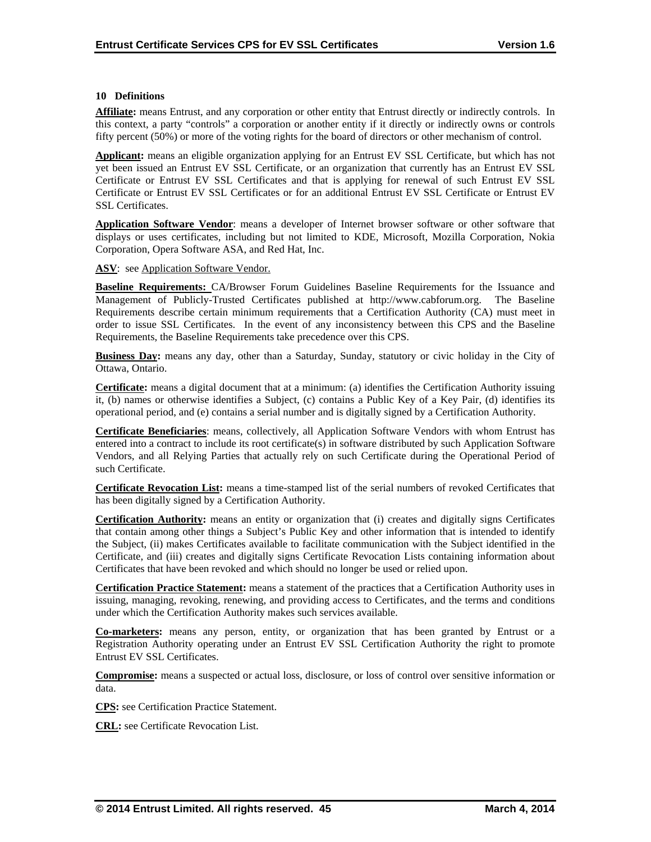## **10 Definitions**

**Affiliate:** means Entrust, and any corporation or other entity that Entrust directly or indirectly controls. In this context, a party "controls" a corporation or another entity if it directly or indirectly owns or controls fifty percent (50%) or more of the voting rights for the board of directors or other mechanism of control.

**Applicant:** means an eligible organization applying for an Entrust EV SSL Certificate, but which has not yet been issued an Entrust EV SSL Certificate, or an organization that currently has an Entrust EV SSL Certificate or Entrust EV SSL Certificates and that is applying for renewal of such Entrust EV SSL Certificate or Entrust EV SSL Certificates or for an additional Entrust EV SSL Certificate or Entrust EV SSL Certificates.

**Application Software Vendor**: means a developer of Internet browser software or other software that displays or uses certificates, including but not limited to KDE, Microsoft, Mozilla Corporation, Nokia Corporation, Opera Software ASA, and Red Hat, Inc.

ASV: see Application Software Vendor.

**Baseline Requirements:** CA/Browser Forum Guidelines Baseline Requirements for the Issuance and Management of Publicly-Trusted Certificates published at http://www.cabforum.org. The Baseline Requirements describe certain minimum requirements that a Certification Authority (CA) must meet in order to issue SSL Certificates. In the event of any inconsistency between this CPS and the Baseline Requirements, the Baseline Requirements take precedence over this CPS.

**Business Day:** means any day, other than a Saturday, Sunday, statutory or civic holiday in the City of Ottawa, Ontario.

**Certificate:** means a digital document that at a minimum: (a) identifies the Certification Authority issuing it, (b) names or otherwise identifies a Subject, (c) contains a Public Key of a Key Pair, (d) identifies its operational period, and (e) contains a serial number and is digitally signed by a Certification Authority.

**Certificate Beneficiaries**: means, collectively, all Application Software Vendors with whom Entrust has entered into a contract to include its root certificate(s) in software distributed by such Application Software Vendors, and all Relying Parties that actually rely on such Certificate during the Operational Period of such Certificate.

**Certificate Revocation List:** means a time-stamped list of the serial numbers of revoked Certificates that has been digitally signed by a Certification Authority.

**Certification Authority:** means an entity or organization that (i) creates and digitally signs Certificates that contain among other things a Subject's Public Key and other information that is intended to identify the Subject, (ii) makes Certificates available to facilitate communication with the Subject identified in the Certificate, and (iii) creates and digitally signs Certificate Revocation Lists containing information about Certificates that have been revoked and which should no longer be used or relied upon.

**Certification Practice Statement:** means a statement of the practices that a Certification Authority uses in issuing, managing, revoking, renewing, and providing access to Certificates, and the terms and conditions under which the Certification Authority makes such services available.

**Co-marketers:** means any person, entity, or organization that has been granted by Entrust or a Registration Authority operating under an Entrust EV SSL Certification Authority the right to promote Entrust EV SSL Certificates.

**Compromise:** means a suspected or actual loss, disclosure, or loss of control over sensitive information or data.

**CPS:** see Certification Practice Statement.

**CRL:** see Certificate Revocation List.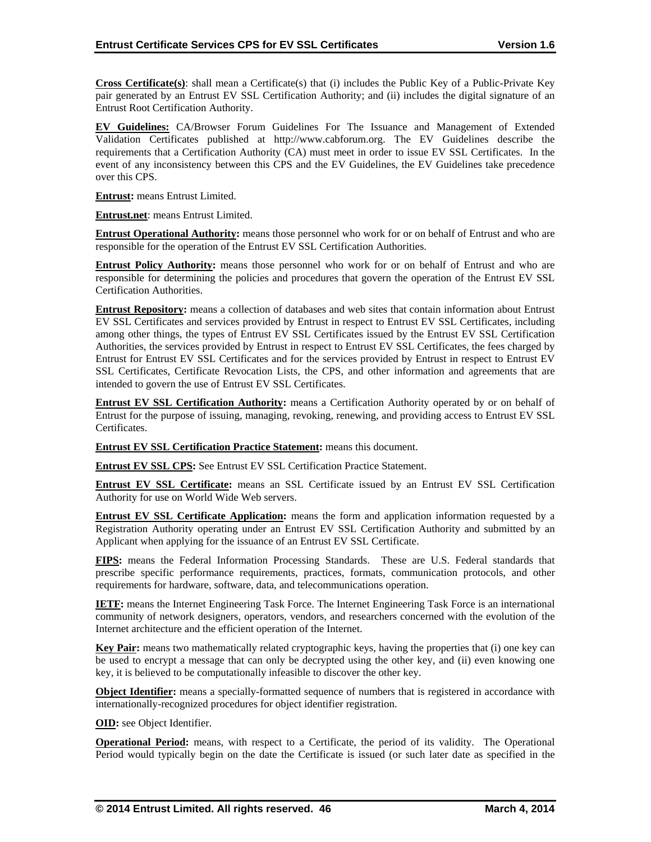**Cross Certificate(s)**: shall mean a Certificate(s) that (i) includes the Public Key of a Public-Private Key pair generated by an Entrust EV SSL Certification Authority; and (ii) includes the digital signature of an Entrust Root Certification Authority.

**EV Guidelines:** CA/Browser Forum Guidelines For The Issuance and Management of Extended Validation Certificates published at http://www.cabforum.org. The EV Guidelines describe the requirements that a Certification Authority (CA) must meet in order to issue EV SSL Certificates. In the event of any inconsistency between this CPS and the EV Guidelines, the EV Guidelines take precedence over this CPS.

**Entrust:** means Entrust Limited.

**Entrust.net**: means Entrust Limited.

**Entrust Operational Authority:** means those personnel who work for or on behalf of Entrust and who are responsible for the operation of the Entrust EV SSL Certification Authorities.

**Entrust Policy Authority:** means those personnel who work for or on behalf of Entrust and who are responsible for determining the policies and procedures that govern the operation of the Entrust EV SSL Certification Authorities.

**Entrust Repository:** means a collection of databases and web sites that contain information about Entrust EV SSL Certificates and services provided by Entrust in respect to Entrust EV SSL Certificates, including among other things, the types of Entrust EV SSL Certificates issued by the Entrust EV SSL Certification Authorities, the services provided by Entrust in respect to Entrust EV SSL Certificates, the fees charged by Entrust for Entrust EV SSL Certificates and for the services provided by Entrust in respect to Entrust EV SSL Certificates, Certificate Revocation Lists, the CPS, and other information and agreements that are intended to govern the use of Entrust EV SSL Certificates.

**Entrust EV SSL Certification Authority:** means a Certification Authority operated by or on behalf of Entrust for the purpose of issuing, managing, revoking, renewing, and providing access to Entrust EV SSL Certificates.

**Entrust EV SSL Certification Practice Statement:** means this document.

**Entrust EV SSL CPS:** See Entrust EV SSL Certification Practice Statement.

**Entrust EV SSL Certificate:** means an SSL Certificate issued by an Entrust EV SSL Certification Authority for use on World Wide Web servers.

**Entrust EV SSL Certificate Application:** means the form and application information requested by a Registration Authority operating under an Entrust EV SSL Certification Authority and submitted by an Applicant when applying for the issuance of an Entrust EV SSL Certificate.

**FIPS:** means the Federal Information Processing Standards. These are U.S. Federal standards that prescribe specific performance requirements, practices, formats, communication protocols, and other requirements for hardware, software, data, and telecommunications operation.

**IETF:** means the Internet Engineering Task Force. The Internet Engineering Task Force is an international community of network designers, operators, vendors, and researchers concerned with the evolution of the Internet architecture and the efficient operation of the Internet.

**Key Pair:** means two mathematically related cryptographic keys, having the properties that (i) one key can be used to encrypt a message that can only be decrypted using the other key, and (ii) even knowing one key, it is believed to be computationally infeasible to discover the other key.

**Object Identifier:** means a specially-formatted sequence of numbers that is registered in accordance with internationally-recognized procedures for object identifier registration.

**OID:** see Object Identifier.

**Operational Period:** means, with respect to a Certificate, the period of its validity. The Operational Period would typically begin on the date the Certificate is issued (or such later date as specified in the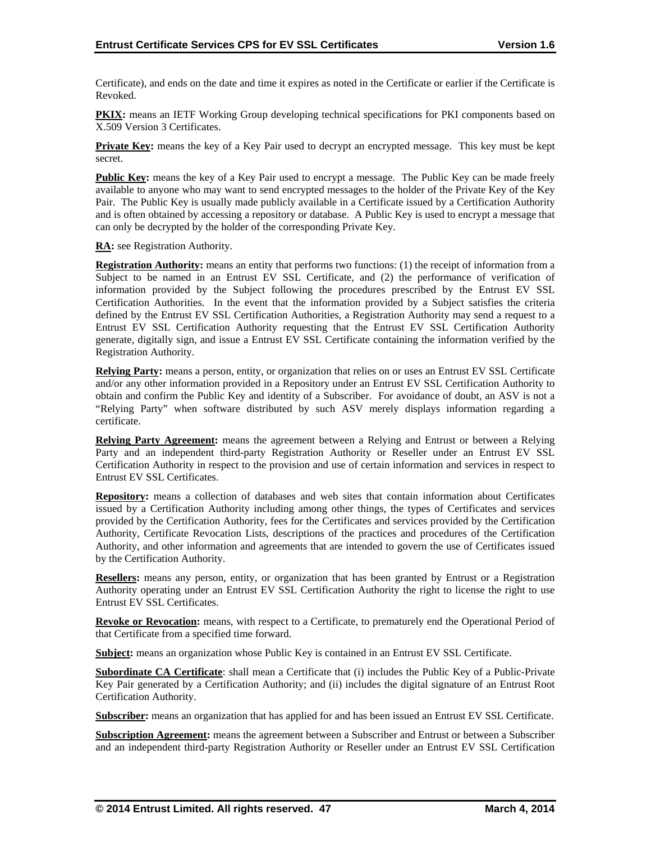Certificate), and ends on the date and time it expires as noted in the Certificate or earlier if the Certificate is Revoked.

**PKIX:** means an IETF Working Group developing technical specifications for PKI components based on X.509 Version 3 Certificates.

**Private Key:** means the key of a Key Pair used to decrypt an encrypted message. This key must be kept secret.

**Public Key:** means the key of a Key Pair used to encrypt a message. The Public Key can be made freely available to anyone who may want to send encrypted messages to the holder of the Private Key of the Key Pair. The Public Key is usually made publicly available in a Certificate issued by a Certification Authority and is often obtained by accessing a repository or database. A Public Key is used to encrypt a message that can only be decrypted by the holder of the corresponding Private Key.

**RA:** see Registration Authority.

**Registration Authority:** means an entity that performs two functions: (1) the receipt of information from a Subject to be named in an Entrust EV SSL Certificate, and (2) the performance of verification of information provided by the Subject following the procedures prescribed by the Entrust EV SSL Certification Authorities. In the event that the information provided by a Subject satisfies the criteria defined by the Entrust EV SSL Certification Authorities, a Registration Authority may send a request to a Entrust EV SSL Certification Authority requesting that the Entrust EV SSL Certification Authority generate, digitally sign, and issue a Entrust EV SSL Certificate containing the information verified by the Registration Authority.

**Relying Party:** means a person, entity, or organization that relies on or uses an Entrust EV SSL Certificate and/or any other information provided in a Repository under an Entrust EV SSL Certification Authority to obtain and confirm the Public Key and identity of a Subscriber. For avoidance of doubt, an ASV is not a "Relying Party" when software distributed by such ASV merely displays information regarding a certificate.

**Relying Party Agreement:** means the agreement between a Relying and Entrust or between a Relying Party and an independent third-party Registration Authority or Reseller under an Entrust EV SSL Certification Authority in respect to the provision and use of certain information and services in respect to Entrust EV SSL Certificates.

**Repository:** means a collection of databases and web sites that contain information about Certificates issued by a Certification Authority including among other things, the types of Certificates and services provided by the Certification Authority, fees for the Certificates and services provided by the Certification Authority, Certificate Revocation Lists, descriptions of the practices and procedures of the Certification Authority, and other information and agreements that are intended to govern the use of Certificates issued by the Certification Authority.

**Resellers:** means any person, entity, or organization that has been granted by Entrust or a Registration Authority operating under an Entrust EV SSL Certification Authority the right to license the right to use Entrust EV SSL Certificates.

**Revoke or Revocation:** means, with respect to a Certificate, to prematurely end the Operational Period of that Certificate from a specified time forward.

**Subject:** means an organization whose Public Key is contained in an Entrust EV SSL Certificate.

**Subordinate CA Certificate**: shall mean a Certificate that (i) includes the Public Key of a Public-Private Key Pair generated by a Certification Authority; and (ii) includes the digital signature of an Entrust Root Certification Authority.

**Subscriber:** means an organization that has applied for and has been issued an Entrust EV SSL Certificate.

**Subscription Agreement:** means the agreement between a Subscriber and Entrust or between a Subscriber and an independent third-party Registration Authority or Reseller under an Entrust EV SSL Certification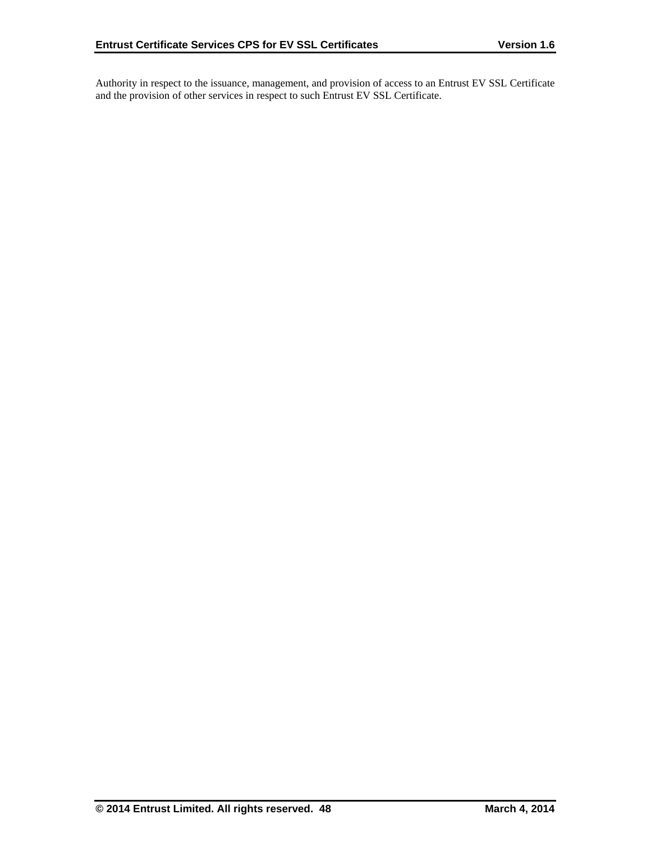Authority in respect to the issuance, management, and provision of access to an Entrust EV SSL Certificate and the provision of other services in respect to such Entrust EV SSL Certificate.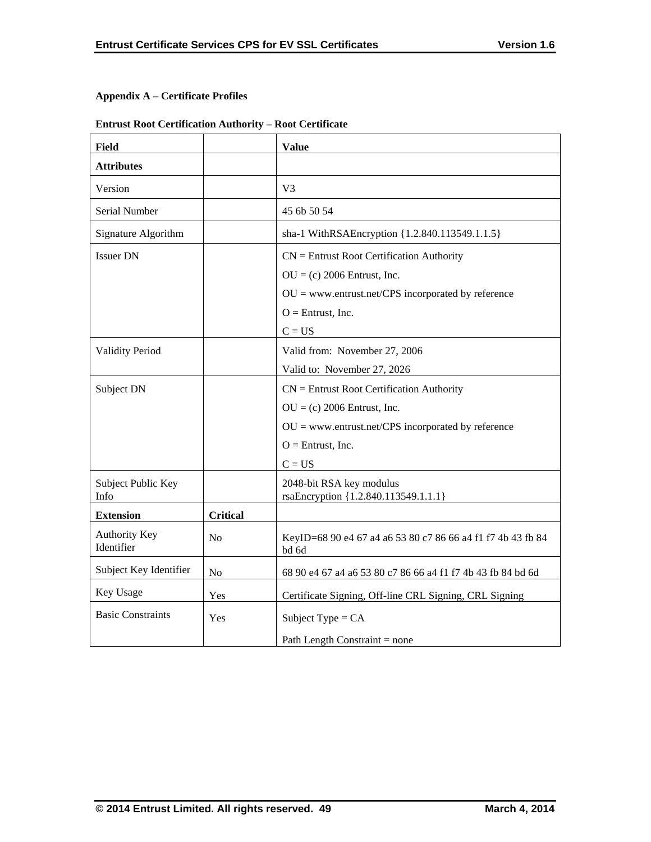# **Appendix A – Certificate Profiles**

# **Entrust Root Certification Authority – Root Certificate**

| <b>Field</b>                       |                 | <b>Value</b>                                                         |
|------------------------------------|-----------------|----------------------------------------------------------------------|
| <b>Attributes</b>                  |                 |                                                                      |
| Version                            |                 | V <sub>3</sub>                                                       |
| Serial Number                      |                 | 45 6b 50 54                                                          |
| Signature Algorithm                |                 | sha-1 WithRSAEncryption {1.2.840.113549.1.1.5}                       |
| <b>Issuer DN</b>                   |                 | $CN =$ Entrust Root Certification Authority                          |
|                                    |                 | $OU = (c) 2006$ Entrust, Inc.                                        |
|                                    |                 | $OU = www.entrust.net/CPS incorporated by reference$                 |
|                                    |                 | $O =$ Entrust, Inc.                                                  |
|                                    |                 | $C = US$                                                             |
| <b>Validity Period</b>             |                 | Valid from: November 27, 2006                                        |
|                                    |                 | Valid to: November 27, 2026                                          |
| Subject DN                         |                 | $CN =$ Entrust Root Certification Authority                          |
|                                    |                 | $OU = (c) 2006$ Entrust, Inc.                                        |
|                                    |                 | $OU =$ www.entrust.net/CPS incorporated by reference                 |
|                                    |                 | $O =$ Entrust, Inc.                                                  |
|                                    |                 | $C = US$                                                             |
| Subject Public Key<br>Info         |                 | 2048-bit RSA key modulus<br>rsaEncryption {1.2.840.113549.1.1.1}     |
| <b>Extension</b>                   | <b>Critical</b> |                                                                      |
| <b>Authority Key</b><br>Identifier | N <sub>o</sub>  | KeyID=68 90 e4 67 a4 a6 53 80 c7 86 66 a4 f1 f7 4b 43 fb 84<br>bd 6d |
| Subject Key Identifier             | N <sub>o</sub>  | 68 90 e4 67 a4 a6 53 80 c7 86 66 a4 f1 f7 4b 43 fb 84 bd 6d          |
| Key Usage                          | Yes             | Certificate Signing, Off-line CRL Signing, CRL Signing               |
| <b>Basic Constraints</b>           | Yes             | Subject Type = $CA$                                                  |
|                                    |                 | Path Length Constraint = none                                        |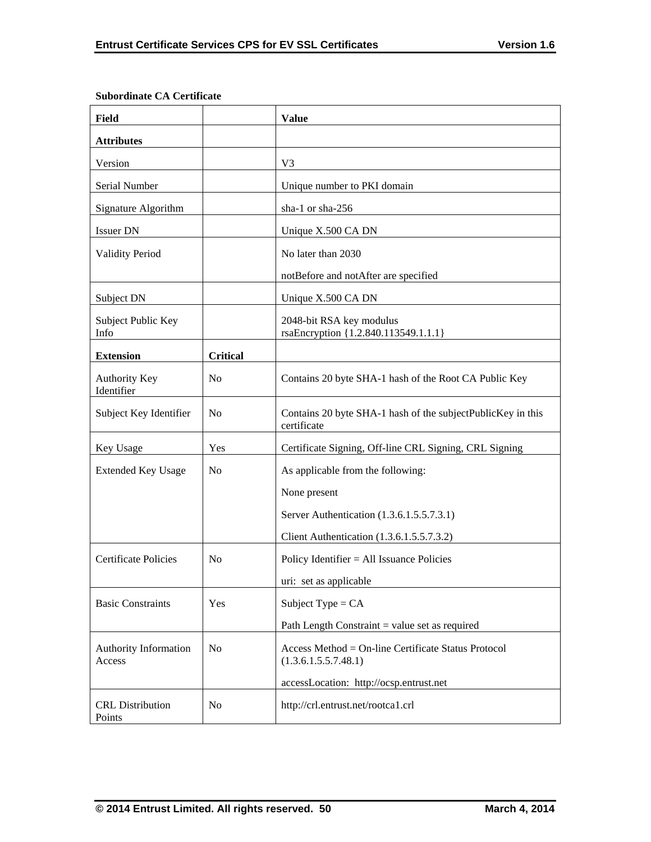| <b>Field</b>                      |                 | <b>Value</b>                                                                |
|-----------------------------------|-----------------|-----------------------------------------------------------------------------|
| <b>Attributes</b>                 |                 |                                                                             |
| Version                           |                 | V <sub>3</sub>                                                              |
| Serial Number                     |                 | Unique number to PKI domain                                                 |
| Signature Algorithm               |                 | sha-1 or sha-256                                                            |
| <b>Issuer DN</b>                  |                 | Unique X.500 CA DN                                                          |
| <b>Validity Period</b>            |                 | No later than 2030                                                          |
|                                   |                 | notBefore and notAfter are specified                                        |
| Subject DN                        |                 | Unique X.500 CA DN                                                          |
| Subject Public Key<br>Info        |                 | 2048-bit RSA key modulus<br>rsaEncryption {1.2.840.113549.1.1.1}            |
| <b>Extension</b>                  | <b>Critical</b> |                                                                             |
| Authority Key<br>Identifier       | N <sub>0</sub>  | Contains 20 byte SHA-1 hash of the Root CA Public Key                       |
| Subject Key Identifier            | N <sub>o</sub>  | Contains 20 byte SHA-1 hash of the subjectPublicKey in this<br>certificate  |
| Key Usage                         | Yes             | Certificate Signing, Off-line CRL Signing, CRL Signing                      |
| <b>Extended Key Usage</b>         | N <sub>0</sub>  | As applicable from the following:                                           |
|                                   |                 | None present                                                                |
|                                   |                 | Server Authentication (1.3.6.1.5.5.7.3.1)                                   |
|                                   |                 | Client Authentication (1.3.6.1.5.5.7.3.2)                                   |
| <b>Certificate Policies</b>       | N <sub>o</sub>  | Policy Identifier $=$ All Issuance Policies                                 |
|                                   |                 | uri: set as applicable                                                      |
| <b>Basic Constraints</b>          | Yes             | Subject Type = $CA$                                                         |
|                                   |                 | Path Length Constraint $=$ value set as required                            |
| Authority Information<br>Access   | N <sub>0</sub>  | Access Method = On-line Certificate Status Protocol<br>(1.3.6.1.5.5.7.48.1) |
|                                   |                 | accessLocation: http://ocsp.entrust.net                                     |
| <b>CRL</b> Distribution<br>Points | N <sub>o</sub>  | http://crl.entrust.net/rootca1.crl                                          |

## **Subordinate CA Certificate**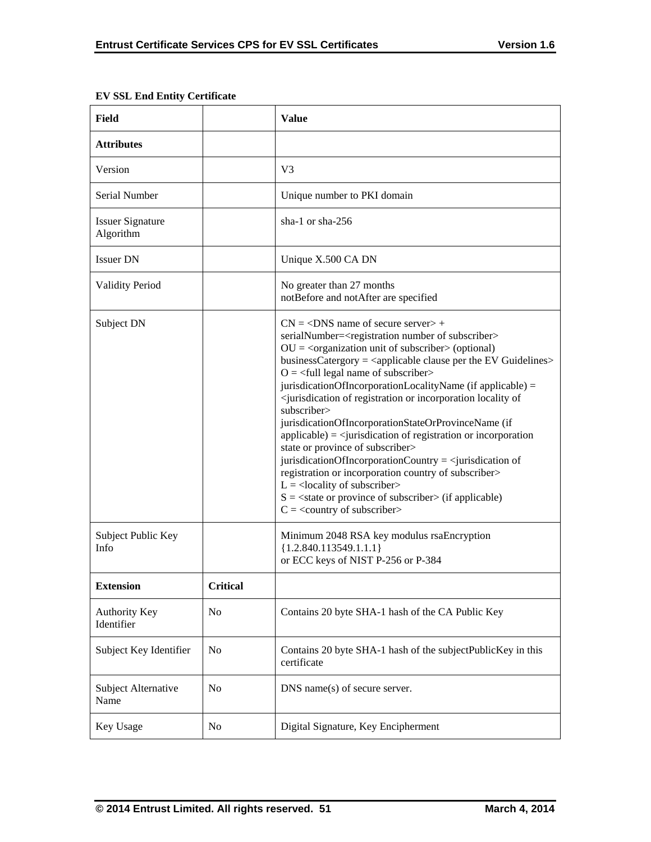|                 | <b>Value</b>                                                                                                                                                                                                                                                                                                                                                                                                                                                                                                                                                                                                                                                                                                                                                                                                                                                                                                                                                                                                                                                                                                     |
|-----------------|------------------------------------------------------------------------------------------------------------------------------------------------------------------------------------------------------------------------------------------------------------------------------------------------------------------------------------------------------------------------------------------------------------------------------------------------------------------------------------------------------------------------------------------------------------------------------------------------------------------------------------------------------------------------------------------------------------------------------------------------------------------------------------------------------------------------------------------------------------------------------------------------------------------------------------------------------------------------------------------------------------------------------------------------------------------------------------------------------------------|
|                 |                                                                                                                                                                                                                                                                                                                                                                                                                                                                                                                                                                                                                                                                                                                                                                                                                                                                                                                                                                                                                                                                                                                  |
|                 | V <sub>3</sub>                                                                                                                                                                                                                                                                                                                                                                                                                                                                                                                                                                                                                                                                                                                                                                                                                                                                                                                                                                                                                                                                                                   |
|                 | Unique number to PKI domain                                                                                                                                                                                                                                                                                                                                                                                                                                                                                                                                                                                                                                                                                                                                                                                                                                                                                                                                                                                                                                                                                      |
|                 | sha-1 or sha- $256$                                                                                                                                                                                                                                                                                                                                                                                                                                                                                                                                                                                                                                                                                                                                                                                                                                                                                                                                                                                                                                                                                              |
|                 | Unique X.500 CA DN                                                                                                                                                                                                                                                                                                                                                                                                                                                                                                                                                                                                                                                                                                                                                                                                                                                                                                                                                                                                                                                                                               |
|                 | No greater than 27 months<br>notBefore and notAfter are specified                                                                                                                                                                                                                                                                                                                                                                                                                                                                                                                                                                                                                                                                                                                                                                                                                                                                                                                                                                                                                                                |
|                 | $CN = <$ DNS name of secure server $> +$<br>serialNumber= <registration number="" of="" subscriber=""><br/><math>OU = corganization unit of subscripter &gt; (optional)</math><br/>businessCatergory = <math>\langle</math>applicable clause per the EV Guidelines<math>&gt;</math><br/><math>O = \frac{1}{2}</math> legal name of subscriber<br/>jurisdicationOfIncorporationLocalityName (if applicable) =<br/><jurisdication incorporation="" locality="" of="" of<br="" or="" registration="">subscriber&gt;<br/>jurisdicationOfIncorporationStateOrProvinceName (if<br/><math>applicable) = \langle</math>jurisdication of registration or incorporation<br/>state or province of subscriber&gt;<br/>jurisdicationOfIncorporationCountry = <math>\le</math>jurisdication of<br/>registration or incorporation country of subscriber&gt;<br/><math>L =</math> <locality of="" subscriber=""><br/><math>S = \text{state}</math> or province of subscriber <math>\text{in}</math> (if applicable)<br/><math>C = \langle \text{country of subscripter} \rangle</math></locality></jurisdication></registration> |
|                 | Minimum 2048 RSA key modulus rsaEncryption<br>${1.2.840.113549.1.1.1}$<br>or ECC keys of NIST P-256 or P-384                                                                                                                                                                                                                                                                                                                                                                                                                                                                                                                                                                                                                                                                                                                                                                                                                                                                                                                                                                                                     |
| <b>Critical</b> |                                                                                                                                                                                                                                                                                                                                                                                                                                                                                                                                                                                                                                                                                                                                                                                                                                                                                                                                                                                                                                                                                                                  |
| No              | Contains 20 byte SHA-1 hash of the CA Public Key                                                                                                                                                                                                                                                                                                                                                                                                                                                                                                                                                                                                                                                                                                                                                                                                                                                                                                                                                                                                                                                                 |
| No              | Contains 20 byte SHA-1 hash of the subjectPublicKey in this<br>certificate                                                                                                                                                                                                                                                                                                                                                                                                                                                                                                                                                                                                                                                                                                                                                                                                                                                                                                                                                                                                                                       |
| No              | DNS name(s) of secure server.                                                                                                                                                                                                                                                                                                                                                                                                                                                                                                                                                                                                                                                                                                                                                                                                                                                                                                                                                                                                                                                                                    |
| N <sub>o</sub>  | Digital Signature, Key Encipherment                                                                                                                                                                                                                                                                                                                                                                                                                                                                                                                                                                                                                                                                                                                                                                                                                                                                                                                                                                                                                                                                              |
|                 |                                                                                                                                                                                                                                                                                                                                                                                                                                                                                                                                                                                                                                                                                                                                                                                                                                                                                                                                                                                                                                                                                                                  |

## **EV SSL End Entity Certificate**